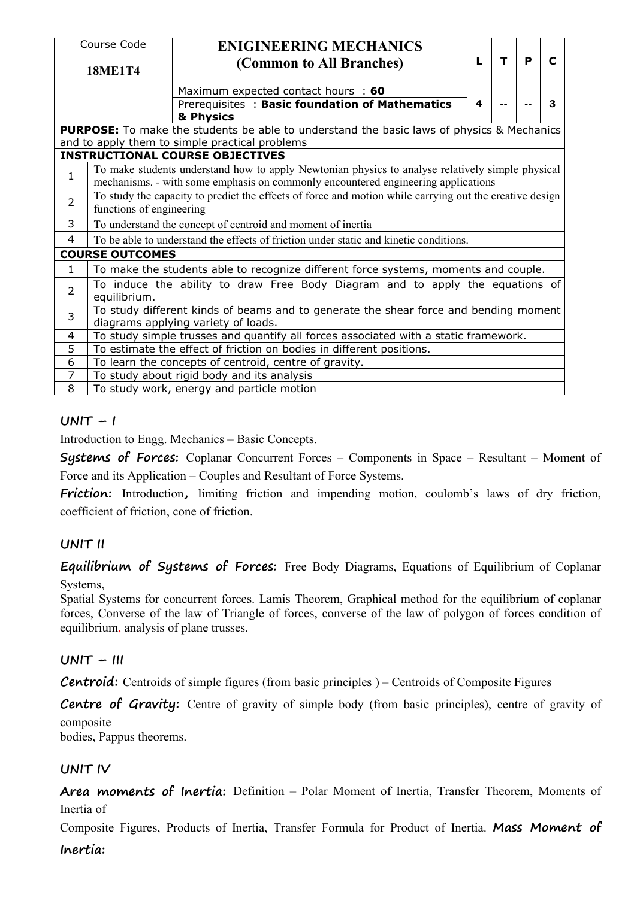|                | Course Code                                                                                                                 | <b>ENIGINEERING MECHANICS</b>                                                                                                                                                         |   |              |   |             |  |  |  |  |  |  |  |
|----------------|-----------------------------------------------------------------------------------------------------------------------------|---------------------------------------------------------------------------------------------------------------------------------------------------------------------------------------|---|--------------|---|-------------|--|--|--|--|--|--|--|
|                | <b>18ME1T4</b>                                                                                                              | (Common to All Branches)                                                                                                                                                              | L | $\mathbf{T}$ | P | $\mathbf C$ |  |  |  |  |  |  |  |
|                |                                                                                                                             | Maximum expected contact hours : 60                                                                                                                                                   |   |              |   |             |  |  |  |  |  |  |  |
|                |                                                                                                                             | Prerequisites: Basic foundation of Mathematics<br>& Physics                                                                                                                           | 4 |              |   | 3           |  |  |  |  |  |  |  |
|                |                                                                                                                             | <b>PURPOSE:</b> To make the students be able to understand the basic laws of physics & Mechanics                                                                                      |   |              |   |             |  |  |  |  |  |  |  |
|                |                                                                                                                             | and to apply them to simple practical problems                                                                                                                                        |   |              |   |             |  |  |  |  |  |  |  |
|                |                                                                                                                             | <b>INSTRUCTIONAL COURSE OBJECTIVES</b>                                                                                                                                                |   |              |   |             |  |  |  |  |  |  |  |
| $\mathbf{1}$   |                                                                                                                             | To make students understand how to apply Newtonian physics to analyse relatively simple physical<br>mechanisms. - with some emphasis on commonly encountered engineering applications |   |              |   |             |  |  |  |  |  |  |  |
| $\overline{2}$ |                                                                                                                             | To study the capacity to predict the effects of force and motion while carrying out the creative design<br>functions of engineering                                                   |   |              |   |             |  |  |  |  |  |  |  |
| 3              |                                                                                                                             | To understand the concept of centroid and moment of inertia                                                                                                                           |   |              |   |             |  |  |  |  |  |  |  |
| 4              |                                                                                                                             | To be able to understand the effects of friction under static and kinetic conditions.                                                                                                 |   |              |   |             |  |  |  |  |  |  |  |
|                | <b>COURSE OUTCOMES</b>                                                                                                      |                                                                                                                                                                                       |   |              |   |             |  |  |  |  |  |  |  |
| $\mathbf{1}$   |                                                                                                                             | To make the students able to recognize different force systems, moments and couple.                                                                                                   |   |              |   |             |  |  |  |  |  |  |  |
| $\overline{2}$ | equilibrium.                                                                                                                | To induce the ability to draw Free Body Diagram and to apply the equations of                                                                                                         |   |              |   |             |  |  |  |  |  |  |  |
| 3              | To study different kinds of beams and to generate the shear force and bending moment<br>diagrams applying variety of loads. |                                                                                                                                                                                       |   |              |   |             |  |  |  |  |  |  |  |
| 4              |                                                                                                                             | To study simple trusses and quantify all forces associated with a static framework.                                                                                                   |   |              |   |             |  |  |  |  |  |  |  |
| 5              |                                                                                                                             | To estimate the effect of friction on bodies in different positions.                                                                                                                  |   |              |   |             |  |  |  |  |  |  |  |
| 6              |                                                                                                                             | To learn the concepts of centroid, centre of gravity.                                                                                                                                 |   |              |   |             |  |  |  |  |  |  |  |
| 7              |                                                                                                                             | To study about rigid body and its analysis                                                                                                                                            |   |              |   |             |  |  |  |  |  |  |  |
| 8              |                                                                                                                             | To study work, energy and particle motion                                                                                                                                             |   |              |   |             |  |  |  |  |  |  |  |

# $UNIT - I$

Introduction to Engg. Mechanics – Basic Concepts.

**Systems of Forces:** Coplanar Concurrent Forces – Components in Space – Resultant– Moment of Force and its Application – Couples and Resultant of Force Systems.

Friction: Introduction, limiting friction and impending motion, coulomb's laws of dry friction, coefficient of friction, cone of friction.

# **UNIT II**

**Equilibrium of Systems of Forces:** Free Body Diagrams, Equations of Equilibrium of Coplanar Systems,

Spatial Systems for concurrent forces. Lamis Theorem, Graphical method for the equilibrium of coplanar forces, Converse of the law of Triangle of forces, converse of the law of polygon of forces condition of equilibrium, analysis of plane trusses.

# **UNIT – III**

**Centroid:** Centroids of simple figures (from basic principles) – Centroids of Composite Figures

**Centre of Gravity:** Centre of gravity of simple body (from basic principles), centre of gravity of composite

bodies, Pappus theorems.

# **UNIT IV**

**Area moments of Inertia:** Definition – Polar Moment of Inertia, Transfer Theorem, Moments of Inertia of

Composite Figures, Products of Inertia, Transfer Formula for Product of Inertia. Mass Moment of **Inertia:**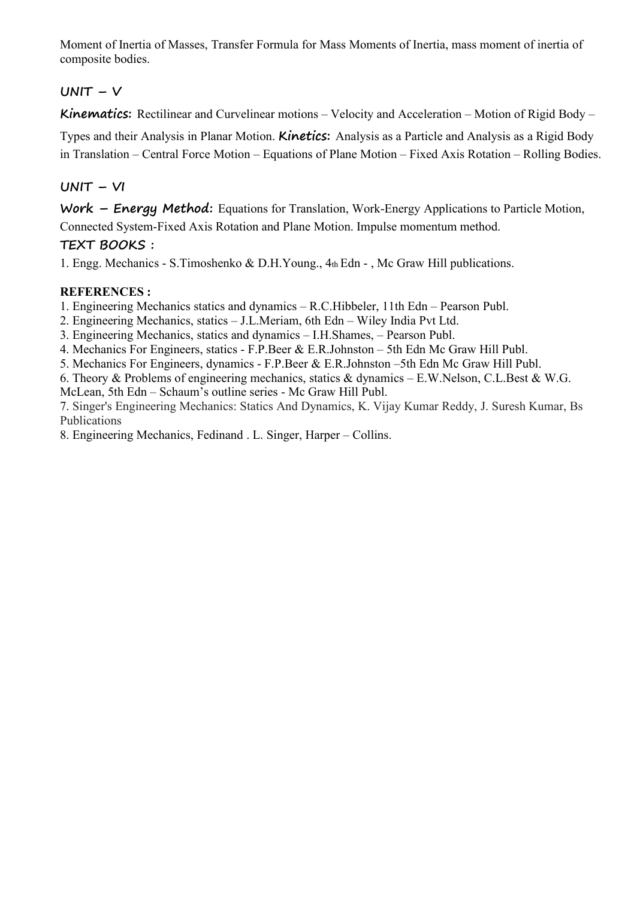Moment of Inertia of Masses, Transfer Formula for Mass Moments of Inertia, mass moment of inertia of composite bodies.

# $UNIT - V$

**Kinematics:** Rectilinear and Curvelinear motions – Velocity and Acceleration – Motion of Rigid Body –

Types and their Analysis in Planar Motion. **Kinetics:** Analysis as a Particle and Analysis as a Rigid Body in Translation – Central Force Motion – Equations of Plane Motion – Fixed Axis Rotation – Rolling Bodies.

## **UNIT – VI**

**Work – Energy Method:** Equations for Translation, Work-Energy Applications to Particle Motion, Connected System-Fixed Axis Rotation and Plane Motion. Impulse momentum method.

## **TEXT BOOKS :**

1. Engg. Mechanics - S.Timoshenko & D.H.Young., 4th Edn - , Mc Graw Hill publications.

## **REFERENCES :**

1. Engineering Mechanics statics and dynamics – R.C.Hibbeler, 11th Edn – Pearson Publ.

- 2. Engineering Mechanics, statics J.L.Meriam, 6th Edn Wiley India Pvt Ltd.
- 3. Engineering Mechanics, statics and dynamics I.H.Shames, Pearson Publ.

4. Mechanics For Engineers, statics - F.P.Beer & E.R.Johnston – 5th Edn Mc Graw Hill Publ.

5. Mechanics For Engineers, dynamics - F.P.Beer & E.R.Johnston –5th Edn Mc Graw Hill Publ.

6. Theory & Problems of engineering mechanics, statics & dynamics – E.W.Nelson, C.L.Best & W.G. McLean, 5th Edn – Schaum's outline series - Mc Graw Hill Publ.

7. Singer's Engineering Mechanics: Statics And Dynamics, K. Vijay Kumar Reddy, J. Suresh Kumar, Bs Publications

8. Engineering Mechanics, Fedinand . L. Singer, Harper – Collins.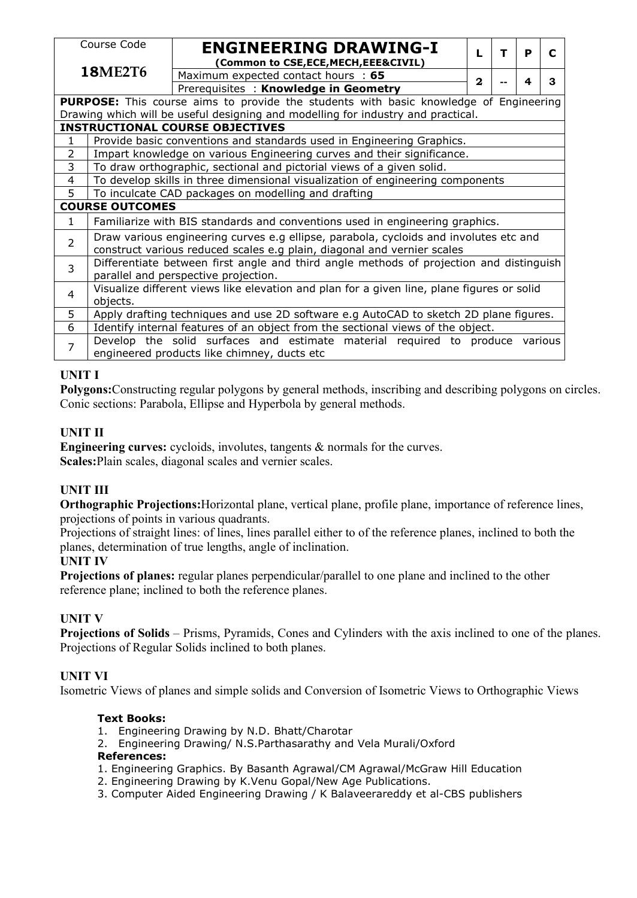|                | Course Code                                                                                                                                                      |  |  |  |  |  |  |  |  |  |  |  |  |                                                                    |  |  |  |  |  |              |   |  |   |   |
|----------------|------------------------------------------------------------------------------------------------------------------------------------------------------------------|--|--|--|--|--|--|--|--|--|--|--|--|--------------------------------------------------------------------|--|--|--|--|--|--------------|---|--|---|---|
|                |                                                                                                                                                                  |  |  |  |  |  |  |  |  |  |  |  |  | <b>ENGINEERING DRAWING-I</b><br>(Common to CSE,ECE,MECH,EEE&CIVIL) |  |  |  |  |  | L            | т |  | P | C |
|                | <b>18ME2T6</b>                                                                                                                                                   |  |  |  |  |  |  |  |  |  |  |  |  | Maximum expected contact hours : 65                                |  |  |  |  |  |              |   |  |   |   |
|                |                                                                                                                                                                  |  |  |  |  |  |  |  |  |  |  |  |  | Prerequisites: Knowledge in Geometry                               |  |  |  |  |  | $\mathbf{2}$ |   |  | 4 | 3 |
|                | <b>PURPOSE:</b> This course aims to provide the students with basic knowledge of Engineering                                                                     |  |  |  |  |  |  |  |  |  |  |  |  |                                                                    |  |  |  |  |  |              |   |  |   |   |
|                | Drawing which will be useful designing and modelling for industry and practical.                                                                                 |  |  |  |  |  |  |  |  |  |  |  |  |                                                                    |  |  |  |  |  |              |   |  |   |   |
|                | <b>INSTRUCTIONAL COURSE OBJECTIVES</b>                                                                                                                           |  |  |  |  |  |  |  |  |  |  |  |  |                                                                    |  |  |  |  |  |              |   |  |   |   |
| 1              | Provide basic conventions and standards used in Engineering Graphics.                                                                                            |  |  |  |  |  |  |  |  |  |  |  |  |                                                                    |  |  |  |  |  |              |   |  |   |   |
| 2              |                                                                                                                                                                  |  |  |  |  |  |  |  |  |  |  |  |  |                                                                    |  |  |  |  |  |              |   |  |   |   |
| 3              | Impart knowledge on various Engineering curves and their significance.<br>To draw orthographic, sectional and pictorial views of a given solid.                  |  |  |  |  |  |  |  |  |  |  |  |  |                                                                    |  |  |  |  |  |              |   |  |   |   |
| 4              | To develop skills in three dimensional visualization of engineering components                                                                                   |  |  |  |  |  |  |  |  |  |  |  |  |                                                                    |  |  |  |  |  |              |   |  |   |   |
| 5              | To inculcate CAD packages on modelling and drafting                                                                                                              |  |  |  |  |  |  |  |  |  |  |  |  |                                                                    |  |  |  |  |  |              |   |  |   |   |
|                | <b>COURSE OUTCOMES</b>                                                                                                                                           |  |  |  |  |  |  |  |  |  |  |  |  |                                                                    |  |  |  |  |  |              |   |  |   |   |
| $\mathbf{1}$   | Familiarize with BIS standards and conventions used in engineering graphics.                                                                                     |  |  |  |  |  |  |  |  |  |  |  |  |                                                                    |  |  |  |  |  |              |   |  |   |   |
| $\overline{2}$ | Draw various engineering curves e.g ellipse, parabola, cycloids and involutes etc and<br>construct various reduced scales e.g plain, diagonal and vernier scales |  |  |  |  |  |  |  |  |  |  |  |  |                                                                    |  |  |  |  |  |              |   |  |   |   |
| 3              | Differentiate between first angle and third angle methods of projection and distinguish<br>parallel and perspective projection.                                  |  |  |  |  |  |  |  |  |  |  |  |  |                                                                    |  |  |  |  |  |              |   |  |   |   |
| 4              | Visualize different views like elevation and plan for a given line, plane figures or solid<br>objects.                                                           |  |  |  |  |  |  |  |  |  |  |  |  |                                                                    |  |  |  |  |  |              |   |  |   |   |
| 5              | Apply drafting techniques and use 2D software e.g AutoCAD to sketch 2D plane figures.                                                                            |  |  |  |  |  |  |  |  |  |  |  |  |                                                                    |  |  |  |  |  |              |   |  |   |   |
| 6              | Identify internal features of an object from the sectional views of the object.                                                                                  |  |  |  |  |  |  |  |  |  |  |  |  |                                                                    |  |  |  |  |  |              |   |  |   |   |
| $\overline{7}$ | Develop the solid surfaces and estimate material required to produce various                                                                                     |  |  |  |  |  |  |  |  |  |  |  |  |                                                                    |  |  |  |  |  |              |   |  |   |   |
|                | engineered products like chimney, ducts etc                                                                                                                      |  |  |  |  |  |  |  |  |  |  |  |  |                                                                    |  |  |  |  |  |              |   |  |   |   |

# **UNIT I**

**Polygons:**Constructing regular polygons by general methods, inscribing and describing polygons on circles. Conic sections: Parabola, Ellipse and Hyperbola by general methods.

## **UNIT II**

**Engineering curves:** cycloids, involutes, tangents & normals for the curves. **Scales:**Plain scales, diagonal scales and vernier scales.

## **UNIT III**

**Orthographic Projections:**Horizontal plane, vertical plane, profile plane, importance of reference lines, projections of points in various quadrants.

Projections of straight lines: of lines, lines parallel either to of the reference planes, inclined to both the planes, determination of true lengths, angle of inclination.

## **UNIT IV**

**Projections of planes:** regular planes perpendicular/parallel to one plane and inclined to the other reference plane; inclined to both the reference planes.

## **UNIT V**

**Projections of Solids** – Prisms, Pyramids, Cones and Cylinders with the axis inclined to one of the planes. Projections of Regular Solids inclined to both planes.

## **UNIT VI**

Isometric Views of planes and simple solids and Conversion of Isometric Views to Orthographic Views

#### **Text Books:**

- 1. Engineering Drawing by N.D. Bhatt/Charotar
- 2. Engineering Drawing/ N.S.Parthasarathy and Vela Murali/Oxford

## **References:**

- 1. Engineering Graphics. By Basanth Agrawal/CM Agrawal/McGraw Hill Education
- 2. Engineering Drawing by K.Venu Gopal/New Age Publications.
- 3. Computer Aided Engineering Drawing / K Balaveerareddy et al-CBS publishers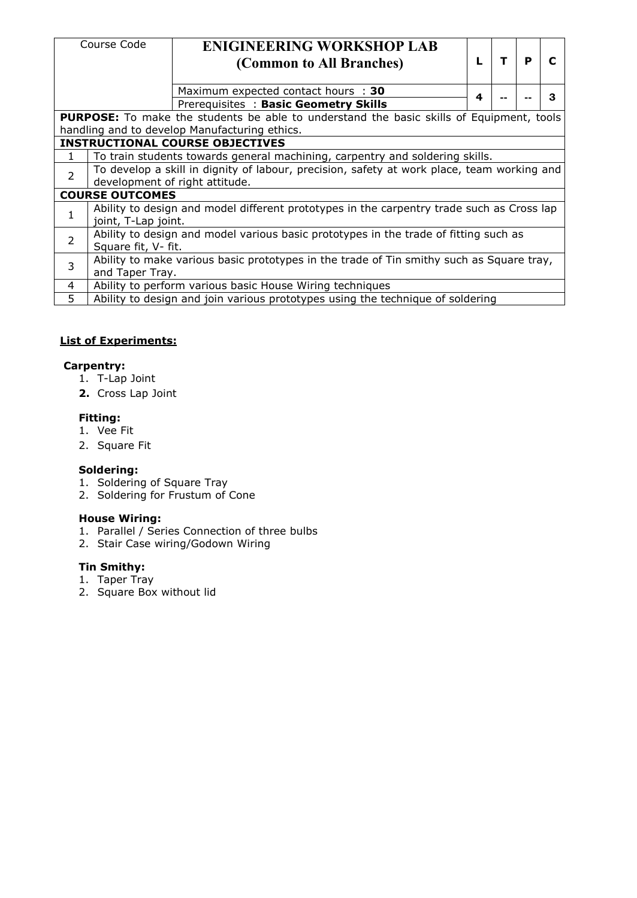|                | Course Code                                                                                | <b>ENIGINEERING WORKSHOP LAB</b>                                                                |  |   |    |   |   |  |  |  |  |  |  |
|----------------|--------------------------------------------------------------------------------------------|-------------------------------------------------------------------------------------------------|--|---|----|---|---|--|--|--|--|--|--|
|                |                                                                                            | (Common to All Branches)                                                                        |  |   | T. | P | C |  |  |  |  |  |  |
|                |                                                                                            | Maximum expected contact hours : 30                                                             |  | 4 |    |   | 3 |  |  |  |  |  |  |
|                |                                                                                            | Prerequisites: Basic Geometry Skills                                                            |  |   |    |   |   |  |  |  |  |  |  |
|                |                                                                                            | <b>PURPOSE:</b> To make the students be able to understand the basic skills of Equipment, tools |  |   |    |   |   |  |  |  |  |  |  |
|                |                                                                                            | handling and to develop Manufacturing ethics.                                                   |  |   |    |   |   |  |  |  |  |  |  |
|                |                                                                                            | <b>INSTRUCTIONAL COURSE OBJECTIVES</b>                                                          |  |   |    |   |   |  |  |  |  |  |  |
|                | To train students towards general machining, carpentry and soldering skills.               |                                                                                                 |  |   |    |   |   |  |  |  |  |  |  |
| $\overline{2}$ | To develop a skill in dignity of labour, precision, safety at work place, team working and |                                                                                                 |  |   |    |   |   |  |  |  |  |  |  |
|                | development of right attitude.                                                             |                                                                                                 |  |   |    |   |   |  |  |  |  |  |  |
|                | <b>COURSE OUTCOMES</b>                                                                     |                                                                                                 |  |   |    |   |   |  |  |  |  |  |  |
|                | joint, T-Lap joint.                                                                        | Ability to design and model different prototypes in the carpentry trade such as Cross lap       |  |   |    |   |   |  |  |  |  |  |  |
|                |                                                                                            |                                                                                                 |  |   |    |   |   |  |  |  |  |  |  |
| $\overline{2}$ | Square fit, V- fit.                                                                        | Ability to design and model various basic prototypes in the trade of fitting such as            |  |   |    |   |   |  |  |  |  |  |  |
| 3              |                                                                                            | Ability to make various basic prototypes in the trade of Tin smithy such as Square tray,        |  |   |    |   |   |  |  |  |  |  |  |
|                | and Taper Tray.                                                                            |                                                                                                 |  |   |    |   |   |  |  |  |  |  |  |
| 4              |                                                                                            | Ability to perform various basic House Wiring techniques                                        |  |   |    |   |   |  |  |  |  |  |  |
| 5.             |                                                                                            | Ability to design and join various prototypes using the technique of soldering                  |  |   |    |   |   |  |  |  |  |  |  |

#### **List of Experiments:**

#### **Carpentry:**

- 1. T-Lap Joint
- **2.** Cross Lap Joint

#### **Fitting:**

- 1. Vee Fit
- 2. Square Fit

#### **Soldering:**

- 1. Soldering of Square Tray
- 2. Soldering for Frustum of Cone

#### **House Wiring:**

- 1. Parallel / Series Connection of three bulbs
- 2. Stair Case wiring/Godown Wiring

#### **Tin Smithy:**

- 1. Taper Tray
- 2. Square Box without lid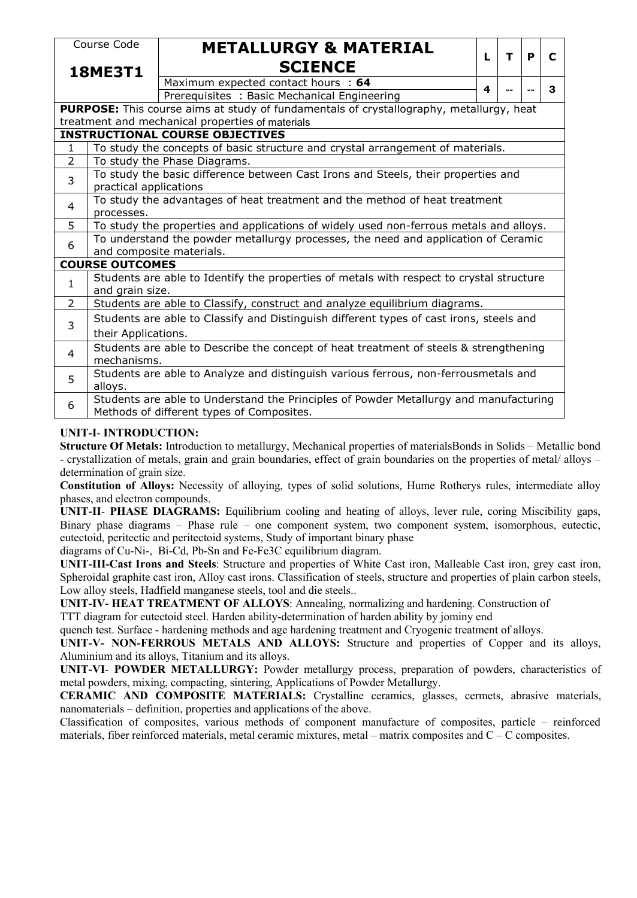|                | Course Code                                                                                                                                                                  | <b>METALLURGY &amp; MATERIAL</b>                                                               |    |   |   |             |  |  |  |  |  |  |  |  |
|----------------|------------------------------------------------------------------------------------------------------------------------------------------------------------------------------|------------------------------------------------------------------------------------------------|----|---|---|-------------|--|--|--|--|--|--|--|--|
|                | <b>18ME3T1</b>                                                                                                                                                               | <b>SCIENCE</b>                                                                                 | L. | T | P | $\mathbf C$ |  |  |  |  |  |  |  |  |
|                |                                                                                                                                                                              | Maximum expected contact hours : 64                                                            | 4  |   |   | 3           |  |  |  |  |  |  |  |  |
|                |                                                                                                                                                                              | Prerequisites: Basic Mechanical Engineering                                                    |    |   |   |             |  |  |  |  |  |  |  |  |
|                |                                                                                                                                                                              | <b>PURPOSE:</b> This course aims at study of fundamentals of crystallography, metallurgy, heat |    |   |   |             |  |  |  |  |  |  |  |  |
|                |                                                                                                                                                                              | treatment and mechanical properties of materials                                               |    |   |   |             |  |  |  |  |  |  |  |  |
|                |                                                                                                                                                                              | <b>INSTRUCTIONAL COURSE OBJECTIVES</b>                                                         |    |   |   |             |  |  |  |  |  |  |  |  |
| 1              |                                                                                                                                                                              | To study the concepts of basic structure and crystal arrangement of materials.                 |    |   |   |             |  |  |  |  |  |  |  |  |
| 2              | To study the Phase Diagrams.                                                                                                                                                 |                                                                                                |    |   |   |             |  |  |  |  |  |  |  |  |
| $\overline{3}$ | To study the basic difference between Cast Irons and Steels, their properties and                                                                                            |                                                                                                |    |   |   |             |  |  |  |  |  |  |  |  |
|                | practical applications                                                                                                                                                       |                                                                                                |    |   |   |             |  |  |  |  |  |  |  |  |
| 4              | To study the advantages of heat treatment and the method of heat treatment                                                                                                   |                                                                                                |    |   |   |             |  |  |  |  |  |  |  |  |
|                | processes.                                                                                                                                                                   |                                                                                                |    |   |   |             |  |  |  |  |  |  |  |  |
| 5              | To study the properties and applications of widely used non-ferrous metals and alloys.<br>To understand the powder metallurgy processes, the need and application of Ceramic |                                                                                                |    |   |   |             |  |  |  |  |  |  |  |  |
| 6              |                                                                                                                                                                              |                                                                                                |    |   |   |             |  |  |  |  |  |  |  |  |
|                |                                                                                                                                                                              | and composite materials.                                                                       |    |   |   |             |  |  |  |  |  |  |  |  |
|                | <b>COURSE OUTCOMES</b>                                                                                                                                                       |                                                                                                |    |   |   |             |  |  |  |  |  |  |  |  |
| $\mathbf 1$    |                                                                                                                                                                              | Students are able to Identify the properties of metals with respect to crystal structure       |    |   |   |             |  |  |  |  |  |  |  |  |
|                | and grain size.                                                                                                                                                              |                                                                                                |    |   |   |             |  |  |  |  |  |  |  |  |
| $\overline{2}$ |                                                                                                                                                                              | Students are able to Classify, construct and analyze equilibrium diagrams.                     |    |   |   |             |  |  |  |  |  |  |  |  |
| 3              |                                                                                                                                                                              | Students are able to Classify and Distinguish different types of cast irons, steels and        |    |   |   |             |  |  |  |  |  |  |  |  |
|                | their Applications.                                                                                                                                                          |                                                                                                |    |   |   |             |  |  |  |  |  |  |  |  |
| 4              |                                                                                                                                                                              | Students are able to Describe the concept of heat treatment of steels & strengthening          |    |   |   |             |  |  |  |  |  |  |  |  |
|                | mechanisms.                                                                                                                                                                  |                                                                                                |    |   |   |             |  |  |  |  |  |  |  |  |
| 5              |                                                                                                                                                                              | Students are able to Analyze and distinguish various ferrous, non-ferrousmetals and            |    |   |   |             |  |  |  |  |  |  |  |  |
|                | alloys.                                                                                                                                                                      |                                                                                                |    |   |   |             |  |  |  |  |  |  |  |  |
| 6              |                                                                                                                                                                              | Students are able to Understand the Principles of Powder Metallurgy and manufacturing          |    |   |   |             |  |  |  |  |  |  |  |  |
|                |                                                                                                                                                                              | Methods of different types of Composites.                                                      |    |   |   |             |  |  |  |  |  |  |  |  |

#### **UNIT-I**- **INTRODUCTION:**

**Structure Of Metals:** Introduction to metallurgy, Mechanical properties of materialsBonds in Solids – Metallic bond - crystallization of metals, grain and grain boundaries, effect of grain boundaries on the properties of metal/ alloys – determination of grain size.

**Constitution of Alloys:** Necessity of alloying, types of solid solutions, Hume Rotherys rules, intermediate alloy phases, and electron compounds.

**UNIT-II**- **PHASE DIAGRAMS:**Equilibrium cooling andheating of alloys, lever rule, coring Miscibility gaps, Binary phase diagrams – Phase rule – one component system, two component system, isomorphous, eutectic, eutectoid, peritectic and peritectoid systems, Study of important binary phase

diagrams ofCu-Ni-, Bi-Cd, Pb-Sn and Fe-Fe3C equilibrium diagram.

**UNIT-III-Cast Irons and Steels**: Structure and properties of White Cast iron, Malleable Cast iron, grey cast iron, Spheroidal graphite cast iron, Alloy cast irons. Classification of steels, structure and properties of plain carbon steels, Low alloy steels, Hadfield manganese steels, tool and die steels..

**UNIT-IV- HEAT TREATMENT OF ALLOYS**: Annealing, normalizing and hardening. Construction of

TTT diagram for eutectoid steel. Harden ability-determination of harden ability by jominy end

quench test. Surface - hardening methods and age hardening treatment and Cryogenic treatment of alloys.

**UNIT-V- NON-FERROUS METALS AND ALLOYS:** Structure and properties of Copper and its alloys, Aluminium and its alloys, Titanium and its alloys.

**UNIT-VI**- **POWDER METALLURGY:** Powder metallurgy process, preparation of powders, characteristics of metal powders, mixing, compacting, sintering, Applications of Powder Metallurgy.

**CERAMIC AND COMPOSITE MATERIALS:** Crystalline ceramics, glasses, cermets, abrasive materials, nanomaterials – definition, properties and applications of the above.

Classification of composites, various methods of component manufacture of composites, particle – reinforced materials, fiber reinforced materials, metal ceramic mixtures, metal – matrix composites and C – C composites.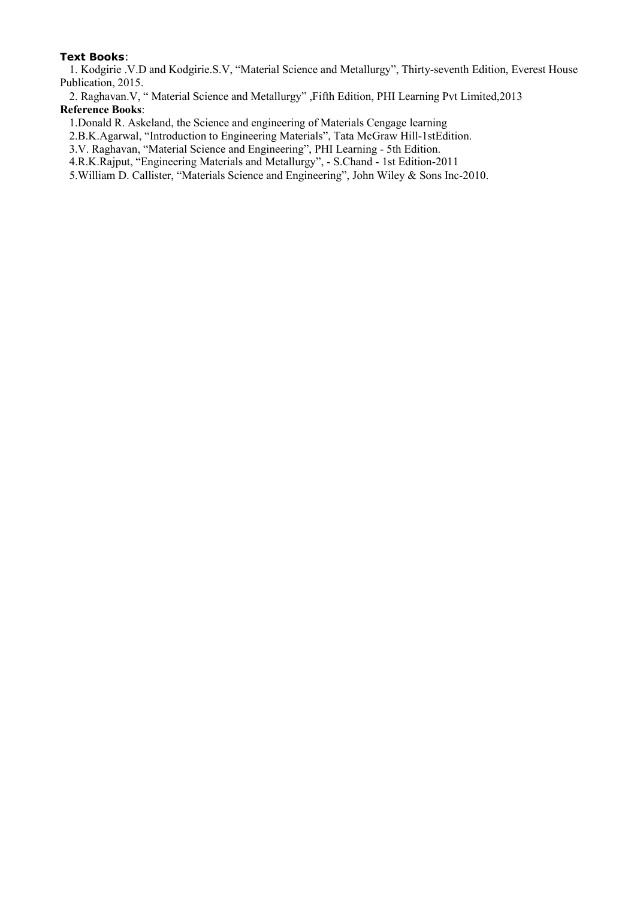#### **Text Books**:

1. Kodgirie .V.D and Kodgirie.S.V, "Material Science and Metallurgy", Thirty-seventh Edition, Everest House Publication, 2015.

2. Raghavan.V, " Material Science and Metallurgy" ,Fifth Edition, PHI Learning Pvt Limited,2013 **Reference Books**:

1.Donald R. Askeland, the Science and engineering of Materials Cengage learning

2.B.K.Agarwal, "Introduction to Engineering Materials", Tata McGraw Hill-1stEdition.

3.V. Raghavan, "Material Science and Engineering", PHI Learning - 5th Edition.

4.R.K.Rajput, "Engineering Materials and Metallurgy", - S.Chand - 1st Edition-2011

5.William D. Callister, "Materials Science and Engineering", John Wiley & Sons Inc-2010.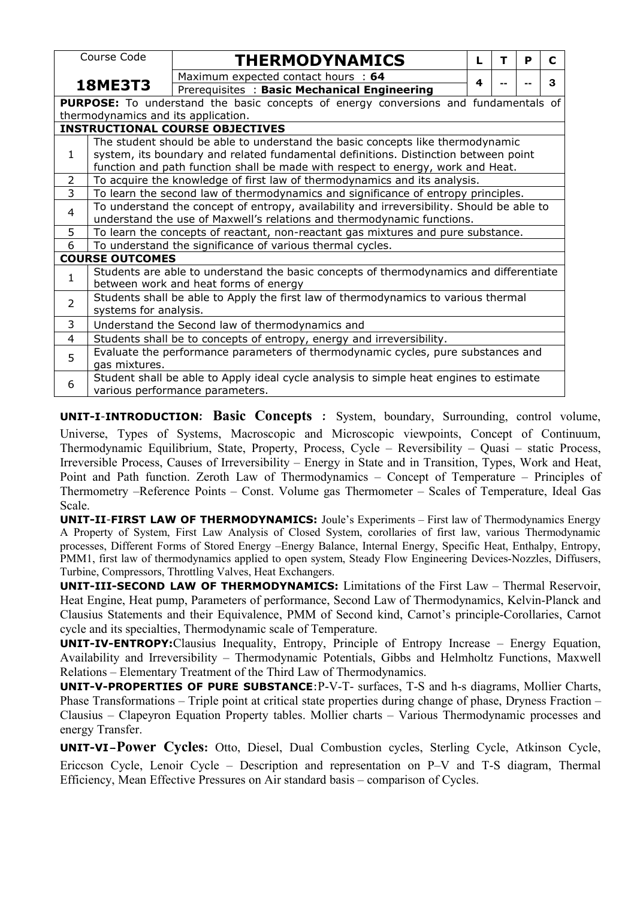|                | Course Code                                                                                                                                   |  |  |                                             |  |  |  | <b>THERMODYNAMICS</b> |  |  |  |  |  |  |  |  |  |  |  |   | т |  | P |  | C |
|----------------|-----------------------------------------------------------------------------------------------------------------------------------------------|--|--|---------------------------------------------|--|--|--|-----------------------|--|--|--|--|--|--|--|--|--|--|--|---|---|--|---|--|---|
|                |                                                                                                                                               |  |  |                                             |  |  |  |                       |  |  |  |  |  |  |  |  |  |  |  |   |   |  |   |  |   |
|                | <b>18ME3T3</b>                                                                                                                                |  |  | Maximum expected contact hours : 64         |  |  |  |                       |  |  |  |  |  |  |  |  |  |  |  | 4 |   |  |   |  | 3 |
|                |                                                                                                                                               |  |  | Prerequisites: Basic Mechanical Engineering |  |  |  |                       |  |  |  |  |  |  |  |  |  |  |  |   |   |  |   |  |   |
|                | <b>PURPOSE:</b> To understand the basic concepts of energy conversions and fundamentals of                                                    |  |  |                                             |  |  |  |                       |  |  |  |  |  |  |  |  |  |  |  |   |   |  |   |  |   |
|                | thermodynamics and its application.                                                                                                           |  |  |                                             |  |  |  |                       |  |  |  |  |  |  |  |  |  |  |  |   |   |  |   |  |   |
|                | <b>INSTRUCTIONAL COURSE OBJECTIVES</b>                                                                                                        |  |  |                                             |  |  |  |                       |  |  |  |  |  |  |  |  |  |  |  |   |   |  |   |  |   |
|                | The student should be able to understand the basic concepts like thermodynamic                                                                |  |  |                                             |  |  |  |                       |  |  |  |  |  |  |  |  |  |  |  |   |   |  |   |  |   |
| $\mathbf{1}$   | system, its boundary and related fundamental definitions. Distinction between point                                                           |  |  |                                             |  |  |  |                       |  |  |  |  |  |  |  |  |  |  |  |   |   |  |   |  |   |
|                | function and path function shall be made with respect to energy, work and Heat.                                                               |  |  |                                             |  |  |  |                       |  |  |  |  |  |  |  |  |  |  |  |   |   |  |   |  |   |
| $\overline{2}$ | To acquire the knowledge of first law of thermodynamics and its analysis.                                                                     |  |  |                                             |  |  |  |                       |  |  |  |  |  |  |  |  |  |  |  |   |   |  |   |  |   |
| 3              | To learn the second law of thermodynamics and significance of entropy principles.                                                             |  |  |                                             |  |  |  |                       |  |  |  |  |  |  |  |  |  |  |  |   |   |  |   |  |   |
| $\overline{4}$ | To understand the concept of entropy, availability and irreversibility. Should be able to                                                     |  |  |                                             |  |  |  |                       |  |  |  |  |  |  |  |  |  |  |  |   |   |  |   |  |   |
|                | understand the use of Maxwell's relations and thermodynamic functions.                                                                        |  |  |                                             |  |  |  |                       |  |  |  |  |  |  |  |  |  |  |  |   |   |  |   |  |   |
| 5              | To learn the concepts of reactant, non-reactant gas mixtures and pure substance.<br>To understand the significance of various thermal cycles. |  |  |                                             |  |  |  |                       |  |  |  |  |  |  |  |  |  |  |  |   |   |  |   |  |   |
| 6              |                                                                                                                                               |  |  |                                             |  |  |  |                       |  |  |  |  |  |  |  |  |  |  |  |   |   |  |   |  |   |
|                | <b>COURSE OUTCOMES</b>                                                                                                                        |  |  |                                             |  |  |  |                       |  |  |  |  |  |  |  |  |  |  |  |   |   |  |   |  |   |
| 1              | Students are able to understand the basic concepts of thermodynamics and differentiate                                                        |  |  |                                             |  |  |  |                       |  |  |  |  |  |  |  |  |  |  |  |   |   |  |   |  |   |
|                | between work and heat forms of energy                                                                                                         |  |  |                                             |  |  |  |                       |  |  |  |  |  |  |  |  |  |  |  |   |   |  |   |  |   |
| $\overline{2}$ | Students shall be able to Apply the first law of thermodynamics to various thermal                                                            |  |  |                                             |  |  |  |                       |  |  |  |  |  |  |  |  |  |  |  |   |   |  |   |  |   |
|                | systems for analysis.                                                                                                                         |  |  |                                             |  |  |  |                       |  |  |  |  |  |  |  |  |  |  |  |   |   |  |   |  |   |
| 3              | Understand the Second law of thermodynamics and                                                                                               |  |  |                                             |  |  |  |                       |  |  |  |  |  |  |  |  |  |  |  |   |   |  |   |  |   |
| $\overline{4}$ | Students shall be to concepts of entropy, energy and irreversibility.                                                                         |  |  |                                             |  |  |  |                       |  |  |  |  |  |  |  |  |  |  |  |   |   |  |   |  |   |
| 5              | Evaluate the performance parameters of thermodynamic cycles, pure substances and                                                              |  |  |                                             |  |  |  |                       |  |  |  |  |  |  |  |  |  |  |  |   |   |  |   |  |   |
|                | gas mixtures.                                                                                                                                 |  |  |                                             |  |  |  |                       |  |  |  |  |  |  |  |  |  |  |  |   |   |  |   |  |   |
|                | Student shall be able to Apply ideal cycle analysis to simple heat engines to estimate                                                        |  |  |                                             |  |  |  |                       |  |  |  |  |  |  |  |  |  |  |  |   |   |  |   |  |   |
| 6              | various performance parameters.                                                                                                               |  |  |                                             |  |  |  |                       |  |  |  |  |  |  |  |  |  |  |  |   |   |  |   |  |   |
|                |                                                                                                                                               |  |  |                                             |  |  |  |                       |  |  |  |  |  |  |  |  |  |  |  |   |   |  |   |  |   |

**UNIT-I**-**INTRODUCTION: Basic Concepts :** System, boundary, Surrounding, control volume, Universe, Types of Systems, Macroscopic and Microscopic viewpoints, Concept of Continuum, Thermodynamic Equilibrium, State, Property, Process, Cycle – Reversibility – Quasi – static Process, Irreversible Process, Causes of Irreversibility – Energy in State and in Transition, Types, Work and Heat, Point and Path function. Zeroth Law of Thermodynamics – Concept of Temperature – Principles of Thermometry –Reference Points – Const. Volume gas Thermometer – Scales of Temperature, Ideal Gas Scale.

**UNIT-II**-**FIRST LAW OF THERMODYNAMICS:** Joule's Experiments – First law of Thermodynamics Energy A Property of System, First Law Analysis of Closed System, corollaries of first law, various Thermodynamic processes, Different Forms of Stored Energy –Energy Balance, Internal Energy, Specific Heat, Enthalpy, Entropy, PMM1, first law of thermodynamics applied to open system, Steady Flow Engineering Devices-Nozzles, Diffusers, Turbine, Compressors, Throttling Valves, Heat Exchangers.

**UNIT-III-SECOND LAW OF THERMODYNAMICS:** Limitations of the First Law – Thermal Reservoir, Heat Engine, Heat pump, Parameters of performance, Second Law of Thermodynamics, Kelvin-Planck and Clausius Statements and their Equivalence, PMM of Second kind, Carnot's principle-Corollaries, Carnot cycle and its specialties, Thermodynamic scale of Temperature.

**UNIT-IV-ENTROPY:**Clausius Inequality, Entropy, Principle of Entropy Increase – Energy Equation, Availability and Irreversibility – Thermodynamic Potentials, Gibbs and Helmholtz Functions, Maxwell Relations – Elementary Treatment of the Third Law of Thermodynamics.

**UNIT-V-PROPERTIES OF PURE SUBSTANCE**:P-V-T- surfaces, T-S and h-s diagrams, Mollier Charts, Phase Transformations – Triple point at critical state properties during change of phase, Dryness Fraction – Clausius – Clapeyron Equation Property tables. Mollier charts – Various Thermodynamic processes and energy Transfer.

**UNIT-VI-Power Cycles:** Otto, Diesel, Dual Combustion cycles, Sterling Cycle, Atkinson Cycle, Ericcson Cycle, Lenoir Cycle – Description and representation on P–V and T-S diagram, Thermal Efficiency, Mean Effective Pressures on Air standard basis – comparison of Cycles.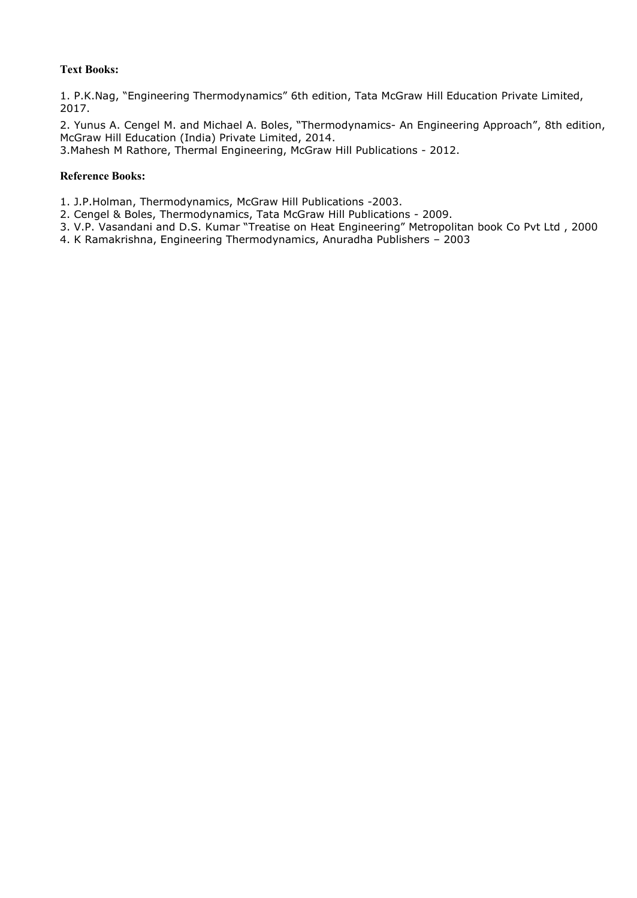#### **Text Books:**

1. P.K.Nag, "Engineering Thermodynamics" 6th edition, Tata McGraw Hill Education Private Limited, 2017.

2. Yunus A. Cengel M. and Michael A. Boles, "Thermodynamics- An Engineering Approach", 8th edition, McGraw Hill Education (India) Private Limited, 2014.

3.Mahesh M Rathore, Thermal Engineering, McGraw Hill Publications - 2012.

#### **Reference Books:**

1. J.P.Holman, Thermodynamics, McGraw Hill Publications -2003.

- 2. Cengel & Boles, Thermodynamics, Tata McGraw Hill Publications 2009.
- 3. V.P. Vasandani and D.S. Kumar "Treatise on Heat Engineering" Metropolitan book Co Pvt Ltd ,2000
- 4. K Ramakrishna, Engineering Thermodynamics, Anuradha Publishers 2003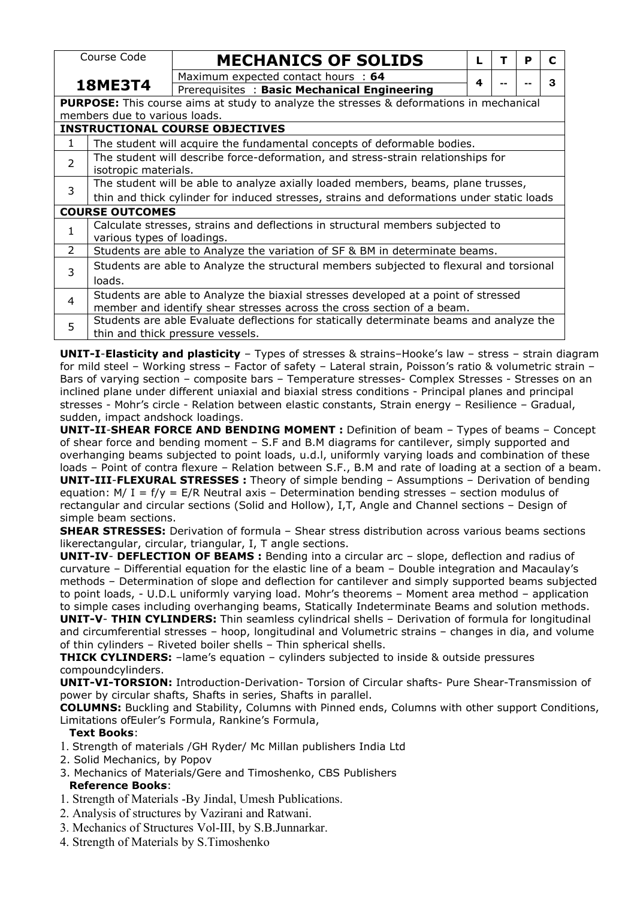|                | Course Code                                                                                    |                                                                                                                                                             |  | <b>MECHANICS OF SOLIDS</b> |                                                                                         |   |  | P | C |  |  |  |  |
|----------------|------------------------------------------------------------------------------------------------|-------------------------------------------------------------------------------------------------------------------------------------------------------------|--|----------------------------|-----------------------------------------------------------------------------------------|---|--|---|---|--|--|--|--|
|                |                                                                                                | Maximum expected contact hours : 64                                                                                                                         |  |                            |                                                                                         | 4 |  |   | 3 |  |  |  |  |
|                | <b>18ME3T4</b>                                                                                 | Prerequisites: Basic Mechanical Engineering                                                                                                                 |  |                            |                                                                                         |   |  |   |   |  |  |  |  |
|                | <b>PURPOSE:</b> This course aims at study to analyze the stresses & deformations in mechanical |                                                                                                                                                             |  |                            |                                                                                         |   |  |   |   |  |  |  |  |
|                | members due to various loads.                                                                  |                                                                                                                                                             |  |                            |                                                                                         |   |  |   |   |  |  |  |  |
|                | <b>INSTRUCTIONAL COURSE OBJECTIVES</b>                                                         |                                                                                                                                                             |  |                            |                                                                                         |   |  |   |   |  |  |  |  |
| ı              |                                                                                                |                                                                                                                                                             |  |                            |                                                                                         |   |  |   |   |  |  |  |  |
| $\overline{2}$ |                                                                                                | The student will acquire the fundamental concepts of deformable bodies.<br>The student will describe force-deformation, and stress-strain relationships for |  |                            |                                                                                         |   |  |   |   |  |  |  |  |
|                | isotropic materials.                                                                           |                                                                                                                                                             |  |                            |                                                                                         |   |  |   |   |  |  |  |  |
| 3              | The student will be able to analyze axially loaded members, beams, plane trusses,              |                                                                                                                                                             |  |                            |                                                                                         |   |  |   |   |  |  |  |  |
|                | thin and thick cylinder for induced stresses, strains and deformations under static loads      |                                                                                                                                                             |  |                            |                                                                                         |   |  |   |   |  |  |  |  |
|                | <b>COURSE OUTCOMES</b>                                                                         |                                                                                                                                                             |  |                            |                                                                                         |   |  |   |   |  |  |  |  |
|                |                                                                                                |                                                                                                                                                             |  |                            | Calculate stresses, strains and deflections in structural members subjected to          |   |  |   |   |  |  |  |  |
|                | various types of loadings.                                                                     |                                                                                                                                                             |  |                            |                                                                                         |   |  |   |   |  |  |  |  |
| $\overline{2}$ |                                                                                                |                                                                                                                                                             |  |                            | Students are able to Analyze the variation of SF & BM in determinate beams.             |   |  |   |   |  |  |  |  |
|                |                                                                                                |                                                                                                                                                             |  |                            | Students are able to Analyze the structural members subjected to flexural and torsional |   |  |   |   |  |  |  |  |
| 3              | loads.                                                                                         |                                                                                                                                                             |  |                            |                                                                                         |   |  |   |   |  |  |  |  |
|                |                                                                                                |                                                                                                                                                             |  |                            | Students are able to Analyze the biaxial stresses developed at a point of stressed      |   |  |   |   |  |  |  |  |
| 4              |                                                                                                |                                                                                                                                                             |  |                            | member and identify shear stresses across the cross section of a beam.                  |   |  |   |   |  |  |  |  |
| 5              |                                                                                                |                                                                                                                                                             |  |                            | Students are able Evaluate deflections for statically determinate beams and analyze the |   |  |   |   |  |  |  |  |
|                | thin and thick pressure vessels.                                                               |                                                                                                                                                             |  |                            |                                                                                         |   |  |   |   |  |  |  |  |

**UNIT-I-Elasticity and plasticity** – Types of stresses & strains–Hooke's law – stress – strain diagram for mild steel – Working stress – Factor of safety – Lateral strain, Poisson's ratio & volumetric strain – Bars of varying section – composite bars – Temperature stresses- Complex Stresses - Stresses on an inclined plane under different uniaxial and biaxial stress conditions - Principal planes and principal stresses - Mohr's circle - Relation between elastic constants, Strain energy – Resilience – Gradual, sudden, impact andshock loadings.

**UNIT-II**-**SHEAR FORCE AND BENDING MOMENT :** Definition of beam – Types of beams – Concept of shear force and bending moment – S.F and B.M diagrams forcantilever, simply supported and overhanging beams subjected to point loads, u.d.l, uniformly varying loads and combination of these loads - Point of contra flexure - Relation between S.F., B.M and rate of loading at a section of a beam. **UNIT-III**-**FLEXURAL STRESSES :** Theory of simple bending – Assumptions – Derivation of bending equation: M/ I =  $f/y = E/R$  Neutral axis – Determination bending stresses – section modulus of rectangular and circular sections (Solid and Hollow), I,T, Angle and Channel sections – Design of simple beam sections.

**SHEAR STRESSES:** Derivation of formula – Shear stress distribution across various beams sections likerectangular, circular, triangular, I, T angle sections.

**UNIT-IV**- **DEFLECTION OF BEAMS :** Bending into a circular arc – slope, deflection and radius of curvature – Differential equation for the elastic line of a beam – Double integration and Macaulay's methods – Determination of slope and deflection for cantilever and simply supported beams subjected to point loads, - U.D.L uniformly varying load. Mohr's theorems – Moment area method – application to simple cases including overhanging beams, Statically Indeterminate Beams and solution methods.**UNIT-V**- **THIN CYLINDERS:** Thin seamless cylindrical shells – Derivation of formula for longitudinal and circumferential stresses – hoop, longitudinal and Volumetric strains – changes in dia, and volume of thin cylinders – Riveted boiler shells – Thin spherical shells.

**THICK CYLINDERS:** -lame's equation - cylinders subjected to inside & outside pressures compoundcylinders.

**UNIT-VI-TORSION:** Introduction-Derivation- Torsion of Circular shafts- Pure Shear-Transmission of power by circular shafts, Shafts in series, Shafts in parallel.

**COLUMNS:** Buckling and Stability, Columns with Pinned ends, Columns with other support Conditions, Limitations ofEuler's Formula, Rankine's Formula,

#### **Text Books**:

1. Strength of materials /GH Ryder/ Mc Millan publishers India Ltd

- 2. Solid Mechanics, by Popov
- 3. Mechanics of Materials/Gere and Timoshenko, CBS Publishers **Reference Books**:
- 1. Strength of Materials -By Jindal, Umesh Publications.
- 2. Analysis of structures by Vazirani and Ratwani.
- 3. Mechanics of Structures Vol-III, by S.B. Junnarkar.
- 4. Strength of Materials by S.Timoshenko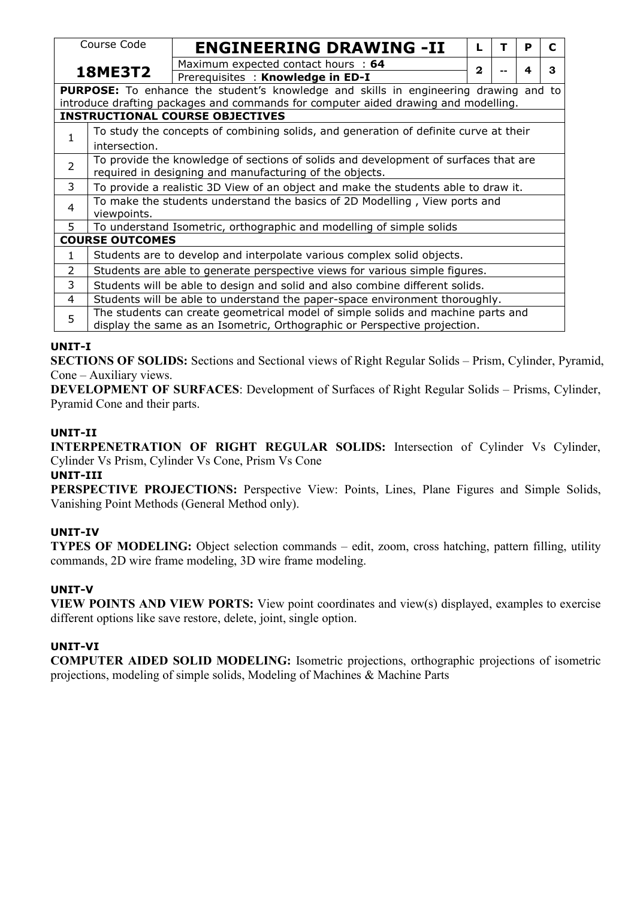|                | Course Code                                                                         | <b>ENGINEERING DRAWING -II</b>                                                              |   |  | P | C |  |  |  |  |  |  |  |
|----------------|-------------------------------------------------------------------------------------|---------------------------------------------------------------------------------------------|---|--|---|---|--|--|--|--|--|--|--|
|                |                                                                                     | Maximum expected contact hours : 64                                                         |   |  |   |   |  |  |  |  |  |  |  |
|                | <b>18ME3T2</b>                                                                      | Prerequisites: Knowledge in ED-I                                                            | 2 |  |   | 3 |  |  |  |  |  |  |  |
|                |                                                                                     | <b>PURPOSE:</b> To enhance the student's knowledge and skills in engineering drawing and to |   |  |   |   |  |  |  |  |  |  |  |
|                |                                                                                     | introduce drafting packages and commands for computer aided drawing and modelling.          |   |  |   |   |  |  |  |  |  |  |  |
|                |                                                                                     | <b>INSTRUCTIONAL COURSE OBJECTIVES</b>                                                      |   |  |   |   |  |  |  |  |  |  |  |
|                |                                                                                     | To study the concepts of combining solids, and generation of definite curve at their        |   |  |   |   |  |  |  |  |  |  |  |
| 1              | intersection.                                                                       |                                                                                             |   |  |   |   |  |  |  |  |  |  |  |
| $\overline{2}$ | To provide the knowledge of sections of solids and development of surfaces that are |                                                                                             |   |  |   |   |  |  |  |  |  |  |  |
|                | required in designing and manufacturing of the objects.                             |                                                                                             |   |  |   |   |  |  |  |  |  |  |  |
| 3              | To provide a realistic 3D View of an object and make the students able to draw it.  |                                                                                             |   |  |   |   |  |  |  |  |  |  |  |
| 4              |                                                                                     | To make the students understand the basics of 2D Modelling, View ports and                  |   |  |   |   |  |  |  |  |  |  |  |
|                | viewpoints.                                                                         |                                                                                             |   |  |   |   |  |  |  |  |  |  |  |
| 5.             |                                                                                     | To understand Isometric, orthographic and modelling of simple solids                        |   |  |   |   |  |  |  |  |  |  |  |
|                | <b>COURSE OUTCOMES</b>                                                              |                                                                                             |   |  |   |   |  |  |  |  |  |  |  |
| $\mathbf{1}$   | Students are to develop and interpolate various complex solid objects.              |                                                                                             |   |  |   |   |  |  |  |  |  |  |  |
| 2              |                                                                                     | Students are able to generate perspective views for various simple figures.                 |   |  |   |   |  |  |  |  |  |  |  |
| 3              |                                                                                     | Students will be able to design and solid and also combine different solids.                |   |  |   |   |  |  |  |  |  |  |  |
| 4              |                                                                                     | Students will be able to understand the paper-space environment thoroughly.                 |   |  |   |   |  |  |  |  |  |  |  |
| 5              |                                                                                     | The students can create geometrical model of simple solids and machine parts and            |   |  |   |   |  |  |  |  |  |  |  |
|                |                                                                                     | display the same as an Isometric, Orthographic or Perspective projection.                   |   |  |   |   |  |  |  |  |  |  |  |

## **UNIT-I**

**SECTIONS OF SOLIDS:** Sections and Sectional views of Right Regular Solids – Prism, Cylinder, Pyramid, Cone – Auxiliary views.

**DEVELOPMENT OF SURFACES**: Development of Surfaces of Right Regular Solids – Prisms, Cylinder, Pyramid Cone and their parts.

## **UNIT-II**

**INTERPENETRATION OF RIGHT REGULAR SOLIDS:** Intersection of Cylinder Vs Cylinder, Cylinder Vs Prism, Cylinder Vs Cone, Prism Vs Cone

#### **UNIT-III**

**PERSPECTIVE PROJECTIONS:** Perspective View: Points, Lines, Plane Figures and Simple Solids, Vanishing Point Methods (General Method only).

## **UNIT-IV**

**TYPES OF MODELING:** Object selection commands – edit, zoom, cross hatching, pattern filling, utility commands, 2D wire frame modeling, 3D wire frame modeling.

#### **UNIT-V**

**VIEW POINTS AND VIEW PORTS:** View point coordinates and view(s) displayed, examples to exercise different options like save restore, delete, joint, single option.

#### **UNIT-VI**

**COMPUTER AIDED SOLID MODELING:** Isometric projections, orthographic projections of isometric projections, modeling of simple solids, Modeling of Machines & Machine Parts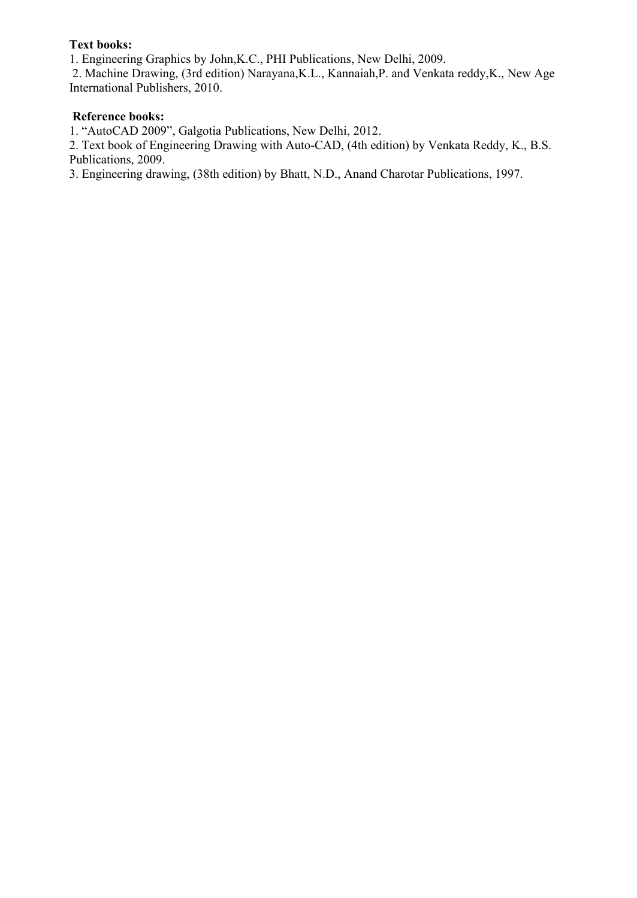## **Text books:**

1. Engineering Graphics by John,K.C., PHI Publications, New Delhi, 2009.

2. Machine Drawing, (3rd edition) Narayana,K.L., Kannaiah,P. and Venkata reddy,K., New Age International Publishers, 2010.

#### **Reference books:**

1. "AutoCAD 2009", Galgotia Publications, New Delhi, 2012.

2. Text book of Engineering Drawing with Auto-CAD, (4th edition) by Venkata Reddy, K., B.S. Publications, 2009.

3. Engineering drawing, (38th edition) by Bhatt, N.D., Anand Charotar Publications, 1997.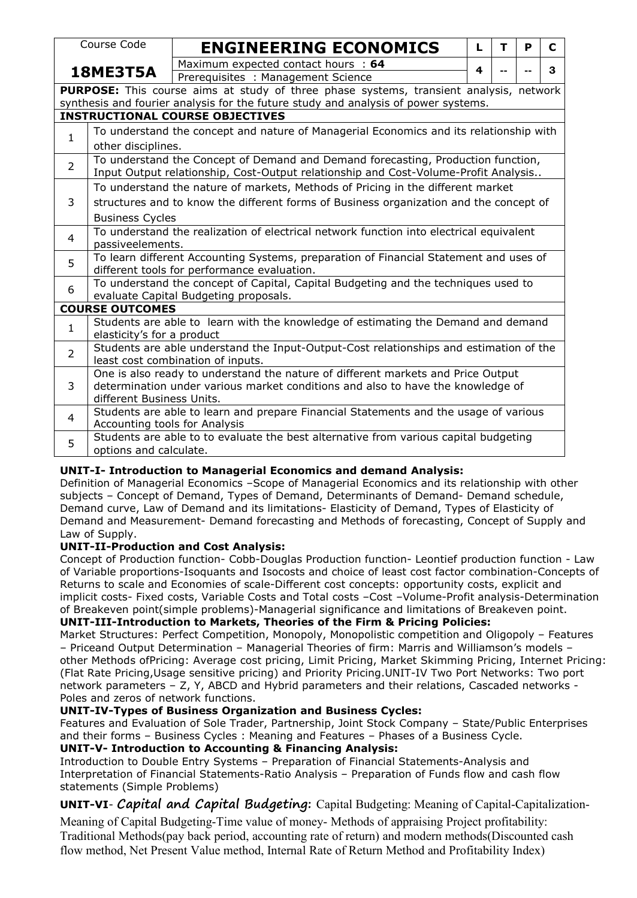|                | Course Code                                                                                                                                                             |                                                                                                                       |  |  |  |  |  | <b>ENGINEERING ECONOMICS</b>        |  |  |  |  |  |  |  |  |  | L | т | P |  | C |
|----------------|-------------------------------------------------------------------------------------------------------------------------------------------------------------------------|-----------------------------------------------------------------------------------------------------------------------|--|--|--|--|--|-------------------------------------|--|--|--|--|--|--|--|--|--|---|---|---|--|---|
|                |                                                                                                                                                                         |                                                                                                                       |  |  |  |  |  | Maximum expected contact hours : 64 |  |  |  |  |  |  |  |  |  |   |   |   |  |   |
|                | 18ME3T5A                                                                                                                                                                |                                                                                                                       |  |  |  |  |  | Prerequisites: Management Science   |  |  |  |  |  |  |  |  |  | 4 |   |   |  | 3 |
|                | PURPOSE: This course aims at study of three phase systems, transient analysis, network                                                                                  |                                                                                                                       |  |  |  |  |  |                                     |  |  |  |  |  |  |  |  |  |   |   |   |  |   |
|                | synthesis and fourier analysis for the future study and analysis of power systems.                                                                                      |                                                                                                                       |  |  |  |  |  |                                     |  |  |  |  |  |  |  |  |  |   |   |   |  |   |
|                | <b>INSTRUCTIONAL COURSE OBJECTIVES</b>                                                                                                                                  |                                                                                                                       |  |  |  |  |  |                                     |  |  |  |  |  |  |  |  |  |   |   |   |  |   |
| $\mathbf{1}$   | To understand the concept and nature of Managerial Economics and its relationship with                                                                                  |                                                                                                                       |  |  |  |  |  |                                     |  |  |  |  |  |  |  |  |  |   |   |   |  |   |
|                | other disciplines.                                                                                                                                                      |                                                                                                                       |  |  |  |  |  |                                     |  |  |  |  |  |  |  |  |  |   |   |   |  |   |
| $\overline{2}$ | To understand the Concept of Demand and Demand forecasting, Production function,<br>Input Output relationship, Cost-Output relationship and Cost-Volume-Profit Analysis |                                                                                                                       |  |  |  |  |  |                                     |  |  |  |  |  |  |  |  |  |   |   |   |  |   |
|                | To understand the nature of markets, Methods of Pricing in the different market                                                                                         |                                                                                                                       |  |  |  |  |  |                                     |  |  |  |  |  |  |  |  |  |   |   |   |  |   |
| 3              |                                                                                                                                                                         |                                                                                                                       |  |  |  |  |  |                                     |  |  |  |  |  |  |  |  |  |   |   |   |  |   |
|                | structures and to know the different forms of Business organization and the concept of<br><b>Business Cycles</b>                                                        |                                                                                                                       |  |  |  |  |  |                                     |  |  |  |  |  |  |  |  |  |   |   |   |  |   |
| 4              | To understand the realization of electrical network function into electrical equivalent<br>passiveelements.                                                             |                                                                                                                       |  |  |  |  |  |                                     |  |  |  |  |  |  |  |  |  |   |   |   |  |   |
| 5              | To learn different Accounting Systems, preparation of Financial Statement and uses of<br>different tools for performance evaluation.                                    |                                                                                                                       |  |  |  |  |  |                                     |  |  |  |  |  |  |  |  |  |   |   |   |  |   |
| 6              | To understand the concept of Capital, Capital Budgeting and the techniques used to<br>evaluate Capital Budgeting proposals.                                             |                                                                                                                       |  |  |  |  |  |                                     |  |  |  |  |  |  |  |  |  |   |   |   |  |   |
|                | <b>COURSE OUTCOMES</b>                                                                                                                                                  |                                                                                                                       |  |  |  |  |  |                                     |  |  |  |  |  |  |  |  |  |   |   |   |  |   |
| $\mathbf{1}$   | Students are able to learn with the knowledge of estimating the Demand and demand<br>elasticity's for a product                                                         |                                                                                                                       |  |  |  |  |  |                                     |  |  |  |  |  |  |  |  |  |   |   |   |  |   |
| $\overline{2}$ | Students are able understand the Input-Output-Cost relationships and estimation of the<br>least cost combination of inputs.                                             |                                                                                                                       |  |  |  |  |  |                                     |  |  |  |  |  |  |  |  |  |   |   |   |  |   |
| 3              | One is also ready to understand the nature of different markets and Price Output<br>determination under various market conditions and also to have the knowledge of     |                                                                                                                       |  |  |  |  |  |                                     |  |  |  |  |  |  |  |  |  |   |   |   |  |   |
|                | different Business Units.                                                                                                                                               |                                                                                                                       |  |  |  |  |  |                                     |  |  |  |  |  |  |  |  |  |   |   |   |  |   |
| 4              |                                                                                                                                                                         | Students are able to learn and prepare Financial Statements and the usage of various<br>Accounting tools for Analysis |  |  |  |  |  |                                     |  |  |  |  |  |  |  |  |  |   |   |   |  |   |
| 5              |                                                                                                                                                                         | Students are able to to evaluate the best alternative from various capital budgeting<br>options and calculate.        |  |  |  |  |  |                                     |  |  |  |  |  |  |  |  |  |   |   |   |  |   |

# **UNIT-I- Introduction to ManagerialEconomics and demand Analysis:**

Definition of Managerial Economics –Scope of Managerial Economics and its relationship with other subjects – Concept of Demand, Types of Demand, Determinants of Demand- Demand schedule, Demand curve, Law of Demand and its limitations- Elasticity of Demand, Types of Elasticity of Demand and Measurement- Demand forecasting and Methods of forecasting, Concept of Supply and Law of Supply.

# **UNIT-II-Production and Cost Analysis:**

Concept of Production function- Cobb-Douglas Production function- Leontief production function - Law of Variable proportions-Isoquants and Isocosts and choice of least cost factor combination-Concepts of Returns to scale and Economies of scale-Different cost concepts: opportunity costs, explicit and implicit costs- Fixed costs, Variable Costs and Total costs –Cost –Volume-Profit analysis-Determination of Breakeven point(simple problems)-Managerial significance and limitations of Breakeven point. **UNIT-III-Introduction to Markets,Theories of the Firm & Pricing Policies:**

Market Structures: Perfect Competition, Monopoly, Monopolistic competition and Oligopoly – Features – Priceand Output Determination – Managerial Theories of firm: Marris and Williamson's models – other Methods ofPricing: Average cost pricing, Limit Pricing, Market Skimming Pricing, Internet Pricing: (Flat Rate Pricing,Usage sensitive pricing) and Priority Pricing.UNIT-IV Two Port Networks: Two port network parameters – Z, Y, ABCD and Hybrid parameters and their relations, Cascaded networks - Poles and zeros of network functions.

# **UNIT-IV-Types of Business Organization and Business Cycles:**

Features and Evaluation of Sole Trader, Partnership, Joint Stock Company – State/Public Enterprises and their forms – Business Cycles : Meaning and Features – Phases of a Business Cycle. **UNIT-V- Introduction to Accounting & Financing Analysis:**

Introduction to Double Entry Systems – Preparation of Financial Statements-Analysis and Interpretation of Financial Statements-Ratio Analysis – Preparation of Funds flow and cash flow statements (Simple Problems)

# **UNIT-VI**- **Capital and Capital Budgeting:** Capital Budgeting: Meaning of Capital-Capitalization-

Meaning of Capital Budgeting-Time value of money- Methods of appraising Project profitability: Traditional Methods(pay back period, accounting rate of return) and modern methods(Discounted cash flow method, Net Present Value method, Internal Rate of Return Method and Profitability Index)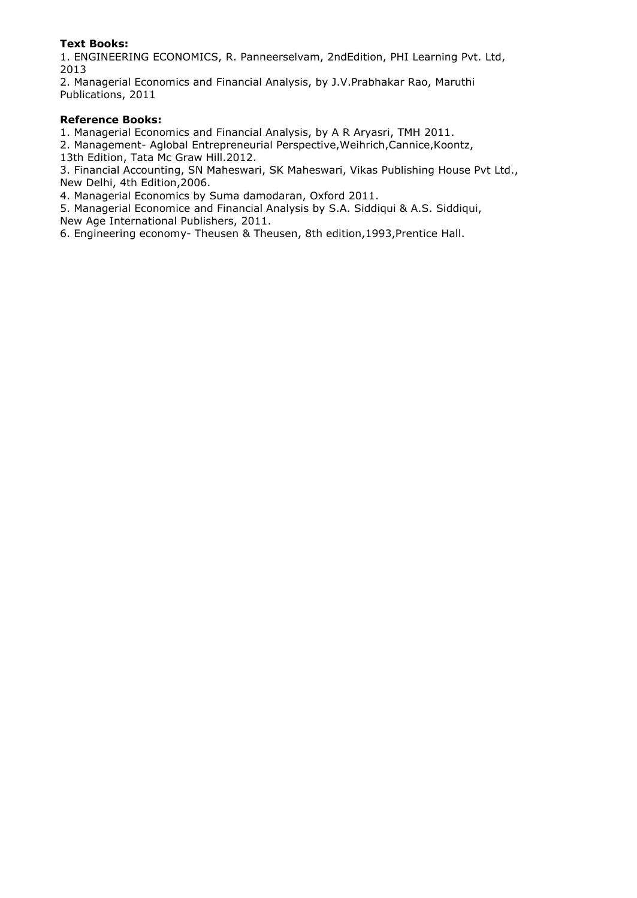#### **Text Books:**

1. ENGINEERING ECONOMICS, R. Panneerselvam, 2ndEdition, PHI Learning Pvt. Ltd, 2013

2. Managerial Economics and Financial Analysis, by J.V.Prabhakar Rao, Maruthi Publications, 2011

#### **Reference Books:**

1. Managerial Economics and Financial Analysis, by A R Aryasri, TMH 2011.

2. Management- Aglobal Entrepreneurial Perspective,Weihrich,Cannice,Koontz,

13th Edition, Tata Mc Graw Hill.2012.

3. Financial Accounting, SN Maheswari, SK Maheswari, Vikas Publishing House Pvt Ltd., New Delhi, 4th Edition,2006.

4. Managerial Economics by Suma damodaran, Oxford 2011.

5. Managerial Economice and Financial Analysis by S.A. Siddiqui & A.S. Siddiqui, New Age International Publishers, 2011.

6. Engineering economy- Theusen & Theusen, 8th edition,1993,Prentice Hall.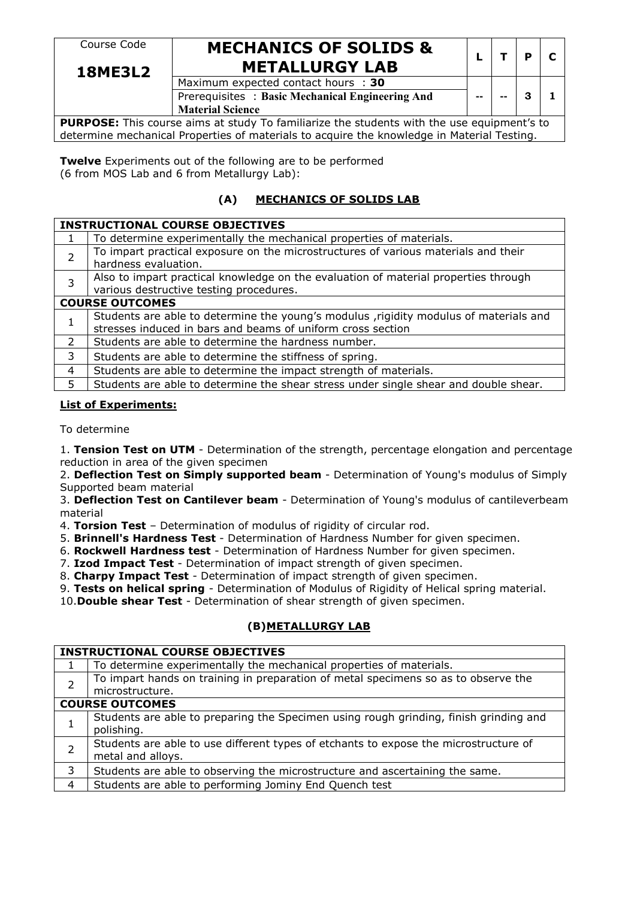# Course Code **MECHANICS OF SOLIDS &** METALLURGY LAB  $\begin{bmatrix} L & T & P & C \end{bmatrix}$

**18ME3L2** Maximum expected contact hours : **30** Prerequisites : **Basic Mechanical Engineering And -- -- 3 1 Material Science**

**PURPOSE:** This course aims at study To familiarize the students with the use equipment's to determine mechanical Properties of materials to acquire the knowledge in Material Testing.

**Twelve** Experiments out of the following are to be performed (6 from MOS Lab and 6 from Metallurgy Lab):

# **(A) MECHANICS OF SOLIDS LAB**

|   | <b>INSTRUCTIONAL COURSE OBJECTIVES</b>                                                                                                               |
|---|------------------------------------------------------------------------------------------------------------------------------------------------------|
| 1 | To determine experimentally the mechanical properties of materials.                                                                                  |
|   | To impart practical exposure on the microstructures of various materials and their<br>hardness evaluation.                                           |
|   | Also to impart practical knowledge on the evaluation of material properties through<br>various destructive testing procedures.                       |
|   | <b>COURSE OUTCOMES</b>                                                                                                                               |
|   | Students are able to determine the young's modulus ,rigidity modulus of materials and<br>stresses induced in bars and beams of uniform cross section |
| 2 | Students are able to determine the hardness number.                                                                                                  |
| 3 | Students are able to determine the stiffness of spring.                                                                                              |
| 4 | Students are able to determine the impact strength of materials.                                                                                     |
|   | Students are able to determine the shear stress under single shear and double shear.                                                                 |

#### **List of Experiments:**

To determine

1. **Tension Test on UTM** - Determination of the strength, percentage elongation and percentage reduction in area of the given specimen

2. **Deflection Test on Simply supported beam** - Determination of Young's modulus of Simply Supported beam material

3. **Deflection Test on Cantilever beam** - Determination of Young's modulus of cantileverbeam material

4. **Torsion Test** – Determination of modulus of rigidity of circular rod.

5. **Brinnell's Hardness Test** - Determination of Hardness Number for given specimen.

6. **Rockwell Hardness test** - Determination of Hardness Number for given specimen.

7. **Izod Impact Test** - Determination of impact strength of given specimen.

8. **Charpy Impact Test** - Determination of impact strength of given specimen.

9. **Tests on helical spring** - Determination of Modulus of Rigidity of Helical spring material.10.**Double shear Test** - Determination of shear strength of given specimen.

## **(B)METALLURGY LAB**

|   | <b>INSTRUCTIONAL COURSE OBJECTIVES</b>                                                |
|---|---------------------------------------------------------------------------------------|
|   | To determine experimentally the mechanical properties of materials.                   |
|   | To impart hands on training in preparation of metal specimens so as to observe the    |
|   | microstructure.                                                                       |
|   | <b>COURSE OUTCOMES</b>                                                                |
|   | Students are able to preparing the Specimen using rough grinding, finish grinding and |
|   | polishing.                                                                            |
|   | Students are able to use different types of etchants to expose the microstructure of  |
|   | metal and alloys.                                                                     |
| 3 | Students are able to observing the microstructure and ascertaining the same.          |
| 4 | Students are able to performing Jominy End Quench test                                |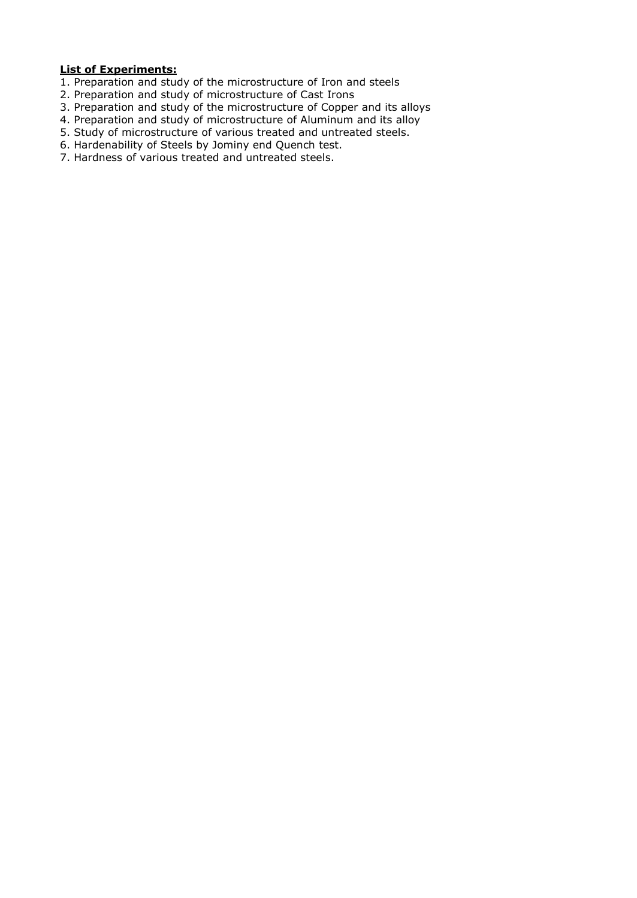#### **List of Experiments:**

- 1. Preparation and study of the microstructure of Iron and steels
- 2. Preparation and study of microstructure of Cast Irons
- 3. Preparation and study of the microstructure of Copper and its alloys
- 4. Preparation and study of microstructure of Aluminum and its alloy
- 5. Study of microstructure of various treated and untreated steels.
- 6. Hardenability of Steels by Jominy end Quench test.
- 7. Hardness of various treated and untreated steels.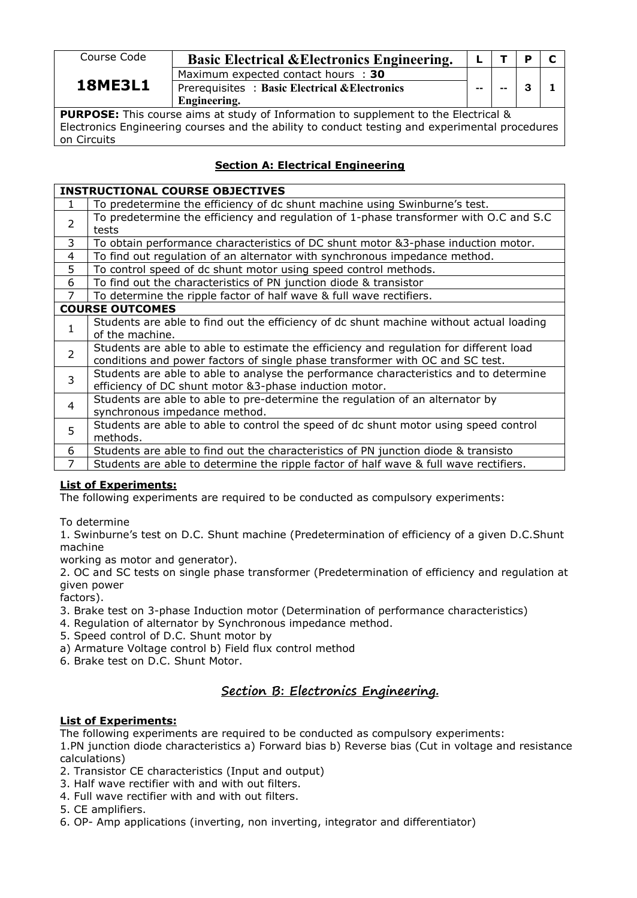| Course Code                                                                                | <b>Basic Electrical &amp; Electronics Engineering.</b>                               |    |  |  | $\mathbf{C}$ |  |  |  |  |
|--------------------------------------------------------------------------------------------|--------------------------------------------------------------------------------------|----|--|--|--------------|--|--|--|--|
| <b>18ME3L1</b>                                                                             | Maximum expected contact hours : 30<br>Prerequisites: Basic Electrical & Electronics | -- |  |  |              |  |  |  |  |
|                                                                                            | Engineering.                                                                         |    |  |  |              |  |  |  |  |
| <b>PURPOSE:</b> This course aims at study of Information to supplement to the Electrical & |                                                                                      |    |  |  |              |  |  |  |  |

Electronics Engineering courses and the ability to conduct testing and experimental procedures on Circuits

## **Section A: Electrical Engineering**

|                | <b>INSTRUCTIONAL COURSE OBJECTIVES</b>                                                  |
|----------------|-----------------------------------------------------------------------------------------|
| $\mathbf{1}$   | To predetermine the efficiency of dc shunt machine using Swinburne's test.              |
| $\overline{2}$ | To predetermine the efficiency and regulation of 1-phase transformer with O.C and S.C   |
|                | tests                                                                                   |
| 3              | To obtain performance characteristics of DC shunt motor &3-phase induction motor.       |
| 4              | To find out regulation of an alternator with synchronous impedance method.              |
| 5              | To control speed of dc shunt motor using speed control methods.                         |
| 6              | To find out the characteristics of PN junction diode & transistor                       |
| 7              | To determine the ripple factor of half wave & full wave rectifiers.                     |
|                | <b>COURSE OUTCOMES</b>                                                                  |
|                | Students are able to find out the efficiency of dc shunt machine without actual loading |
|                | of the machine.                                                                         |
| 2              | Students are able to able to estimate the efficiency and regulation for different load  |
|                | conditions and power factors of single phase transformer with OC and SC test.           |
| $\overline{3}$ | Students are able to able to analyse the performance characteristics and to determine   |
|                | efficiency of DC shunt motor &3-phase induction motor.                                  |
| $\overline{4}$ | Students are able to able to pre-determine the regulation of an alternator by           |
|                | synchronous impedance method.                                                           |
| 5              | Students are able to able to control the speed of dc shunt motor using speed control    |
|                | methods.                                                                                |
| 6              | Students are able to find out the characteristics of PN junction diode & transisto      |
| 7              | Students are able to determine the ripple factor of half wave & full wave rectifiers.   |

#### **List of Experiments:**

The following experiments are required to be conducted as compulsory experiments:

To determine

1. Swinburne's test on D.C. Shunt machine (Predetermination of efficiency of a given D.C.Shunt machine

working as motor and generator).

2. OC and SC tests on single phase transformer (Predetermination of efficiency and regulation at given power

factors).

- 3. Brake test on 3-phase Induction motor (Determination of performance characteristics)
- 4. Regulation of alternator by Synchronous impedance method.
- 5. Speed control of D.C. Shunt motor by
- a) Armature Voltage control b) Field flux control method
- 6. Brake test on D.C. Shunt Motor.

# **Section B: Electronics Engineering.**

#### **List of Experiments:**

The following experiments are required to be conducted as compulsory experiments:

1.PN junction diode characteristics a) Forward bias b) Reverse bias (Cut in voltage and resistance calculations)

- 2. Transistor CE characteristics (Input and output)
- 3. Half wave rectifier with and with out filters.
- 4. Full wave rectifier with and with out filters.
- 5. CE amplifiers.
- 6. OP- Amp applications (inverting, non inverting, integrator and differentiator)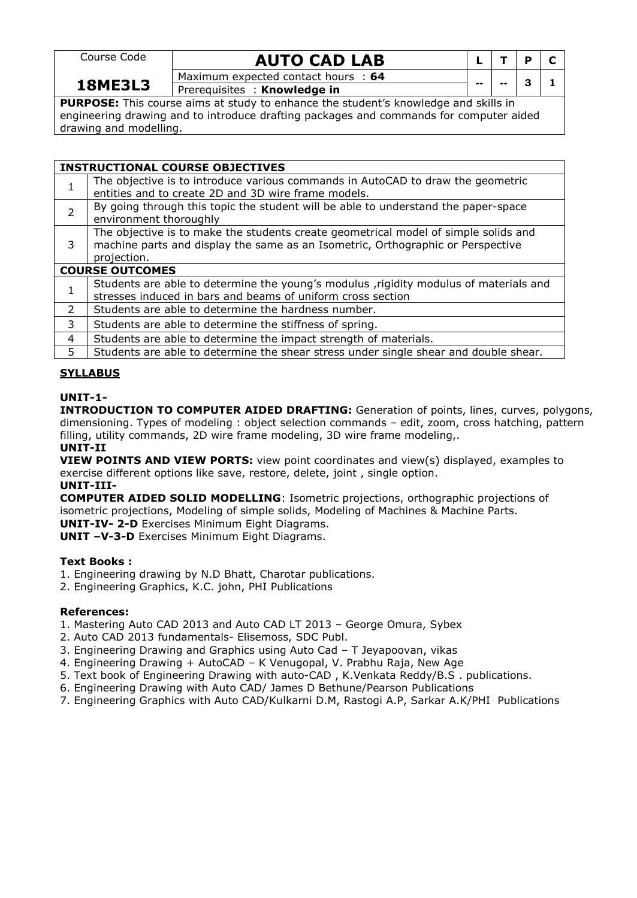Course Code

# **AUTO CAD LAB <sup>L</sup> <sup>T</sup> <sup>P</sup> <sup>C</sup>**

**-- -- 3 1**

**18ME3L3** Prerequisites : **Knowledge in** Maximum expected contact hours : **64**

**PURPOSE:** This course aims at study to enhance the student's knowledge and skills in engineering drawing and to introduce drafting packages and commands for computer aided drawing and modelling.

|               | <b>INSTRUCTIONAL COURSE OBJECTIVES</b>                                                 |
|---------------|----------------------------------------------------------------------------------------|
|               | The objective is to introduce various commands in AutoCAD to draw the geometric        |
|               | entities and to create 2D and 3D wire frame models.                                    |
| $\mathcal{P}$ | By going through this topic the student will be able to understand the paper-space     |
|               | environment thoroughly                                                                 |
|               | The objective is to make the students create geometrical model of simple solids and    |
| 3             | machine parts and display the same as an Isometric, Orthographic or Perspective        |
|               | projection.                                                                            |
|               | <b>COURSE OUTCOMES</b>                                                                 |
|               | Students are able to determine the young's modulus , rigidity modulus of materials and |
|               | stresses induced in bars and beams of uniform cross section                            |
| $\mathcal{L}$ | Students are able to determine the hardness number.                                    |
| 3.            | Students are able to determine the stiffness of spring.                                |
| 4             | Students are able to determine the impact strength of materials.                       |
|               | Students are able to determine the shear stress under single shear and double shear.   |

#### **SYLLABUS**

#### **UNIT-1-**

**INTRODUCTION TO COMPUTER AIDED DRAFTING:** Generation of points, lines, curves, polygons, dimensioning. Types of modeling : object selection commands – edit, zoom, cross hatching, pattern filling, utility commands, 2D wire frame modeling, 3D wire frame modeling,. **UNIT-II**

**VIEW POINTS AND VIEW PORTS:** view point coordinates and view(s) displayed, examples to exercise different options like save, restore, delete, joint , single option.

**UNIT-III-**

**COMPUTER AIDED SOLID MODELLING**: Isometric projections, orthographic projections of isometric projections, Modeling of simple solids, Modeling of Machines & Machine Parts. **UNIT-IV- 2-D** Exercises Minimum Eight Diagrams.

**UNIT –V-3-D** Exercises Minimum Eight Diagrams.

#### **Text Books :**

- 1. Engineering drawing by N.D Bhatt, Charotar publications.
- 2. Engineering Graphics, K.C. john, PHI Publications

#### **References:**

- 1. Mastering Auto CAD 2013 and Auto CAD LT 2013 George Omura, Sybex
- 2. Auto CAD 2013 fundamentals- Elisemoss, SDC Publ.
- 3. Engineering Drawing and Graphics using Auto Cad T Jeyapoovan, vikas
- 4. Engineering Drawing + AutoCAD K Venugopal, V. Prabhu Raja, New Age
- 5. Text book of Engineering Drawing with auto-CAD , K.Venkata Reddy/B.S . publications.
- 6. Engineering Drawing with Auto CAD/James D Bethune/Pearson Publications
- 7. Engineering Graphics with Auto CAD/Kulkarni D.M, Rastogi A.P, Sarkar A.K/PHI Publications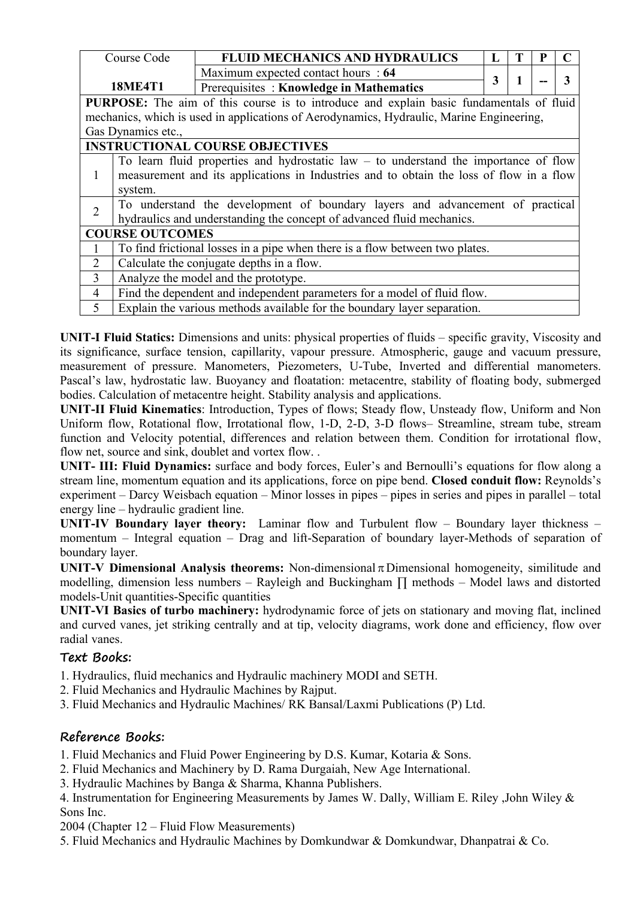|                                                                                                | Course Code                                                                            | <b>FLUID MECHANICS AND HYDRAULICS</b>                                                    | L |  |  |   |  |
|------------------------------------------------------------------------------------------------|----------------------------------------------------------------------------------------|------------------------------------------------------------------------------------------|---|--|--|---|--|
|                                                                                                |                                                                                        | Maximum expected contact hours : 64                                                      | 3 |  |  | 3 |  |
|                                                                                                | <b>18ME4T1</b>                                                                         | Prerequisites: Knowledge in Mathematics                                                  |   |  |  |   |  |
| <b>PURPOSE:</b> The aim of this course is to introduce and explain basic fundamentals of fluid |                                                                                        |                                                                                          |   |  |  |   |  |
|                                                                                                |                                                                                        | mechanics, which is used in applications of Aerodynamics, Hydraulic, Marine Engineering, |   |  |  |   |  |
|                                                                                                | Gas Dynamics etc.,                                                                     |                                                                                          |   |  |  |   |  |
|                                                                                                |                                                                                        | <b>INSTRUCTIONAL COURSE OBJECTIVES</b>                                                   |   |  |  |   |  |
|                                                                                                | To learn fluid properties and hydrostatic law $-$ to understand the importance of flow |                                                                                          |   |  |  |   |  |
|                                                                                                |                                                                                        | measurement and its applications in Industries and to obtain the loss of flow in a flow  |   |  |  |   |  |
|                                                                                                | system.                                                                                |                                                                                          |   |  |  |   |  |
| $\overline{2}$                                                                                 |                                                                                        | To understand the development of boundary layers and advancement of practical            |   |  |  |   |  |
|                                                                                                |                                                                                        | hydraulics and understanding the concept of advanced fluid mechanics.                    |   |  |  |   |  |
|                                                                                                | <b>COURSE OUTCOMES</b>                                                                 |                                                                                          |   |  |  |   |  |
|                                                                                                |                                                                                        | To find frictional losses in a pipe when there is a flow between two plates.             |   |  |  |   |  |
| 2                                                                                              |                                                                                        | Calculate the conjugate depths in a flow.                                                |   |  |  |   |  |
| $\overline{3}$                                                                                 |                                                                                        | Analyze the model and the prototype.                                                     |   |  |  |   |  |
| $\overline{4}$                                                                                 |                                                                                        | Find the dependent and independent parameters for a model of fluid flow.                 |   |  |  |   |  |
| 5                                                                                              |                                                                                        | Explain the various methods available for the boundary layer separation.                 |   |  |  |   |  |

**UNIT-I Fluid Statics:** Dimensions and units: physical properties of fluids – specific gravity, Viscosity and its significance, surface tension, capillarity, vapour pressure. Atmospheric, gauge and vacuum pressure, measurement of pressure. Manometers, Piezometers, U-Tube, Inverted and differential manometers. Pascal's law, hydrostatic law. Buoyancy and floatation: metacentre, stability of floating body, submerged bodies. Calculation of metacentre height. Stability analysis and applications.

**UNIT-II Fluid Kinematics**: Introduction, Types of flows; Steady flow, Unsteady flow, Uniform and Non Uniform flow, Rotational flow, Irrotational flow, 1-D, 2-D, 3-D flows– Streamline, stream tube, stream function and Velocity potential, differences and relation between them. Condition for irrotational flow, flow net, source and sink, doublet and vortex flow. .

**UNIT- III: Fluid Dynamics:** surface and body forces, Euler's and Bernoulli's equations for flow along a stream line, momentum equation and its applications, force on pipe bend. **Closed conduit flow:** Reynolds's experiment – Darcy Weisbach equation – Minor losses in pipes – pipes in series and pipes in parallel – total energy line – hydraulic gradient line.

**UNIT-IV Boundary layer theory:** Laminar flow and Turbulent flow – Boundary layer thickness – momentum – Integral equation – Drag and lift-Separation of boundary layer-Methods of separation of boundary layer.

**UNIT-V Dimensional Analysis theorems:** Non-dimensional  $\pi$  Dimensional homogeneity, similitude and modelling, dimension less numbers – Rayleigh and Buckingham ∏ methods – Model laws and distorted models-Unit quantities-Specific quantities

**UNIT-VI Basics of turbo machinery:** hydrodynamic force of jets on stationary and moving flat, inclined and curved vanes, jet striking centrally and at tip, velocity diagrams, work done and efficiency, flow over radial vanes.

# **Text Books:**

1. Hydraulics, fluid mechanics and Hydraulic machinery MODI and SETH.

- 2. Fluid Mechanics and Hydraulic Machines by Rajput.
- 3. Fluid Mechanics and Hydraulic Machines/ RK Bansal/Laxmi Publications (P) Ltd.

# **Reference Books:**

1. Fluid Mechanics and Fluid Power Engineering by D.S. Kumar, Kotaria & Sons.

2. Fluid Mechanics and Machinery by D. Rama Durgaiah, New Age International.

3. Hydraulic Machines by Banga & Sharma, Khanna Publishers.

4. Instrumentation for Engineering Measurements by James W. Dally, William E. Riley ,John Wiley & Sons Inc.

2004 (Chapter 12 – Fluid Flow Measurements)

5. Fluid Mechanics and Hydraulic Machines by Domkundwar & Domkundwar, Dhanpatrai & Co.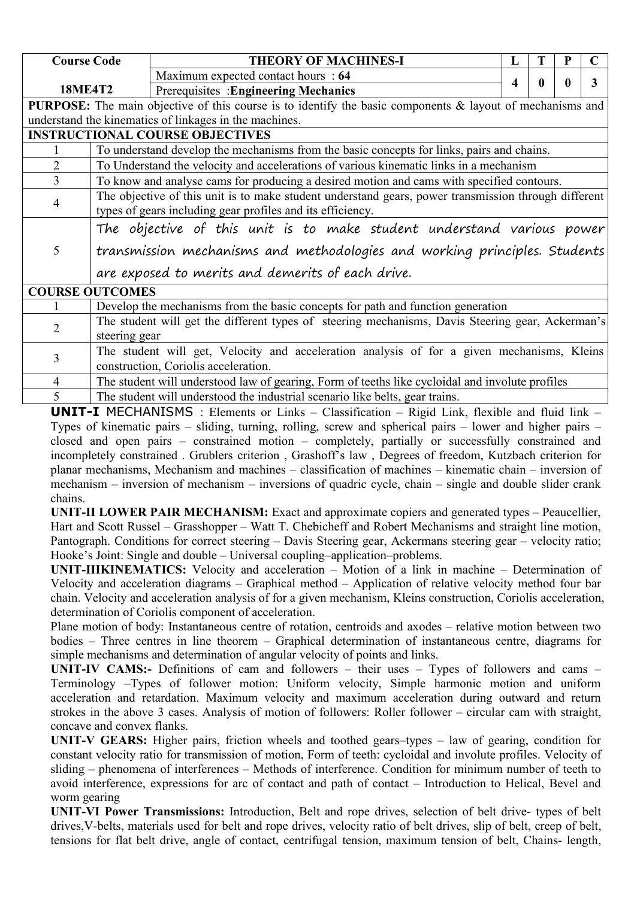| <b>Course Code</b> |                                                                                                                                                                    | <b>THEORY OF MACHINES-I</b>                                                                                                        | L |              | P |   |  |  |  |
|--------------------|--------------------------------------------------------------------------------------------------------------------------------------------------------------------|------------------------------------------------------------------------------------------------------------------------------------|---|--------------|---|---|--|--|--|
|                    |                                                                                                                                                                    | Maximum expected contact hours : 64                                                                                                | 4 | $\mathbf{0}$ |   | 3 |  |  |  |
|                    | <b>18ME4T2</b>                                                                                                                                                     | Prerequisites : Engineering Mechanics                                                                                              |   |              |   |   |  |  |  |
|                    |                                                                                                                                                                    | <b>PURPOSE:</b> The main objective of this course is to identify the basic components & layout of mechanisms and                   |   |              |   |   |  |  |  |
|                    |                                                                                                                                                                    | understand the kinematics of linkages in the machines.                                                                             |   |              |   |   |  |  |  |
|                    |                                                                                                                                                                    | <b>INSTRUCTIONAL COURSE OBJECTIVES</b>                                                                                             |   |              |   |   |  |  |  |
|                    |                                                                                                                                                                    | To understand develop the mechanisms from the basic concepts for links, pairs and chains.                                          |   |              |   |   |  |  |  |
| $\overline{2}$     |                                                                                                                                                                    | To Understand the velocity and accelerations of various kinematic links in a mechanism                                             |   |              |   |   |  |  |  |
| 3                  |                                                                                                                                                                    | To know and analyse cams for producing a desired motion and cams with specified contours.                                          |   |              |   |   |  |  |  |
| 4                  | The objective of this unit is to make student understand gears, power transmission through different<br>types of gears including gear profiles and its efficiency. |                                                                                                                                    |   |              |   |   |  |  |  |
|                    |                                                                                                                                                                    | The objective of this unit is to make student understand various power                                                             |   |              |   |   |  |  |  |
| 5                  |                                                                                                                                                                    | transmission mechanisms and methodologies and working principles. Students<br>are exposed to merits and demerits of each drive.    |   |              |   |   |  |  |  |
|                    | <b>COURSE OUTCOMES</b>                                                                                                                                             |                                                                                                                                    |   |              |   |   |  |  |  |
|                    |                                                                                                                                                                    | Develop the mechanisms from the basic concepts for path and function generation                                                    |   |              |   |   |  |  |  |
| 2                  | steering gear                                                                                                                                                      | The student will get the different types of steering mechanisms, Davis Steering gear, Ackerman's                                   |   |              |   |   |  |  |  |
| 3                  |                                                                                                                                                                    | The student will get, Velocity and acceleration analysis of for a given mechanisms, Kleins<br>construction, Coriolis acceleration. |   |              |   |   |  |  |  |
| 4                  |                                                                                                                                                                    | The student will understood law of gearing, Form of teeths like cycloidal and involute profiles                                    |   |              |   |   |  |  |  |

**UNIT-I** MECHANISMS : Elements or Links – Classification – Rigid Link, flexible and fluid link – Types of kinematic pairs – sliding, turning, rolling, screw and spherical pairs – lower and higher pairs – closed and open pairs – constrained motion – completely, partially or successfully constrained and incompletely constrained . Grublers criterion , Grashoff's law , Degrees of freedom, Kutzbach criterion for planar mechanisms, Mechanism and machines – classification of machines – kinematic chain – inversion of mechanism – inversion of mechanism – inversions of quadric cycle, chain – single and double slider crank chains.

**UNIT-II LOWER PAIR MECHANISM:** Exact and approximate copiers and generated types – Peaucellier, Hart and Scott Russel – Grasshopper – Watt T. Chebicheff and Robert Mechanisms and straight line motion, Pantograph. Conditions for correct steering – Davis Steering gear, Ackermans steering gear – velocity ratio; Hooke's Joint: Single and double – Universal coupling–application–problems.

**UNIT-IIIKINEMATICS:** Velocity and acceleration – Motion of a link in machine – Determination of Velocity and acceleration diagrams – Graphical method – Application of relative velocity method four bar chain. Velocity and acceleration analysis of for a given mechanism, Kleins construction, Coriolis acceleration, determination of Coriolis component of acceleration.

Plane motion of body: Instantaneous centre of rotation, centroids and axodes – relative motion between two bodies – Three centres in line theorem – Graphical determination of instantaneous centre, diagrams for simple mechanisms and determination of angular velocity of points and links.

**UNIT-IV CAMS:-** Definitions of cam and followers – their uses – Types of followers and cams – Terminology –Types of follower motion: Uniform velocity, Simple harmonic motion and uniform acceleration and retardation. Maximum velocity and maximum acceleration during outward and return strokes in the above 3 cases. Analysis of motion of followers: Roller follower – circular cam with straight, concave and convex flanks.

**UNIT-V GEARS:** Higher pairs, friction wheels and toothed gears–types – law of gearing, condition for constant velocity ratio for transmission of motion, Form of teeth: cycloidal and involute profiles. Velocity of sliding – phenomena of interferences – Methods of interference. Condition for minimum number of teeth to avoid interference, expressions for arc of contact and path of contact – Introduction to Helical, Bevel and worm gearing

**UNIT-VI Power Transmissions:** Introduction, Belt and rope drives, selection of belt drive- types of belt drives,V-belts, materials used for belt and rope drives, velocity ratio of belt drives, slip of belt, creep of belt, tensions for flat belt drive, angle of contact, centrifugal tension, maximum tension of belt, Chains- length,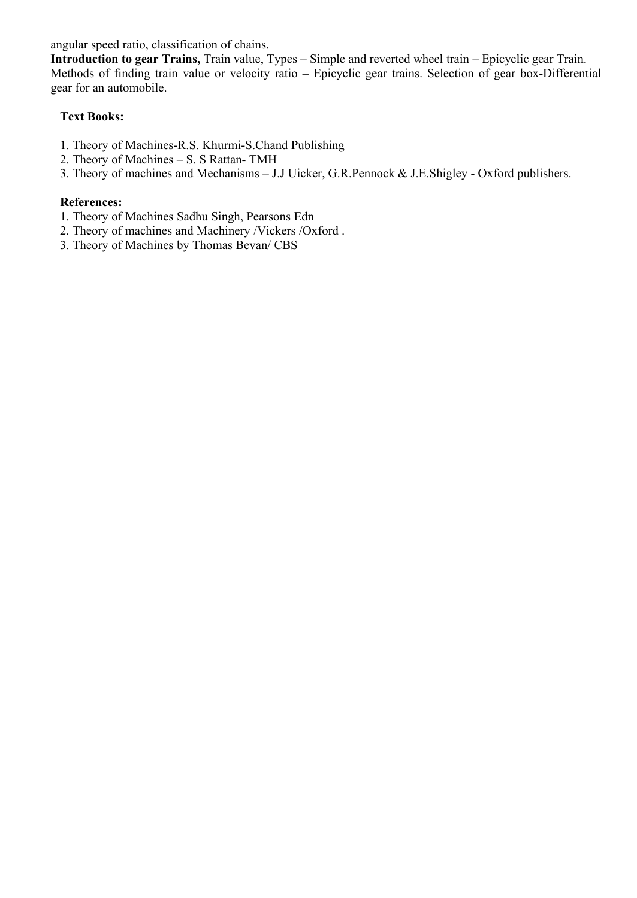angular speed ratio, classification of chains.

**Introduction togear Trains,** Train value, Types – Simple and reverted wheel train – Epicyclic gear Train. Methods of finding train value or velocity ratio – Epicyclic gear trains. Selection of gear box-Differential gear for an automobile.

## **Text Books:**

- 1. Theory of Machines-R.S. Khurmi-S.Chand Publishing
- 2. Theory of Machines S. S Rattan- TMH
- 3. Theory of machines and Mechanisms J.J Uicker, G.R.Pennock & J.E.Shigley Oxford publishers.

#### **References:**

- 1. Theory of Machines Sadhu Singh, Pearsons Edn
- 2. Theory of machines and Machinery /Vickers /Oxford .
- 3. Theory of Machines by Thomas Bevan/ CBS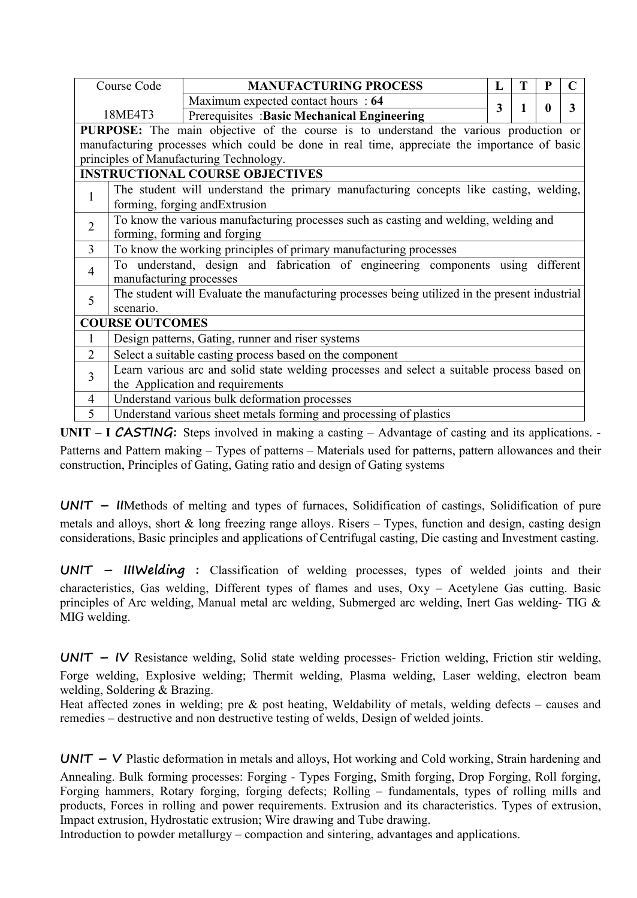|                | Course Code                         | <b>MANUFACTURING PROCESS</b>                                                                   | L |  |   |
|----------------|-------------------------------------|------------------------------------------------------------------------------------------------|---|--|---|
|                |                                     | Maximum expected contact hours : 64                                                            | 3 |  | 3 |
|                | 18ME4T3                             | Prerequisites : Basic Mechanical Engineering                                                   |   |  |   |
|                |                                     | PURPOSE: The main objective of the course is to understand the various production or           |   |  |   |
|                |                                     | manufacturing processes which could be done in real time, appreciate the importance of basic   |   |  |   |
|                |                                     | principles of Manufacturing Technology.                                                        |   |  |   |
|                |                                     | <b>INSTRUCTIONAL COURSE OBJECTIVES</b>                                                         |   |  |   |
| $\mathbf{1}$   |                                     | The student will understand the primary manufacturing concepts like casting, welding,          |   |  |   |
|                |                                     | forming, forging and Extrusion                                                                 |   |  |   |
| $\overline{2}$ |                                     | To know the various manufacturing processes such as casting and welding, welding and           |   |  |   |
|                |                                     | forming, forming and forging                                                                   |   |  |   |
| $\mathfrak{Z}$ |                                     | To know the working principles of primary manufacturing processes                              |   |  |   |
| $\overline{4}$ |                                     | To understand, design and fabrication of engineering components using different                |   |  |   |
|                | manufacturing processes             |                                                                                                |   |  |   |
| 5              |                                     | The student will Evaluate the manufacturing processes being utilized in the present industrial |   |  |   |
|                | scenario.<br><b>COURSE OUTCOMES</b> |                                                                                                |   |  |   |
|                |                                     |                                                                                                |   |  |   |
|                |                                     | Design patterns, Gating, runner and riser systems                                              |   |  |   |
| $\overline{2}$ |                                     | Select a suitable casting process based on the component                                       |   |  |   |
| $\overline{3}$ |                                     | Learn various arc and solid state welding processes and select a suitable process based on     |   |  |   |
|                |                                     | the Application and requirements                                                               |   |  |   |
| $\overline{4}$ |                                     | Understand various bulk deformation processes                                                  |   |  |   |
| 5              |                                     | Understand various sheet metals forming and processing of plastics                             |   |  |   |

**UNIT** – **I CASTING:** Steps involved in making a casting – Advantage of casting and its applications. -Patterns and Pattern making – Types of patterns – Materials used for patterns, pattern allowances and their construction, Principles of Gating, Gating ratio and design of Gating systems

**UNIT – II**Methods of melting and types of furnaces, Solidification of castings, Solidification of pure metals and alloys, short & long freezing range alloys. Risers – Types, function and design, casting design considerations, Basic principles and applications of Centrifugal casting, Die casting and Investment casting.

**UNIT – IIIWelding :** Classification of welding processes, types of welded joints and their characteristics, Gas welding, Different types of flames and uses, Oxy – Acetylene Gas cutting. Basic principles of Arc welding, Manual metal arc welding, Submerged arc welding, Inert Gas welding- TIG & MIG welding.

**UNIT – IV** Resistance welding, Solid state welding processes- Friction welding, Friction stir welding, Forge welding, Explosive welding; Thermit welding, Plasma welding, Laser welding, electron beam welding, Soldering & Brazing.

Heat affected zones in welding; pre & post heating, Weldability of metals, welding defects – causes and remedies – destructive and non destructive testing of welds, Design of welded joints.

**UNIT – V** Plastic deformation in metals and alloys, Hot working and Cold working, Strain hardening and Annealing. Bulk forming processes: Forging - Types Forging, Smith forging, Drop Forging, Roll forging, Forging hammers, Rotary forging, forging defects; Rolling – fundamentals, types of rolling mills and products, Forces in rolling and power requirements. Extrusion and its characteristics. Types of extrusion, Impact extrusion, Hydrostatic extrusion; Wire drawing and Tube drawing.

Introduction to powder metallurgy – compaction and sintering, advantages and applications.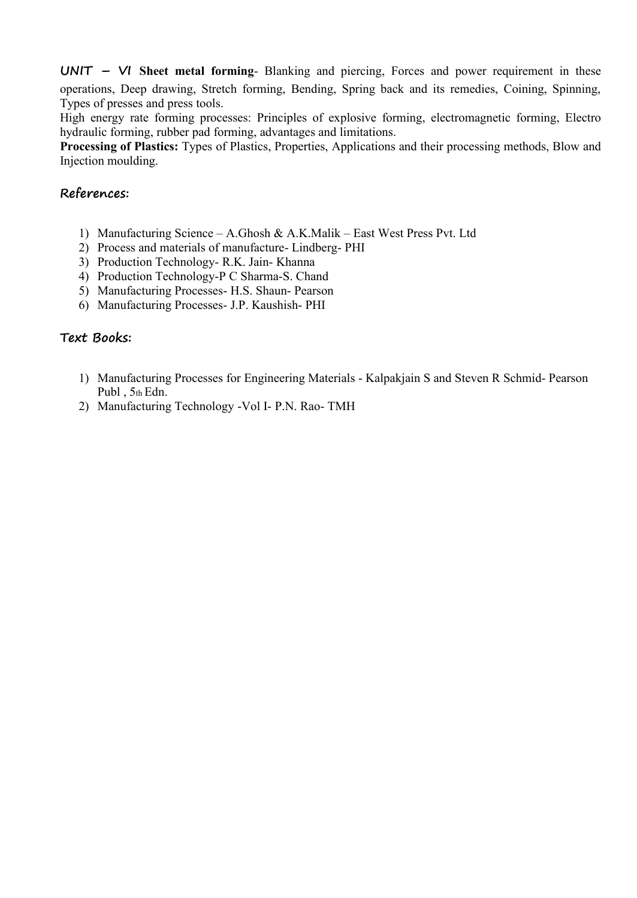**UNIT – VI Sheet metal forming**- Blanking and piercing, Forces and power requirement in these operations, Deep drawing, Stretch forming, Bending, Spring back and its remedies, Coining, Spinning,

High energy rate forming processes: Principles of explosive forming, electromagnetic forming, Electro hydraulic forming, rubber pad forming, advantages and limitations.

**Processing of Plastics:** Types of Plastics, Properties, Applications and their processing methods, Blow and Injection moulding.

#### **References:**

- 1) Manufacturing Science A.Ghosh & A.K.Malik East West Press Pvt. Ltd
- 2) Process and materials of manufacture- Lindberg- PHI
- 3) Production Technology- R.K. Jain- Khanna
- 4) Production Technology-P C Sharma-S. Chand
- 5) Manufacturing Processes- H.S. Shaun- Pearson
- 6) Manufacturing Processes- J.P. Kaushish- PHI

#### **Text Books:**

- 1) Manufacturing Processes for Engineering Materials Kalpakjain S and Steven R Schmid- Pearson Publ,  $5<sub>th</sub>$  Edn.
- 2) Manufacturing Technology -Vol I- P.N. Rao- TMH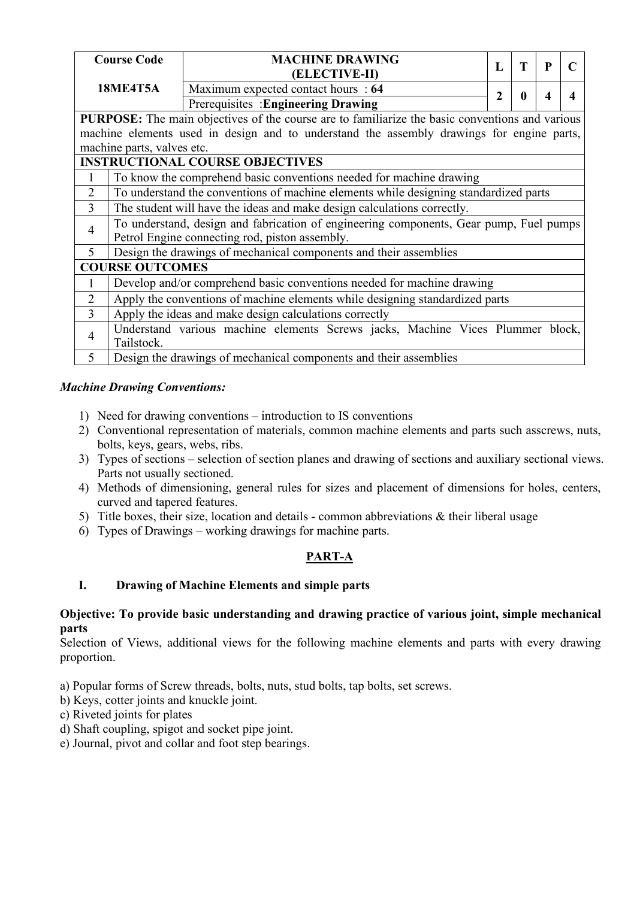|                | <b>Course Code</b>                                                      | <b>MACHINE DRAWING</b>                                                                                 |   |   |   |   |  |  |
|----------------|-------------------------------------------------------------------------|--------------------------------------------------------------------------------------------------------|---|---|---|---|--|--|
|                |                                                                         | (ELECTIVE-II)                                                                                          | L | Т | P |   |  |  |
|                | <b>18ME4T5A</b>                                                         | Maximum expected contact hours : 64                                                                    |   |   |   |   |  |  |
|                |                                                                         | Prerequisites : Engineering Drawing                                                                    | 2 |   | Δ | 4 |  |  |
|                |                                                                         | <b>PURPOSE:</b> The main objectives of the course are to familiarize the basic conventions and various |   |   |   |   |  |  |
|                |                                                                         | machine elements used in design and to understand the assembly drawings for engine parts,              |   |   |   |   |  |  |
|                | machine parts, valves etc.                                              |                                                                                                        |   |   |   |   |  |  |
|                |                                                                         | <b>INSTRUCTIONAL COURSE OBJECTIVES</b>                                                                 |   |   |   |   |  |  |
|                |                                                                         | To know the comprehend basic conventions needed for machine drawing                                    |   |   |   |   |  |  |
| 2              |                                                                         | To understand the conventions of machine elements while designing standardized parts                   |   |   |   |   |  |  |
| $\overline{3}$ | The student will have the ideas and make design calculations correctly. |                                                                                                        |   |   |   |   |  |  |
| 4              |                                                                         | To understand, design and fabrication of engineering components, Gear pump, Fuel pumps                 |   |   |   |   |  |  |
|                |                                                                         | Petrol Engine connecting rod, piston assembly.                                                         |   |   |   |   |  |  |
| $\mathfrak{S}$ |                                                                         | Design the drawings of mechanical components and their assemblies                                      |   |   |   |   |  |  |
|                | <b>COURSE OUTCOMES</b>                                                  |                                                                                                        |   |   |   |   |  |  |
|                |                                                                         | Develop and/or comprehend basic conventions needed for machine drawing                                 |   |   |   |   |  |  |
| $\overline{2}$ |                                                                         | Apply the conventions of machine elements while designing standardized parts                           |   |   |   |   |  |  |
| $\overline{3}$ |                                                                         | Apply the ideas and make design calculations correctly                                                 |   |   |   |   |  |  |
| $\overline{4}$ |                                                                         | Understand various machine elements Screws jacks, Machine Vices Plummer block,                         |   |   |   |   |  |  |
|                | Tailstock.                                                              |                                                                                                        |   |   |   |   |  |  |
| $\mathfrak{S}$ |                                                                         | Design the drawings of mechanical components and their assemblies                                      |   |   |   |   |  |  |

## *Machine Drawing Conventions:*

- 1) Need for drawing conventions introduction to IS conventions
- 2) Conventional representation of materials, common machine elements and parts such asscrews, nuts, bolts, keys, gears, webs, ribs.
- 3) Types of sections selection of section planes and drawing of sections and auxiliary sectional views. Parts not usually sectioned.
- 4) Methods of dimensioning, general rules for sizes and placement of dimensions for holes, centers, curved and tapered features.
- 5) Title boxes, their size, location and details common abbreviations & their liberal usage
- 6) Types of Drawings working drawings for machine parts.

# **PART-A**

# **I. Drawing of Machine Elements and simple parts**

#### **Objective: To provide basic understanding and drawing practice of various joint, simple mechanical parts**

Selection of Views, additional views for the following machine elements and parts with every drawing proportion.

- a) Popular forms of Screw threads, bolts, nuts, stud bolts, tap bolts, set screws.
- b) Keys, cotter joints and knuckle joint.
- c) Riveted joints for plates
- d) Shaft coupling, spigot and socket pipe joint.
- e) Journal, pivot and collar and foot step bearings.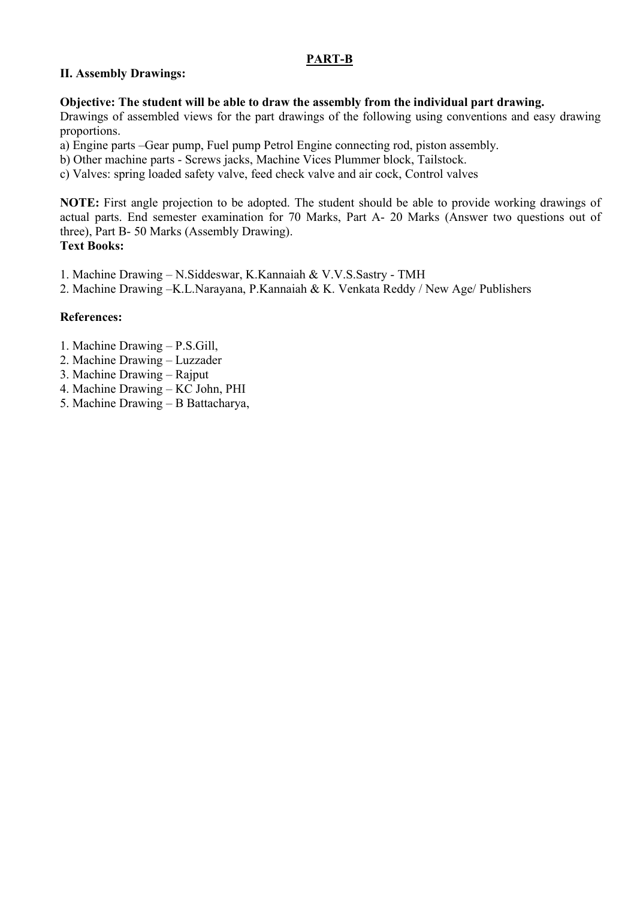#### **PART-B**

#### **II. Assembly Drawings:**

#### **Objective: The student will be able to draw the assembly from the individual part drawing.**

Drawings of assembled views for the part drawings of the following using conventions and easy drawing proportions.

a) Engine parts –Gear pump, Fuel pump Petrol Engine connecting rod, piston assembly.

b) Other machine parts - Screws jacks, Machine Vices Plummer block, Tailstock.

c) Valves: spring loaded safety valve, feed check valve and air cock, Control valves

**NOTE:** First angle projection to be adopted. The student should be able to provide working drawings of actual parts. End semester examination for 70 Marks, Part A- 20 Marks (Answer two questions out of three), Part B- 50 Marks (Assembly Drawing). **Text Books:**

1. Machine Drawing – N.Siddeswar, K.Kannaiah & V.V.S.Sastry - TMH

2. Machine Drawing –K.L.Narayana, P.Kannaiah & K. Venkata Reddy / New Age/ Publishers

#### **References:**

- 1. Machine Drawing P.S.Gill,
- 2. Machine Drawing Luzzader
- 3. Machine Drawing Rajput
- 4. Machine Drawing KC John, PHI
- 5. Machine Drawing B Battacharya,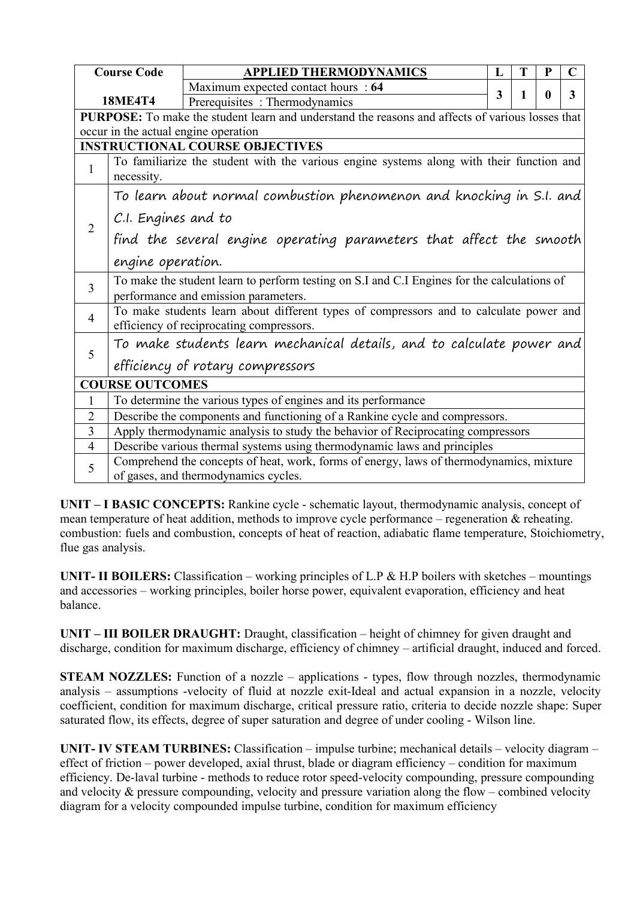|                                        | <b>Course Code</b>                                                                                     | <b>APPLIED THERMODYNAMICS</b>                                                                                                       | L | Т | P | $\mathbf C$ |  |  |  |
|----------------------------------------|--------------------------------------------------------------------------------------------------------|-------------------------------------------------------------------------------------------------------------------------------------|---|---|---|-------------|--|--|--|
|                                        |                                                                                                        | Maximum expected contact hours : 64                                                                                                 | 3 |   | 0 | 3           |  |  |  |
|                                        | <b>18ME4T4</b>                                                                                         | Prerequisites: Thermodynamics                                                                                                       |   |   |   |             |  |  |  |
|                                        |                                                                                                        | PURPOSE: To make the student learn and understand the reasons and affects of various losses that                                    |   |   |   |             |  |  |  |
|                                        |                                                                                                        | occur in the actual engine operation                                                                                                |   |   |   |             |  |  |  |
| <b>INSTRUCTIONAL COURSE OBJECTIVES</b> |                                                                                                        |                                                                                                                                     |   |   |   |             |  |  |  |
| $\mathbf{1}$                           | To familiarize the student with the various engine systems along with their function and<br>necessity. |                                                                                                                                     |   |   |   |             |  |  |  |
|                                        |                                                                                                        | To learn about normal combustion phenomenon and knocking in S.I. and                                                                |   |   |   |             |  |  |  |
| 2                                      |                                                                                                        | C.I. Engines and to                                                                                                                 |   |   |   |             |  |  |  |
|                                        | find the several engine operating parameters that affect the smooth                                    |                                                                                                                                     |   |   |   |             |  |  |  |
|                                        | engine operation.                                                                                      |                                                                                                                                     |   |   |   |             |  |  |  |
| $\overline{3}$                         |                                                                                                        | To make the student learn to perform testing on S.I and C.I Engines for the calculations of<br>performance and emission parameters. |   |   |   |             |  |  |  |
| $\overline{4}$                         |                                                                                                        | To make students learn about different types of compressors and to calculate power and<br>efficiency of reciprocating compressors.  |   |   |   |             |  |  |  |
|                                        |                                                                                                        | To make students learn mechanical details, and to calculate power and                                                               |   |   |   |             |  |  |  |
| 5                                      |                                                                                                        | efficiency of rotary compressors                                                                                                    |   |   |   |             |  |  |  |
|                                        | <b>COURSE OUTCOMES</b>                                                                                 |                                                                                                                                     |   |   |   |             |  |  |  |
|                                        |                                                                                                        | To determine the various types of engines and its performance                                                                       |   |   |   |             |  |  |  |
| 2                                      |                                                                                                        | Describe the components and functioning of a Rankine cycle and compressors.                                                         |   |   |   |             |  |  |  |
| 3                                      |                                                                                                        | Apply thermodynamic analysis to study the behavior of Reciprocating compressors                                                     |   |   |   |             |  |  |  |
| $\overline{4}$                         |                                                                                                        | Describe various thermal systems using thermodynamic laws and principles                                                            |   |   |   |             |  |  |  |
| 5                                      |                                                                                                        | Comprehend the concepts of heat, work, forms of energy, laws of thermodynamics, mixture<br>of gases, and thermodynamics cycles.     |   |   |   |             |  |  |  |

**UNIT** – **I BASIC CONCEPTS:** Rankine cycle - schematic layout, thermodynamic analysis, concept of mean temperature of heat addition, methods to improve cycle performance – regeneration & reheating. combustion: fuels and combustion, concepts of heat of reaction, adiabatic flame temperature, Stoichiometry, flue gas analysis.

**UNIT- II** BOILERS: Classification – working principles of L.P & H.P boilers with sketches – mountings and accessories – working principles, boiler horse power, equivalent evaporation, efficiency and heat balance.

**UNIT – III BOILER DRAUGHT:** Draught, classification – height of chimney for given draught and discharge, condition for maximum discharge, efficiency of chimney – artificial draught, induced and forced.

**STEAM NOZZLES:** Function of a nozzle – applications - types, flow through nozzles, thermodynamic analysis – assumptions -velocity of fluid at nozzle exit-Ideal and actual expansion in a nozzle, velocity coefficient, condition for maximum discharge, critical pressure ratio, criteria to decide nozzle shape: Super saturated flow, its effects, degree of super saturation and degree of under cooling - Wilson line.

**UNIT- IV STEAM TURBINES:** Classification – impulse turbine; mechanical details – velocity diagram – effect of friction – power developed, axial thrust, blade or diagram efficiency – condition for maximum efficiency. De-laval turbine - methods to reduce rotor speed-velocity compounding, pressure compounding and velocity & pressure compounding, velocity and pressure variation along the flow – combined velocity diagram for a velocity compounded impulse turbine, condition for maximum efficiency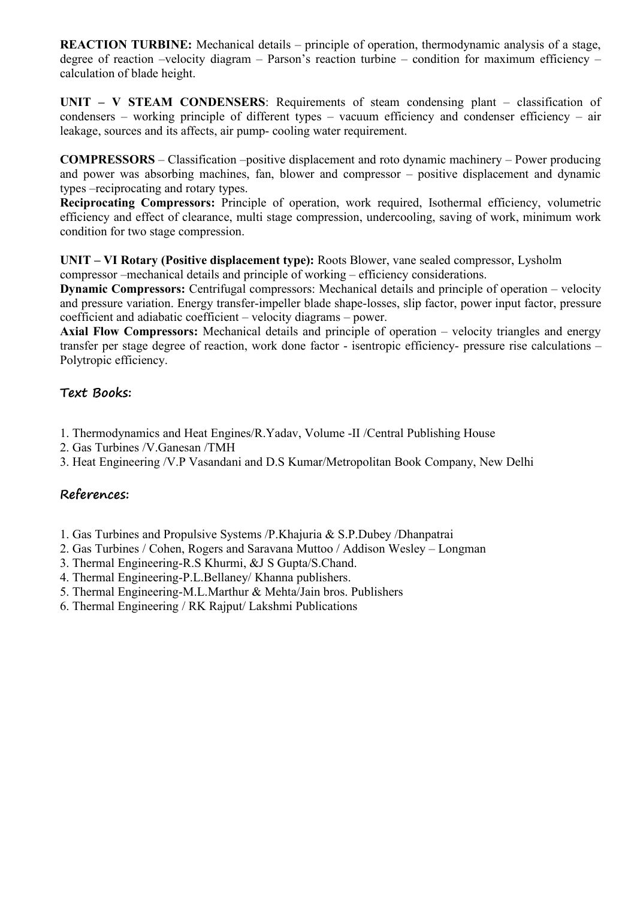**REACTION TURBINE:** Mechanical details – principle of operation, thermodynamic analysis of a stage, degree of reaction –velocity diagram – Parson's reaction turbine – condition for maximum efficiency – calculation of blade height.

**UNIT – V STEAM CONDENSERS**: Requirements of steam condensing plant – classification of condensers – working principle of different types – vacuum efficiency and condenser efficiency – air leakage, sources and its affects, air pump- cooling water requirement.

**COMPRESSORS** – Classification –positive displacement and roto dynamic machinery – Power producing and power was absorbing machines, fan, blower and compressor – positive displacement and dynamic types –reciprocating and rotary types.

**Reciprocating Compressors:** Principle of operation, work required, Isothermal efficiency, volumetric efficiency and effect of clearance, multi stage compression, undercooling, saving of work, minimum work condition for two stage compression.

**UNIT – VI Rotary (Positive displacement type):** Roots Blower, vane sealed compressor, Lysholm compressor –mechanical details and principle of working – efficiency considerations.

**Dynamic Compressors:** Centrifugal compressors: Mechanical details and principle of operation – velocity and pressure variation. Energy transfer-impeller blade shape-losses, slip factor, power input factor, pressure coefficient and adiabatic coefficient – velocity diagrams – power.

**Axial Flow Compressors:** Mechanical details and principle of operation – velocity triangles and energy transfer per stage degree of reaction, work done factor - isentropic efficiency- pressure rise calculations – Polytropic efficiency.

## **Text Books:**

- 1. Thermodynamics and Heat Engines/R.Yadav, Volume -II /Central Publishing House
- 2. Gas Turbines /V.Ganesan /TMH
- 3. Heat Engineering /V.P Vasandani and D.S Kumar/Metropolitan Book Company, New Delhi

# **References:**

- 1. Gas Turbines and Propulsive Systems /P.Khajuria & S.P.Dubey /Dhanpatrai
- 2. Gas Turbines / Cohen, Rogers and Saravana Muttoo / Addison Wesley Longman
- 3. Thermal Engineering-R.S Khurmi, &J S Gupta/S.Chand.
- 4. Thermal Engineering-P.L.Bellaney/ Khanna publishers.
- 5. Thermal Engineering-M.L.Marthur & Mehta/Jain bros. Publishers
- 6. Thermal Engineering / RK Rajput/ Lakshmi Publications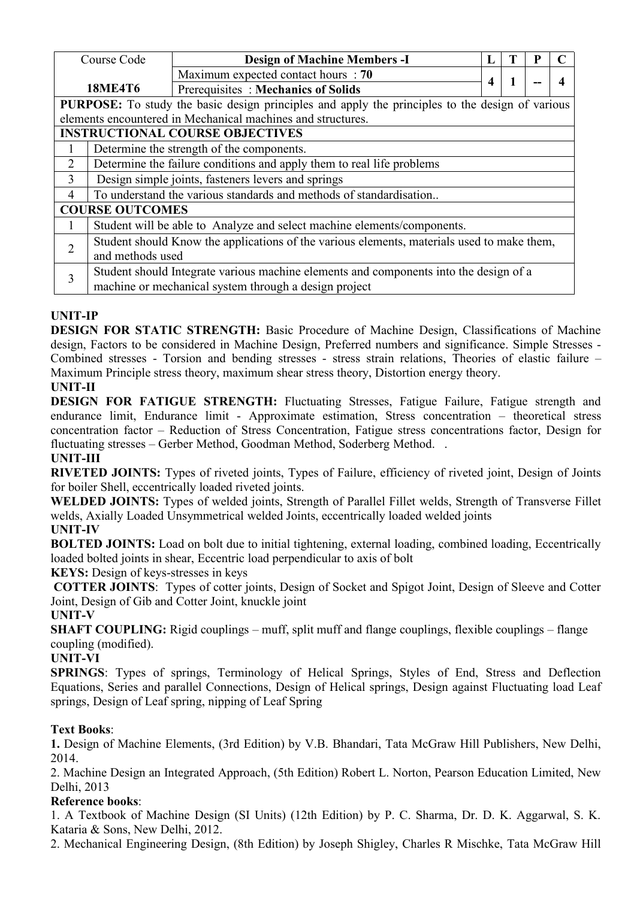|                                                                                                        | Course Code            | <b>Design of Machine Members -I</b>                                                        |   |  |  |                  |  |  |  |
|--------------------------------------------------------------------------------------------------------|------------------------|--------------------------------------------------------------------------------------------|---|--|--|------------------|--|--|--|
|                                                                                                        |                        | Maximum expected contact hours : 70                                                        |   |  |  | $\boldsymbol{4}$ |  |  |  |
|                                                                                                        | <b>18ME4T6</b>         | Prerequisites: Mechanics of Solids                                                         | 4 |  |  |                  |  |  |  |
| <b>PURPOSE:</b> To study the basic design principles and apply the principles to the design of various |                        |                                                                                            |   |  |  |                  |  |  |  |
|                                                                                                        |                        | elements encountered in Mechanical machines and structures.                                |   |  |  |                  |  |  |  |
|                                                                                                        |                        | <b>INSTRUCTIONAL COURSE OBJECTIVES</b>                                                     |   |  |  |                  |  |  |  |
|                                                                                                        |                        | Determine the strength of the components.                                                  |   |  |  |                  |  |  |  |
| 2                                                                                                      |                        | Determine the failure conditions and apply them to real life problems                      |   |  |  |                  |  |  |  |
| 3                                                                                                      |                        | Design simple joints, fasteners levers and springs                                         |   |  |  |                  |  |  |  |
| 4                                                                                                      |                        | To understand the various standards and methods of standardisation                         |   |  |  |                  |  |  |  |
|                                                                                                        | <b>COURSE OUTCOMES</b> |                                                                                            |   |  |  |                  |  |  |  |
|                                                                                                        |                        | Student will be able to Analyze and select machine elements/components.                    |   |  |  |                  |  |  |  |
|                                                                                                        |                        | Student should Know the applications of the various elements, materials used to make them, |   |  |  |                  |  |  |  |
| $\overline{2}$                                                                                         | and methods used       |                                                                                            |   |  |  |                  |  |  |  |
| 3                                                                                                      |                        | Student should Integrate various machine elements and components into the design of a      |   |  |  |                  |  |  |  |
|                                                                                                        |                        | machine or mechanical system through a design project                                      |   |  |  |                  |  |  |  |

# **UNIT-IP**

**DESIGN FOR STATIC STRENGTH:** Basic Procedure of Machine Design, Classifications of Machine design, Factors to be considered in Machine Design, Preferred numbers and significance. Simple Stresses - Combined stresses - Torsion and bending stresses - stress strain relations, Theories of elastic failure – Maximum Principle stress theory, maximum shear stress theory, Distortion energy theory.

# **UNIT-II**

**DESIGN FOR FATIGUE STRENGTH:** Fluctuating Stresses, Fatigue Failure, Fatigue strength and endurance limit, Endurance limit - Approximate estimation, Stress concentration – theoretical stress concentration factor – Reduction of Stress Concentration, Fatigue stress concentrations factor, Design for fluctuating stresses – Gerber Method, Goodman Method, Soderberg Method. .

## **UNIT-III**

**RIVETED JOINTS:** Types of riveted joints, Types of Failure, efficiency of riveted joint, Design of Joints for boiler Shell, eccentrically loaded riveted joints.

**WELDED JOINTS:** Types of welded joints, Strength of Parallel Fillet welds, Strength of Transverse Fillet welds, Axially Loaded Unsymmetrical welded Joints, eccentrically loaded welded joints

## **UNIT-IV**

**BOLTED <b>JOINTS:** Load on bolt due to initial tightening, external loading, combined loading, Eccentrically loaded bolted joints in shear, Eccentric load perpendicular to axis of bolt

**KEYS:** Design of keys-stresses in keys

**COTTER JOINTS**: Types of cotter joints, Design of Socket and Spigot Joint, Design of Sleeve and Cotter Joint, Design of Gib and Cotter Joint, knuckle joint

## **UNIT-V**

**SHAFT COUPLING:** Rigid couplings – muff, split muff and flange couplings, flexible couplings – flange coupling (modified).

## **UNIT-VI**

**SPRINGS**: Types of springs, Terminology of Helical Springs, Styles of End, Stress and Deflection Equations, Series and parallel Connections, Design of Helical springs, Design against Fluctuating load Leaf springs, Design of Leaf spring, nipping of Leaf Spring

## **Text Books**:

**1.** Design of Machine Elements, (3rd Edition) by V.B. Bhandari, Tata McGraw Hill Publishers, New Delhi, 2014.

2. Machine Design an Integrated Approach, (5th Edition) Robert L. Norton, Pearson Education Limited, New Delhi, 2013

## **Reference books**:

1. A Textbook of Machine Design (SI Units) (12th Edition) by P. C. Sharma, Dr. D. K. Aggarwal, S. K. Kataria & Sons, New Delhi, 2012.

2. Mechanical Engineering Design, (8th Edition) by Joseph Shigley, Charles R Mischke, Tata McGraw Hill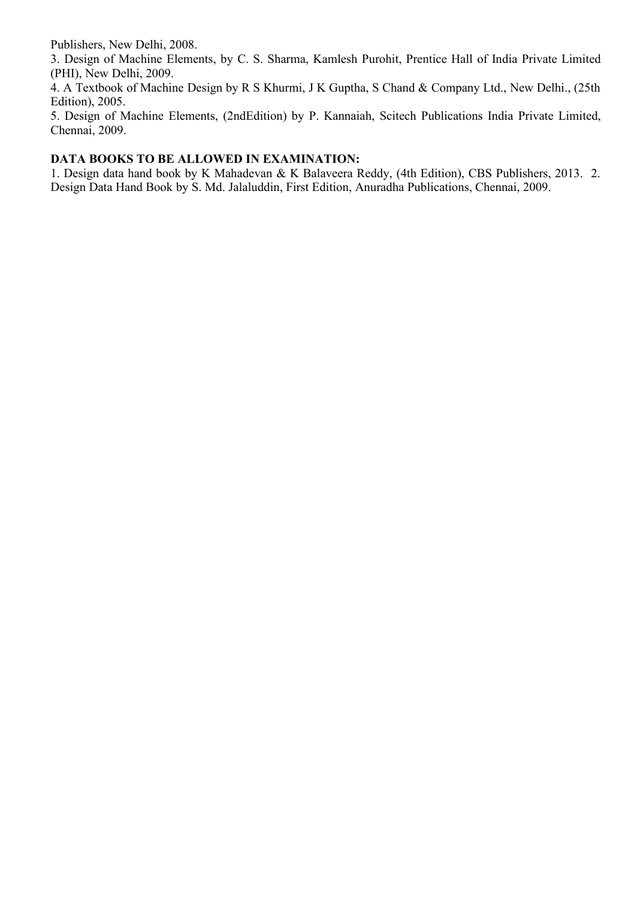Publishers, New Delhi, 2008.

3. Design of Machine Elements, by C. S. Sharma, Kamlesh Purohit, Prentice Hall of India Private Limited (PHI), New Delhi, 2009.

4. A Textbook of Machine Design by R S Khurmi, J K Guptha, S Chand & Company Ltd., New Delhi., (25th Edition), 2005.

5. Design of Machine Elements, (2ndEdition) by P. Kannaiah, Scitech Publications India Private Limited, Chennai, 2009.

## **DATA BOOKS TO BE ALLOWED IN EXAMINATION:**

1. Design data hand book by K Mahadevan & K Balaveera Reddy, (4th Edition), CBS Publishers, 2013. 2. Design Data Hand Book by S.Md. Jalaluddin, First Edition, Anuradha Publications, Chennai, 2009.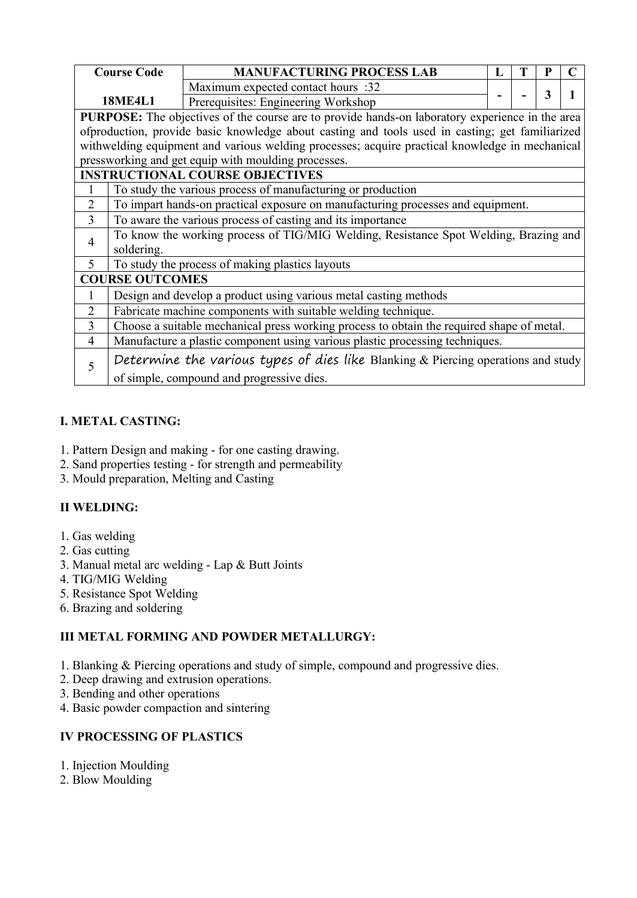|                | <b>Course Code</b>                                         | <b>MANUFACTURING PROCESS LAB</b>                                                                |   |  |   |  |  |  |
|----------------|------------------------------------------------------------|-------------------------------------------------------------------------------------------------|---|--|---|--|--|--|
|                |                                                            |                                                                                                 | L |  |   |  |  |  |
|                |                                                            | Maximum expected contact hours :32                                                              |   |  | 3 |  |  |  |
|                | <b>18ME4L1</b>                                             | Prerequisites: Engineering Workshop                                                             |   |  |   |  |  |  |
|                |                                                            | PURPOSE: The objectives of the course are to provide hands-on laboratory experience in the area |   |  |   |  |  |  |
|                |                                                            | ofproduction, provide basic knowledge about casting and tools used in casting; get familiarized |   |  |   |  |  |  |
|                |                                                            | withwelding equipment and various welding processes; acquire practical knowledge in mechanical  |   |  |   |  |  |  |
|                |                                                            | pressworking and get equip with moulding processes.                                             |   |  |   |  |  |  |
|                |                                                            | <b>INSTRUCTIONAL COURSE OBJECTIVES</b>                                                          |   |  |   |  |  |  |
|                |                                                            | To study the various process of manufacturing or production                                     |   |  |   |  |  |  |
| $\overline{2}$ |                                                            | To impart hands-on practical exposure on manufacturing processes and equipment.                 |   |  |   |  |  |  |
| $\overline{3}$ | To aware the various process of casting and its importance |                                                                                                 |   |  |   |  |  |  |
| $\overline{4}$ |                                                            | To know the working process of TIG/MIG Welding, Resistance Spot Welding, Brazing and            |   |  |   |  |  |  |
|                | soldering.                                                 |                                                                                                 |   |  |   |  |  |  |
| $\mathfrak{S}$ |                                                            | To study the process of making plastics layouts                                                 |   |  |   |  |  |  |
|                | <b>COURSE OUTCOMES</b>                                     |                                                                                                 |   |  |   |  |  |  |
|                |                                                            | Design and develop a product using various metal casting methods                                |   |  |   |  |  |  |
| $\overline{2}$ |                                                            | Fabricate machine components with suitable welding technique.                                   |   |  |   |  |  |  |
| $\overline{3}$ |                                                            | Choose a suitable mechanical press working process to obtain the required shape of metal.       |   |  |   |  |  |  |
| $\overline{4}$ |                                                            | Manufacture a plastic component using various plastic processing techniques.                    |   |  |   |  |  |  |
| 5              |                                                            | Determine the various types of dies like Blanking & Piercing operations and study               |   |  |   |  |  |  |
|                |                                                            | of simple, compound and progressive dies.                                                       |   |  |   |  |  |  |

# **I. METAL CASTING:**

- 1. Pattern Design and making for one casting drawing.
- 2. Sand properties testing for strength and permeability
- 3. Mould preparation, Melting and Casting

## **II WELDING:**

- 1. Gas welding
- 2. Gas cutting
- 3. Manual metal arc welding Lap & Butt Joints
- 4. TIG/MIG Welding
- 5. Resistance Spot Welding
- 6. Brazing and soldering

## **III METAL FORMING AND POWDER METALLURGY:**

- 1. Blanking & Piercing operations and study of simple, compound and progressive dies.
- 2. Deep drawing and extrusion operations.
- 3. Bending and other operations
- 4. Basic powder compaction and sintering

## **IV PROCESSING OF PLASTICS**

- 1. Injection Moulding
- 2. Blow Moulding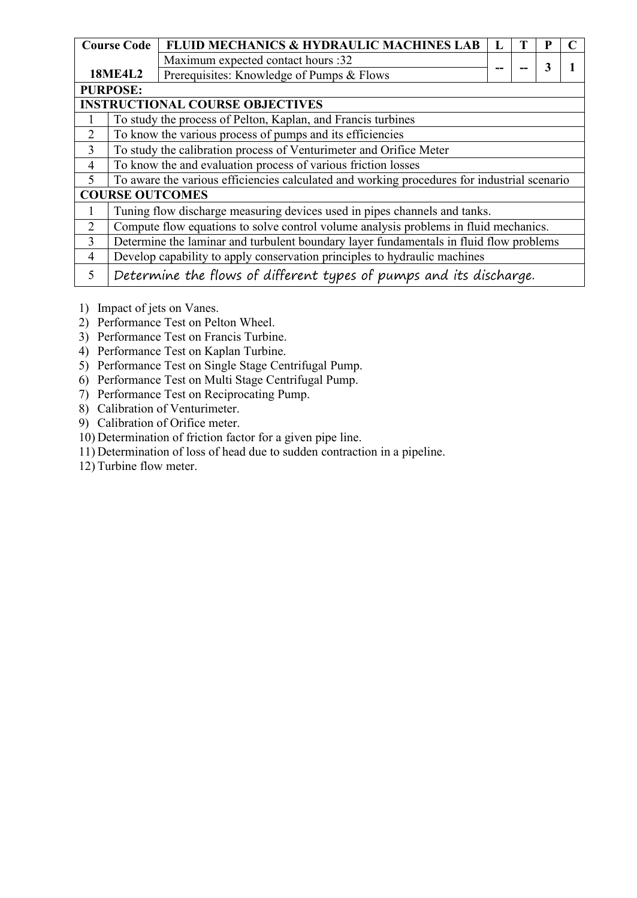|                | <b>Course Code</b> | FLUID MECHANICS & HYDRAULIC MACHINES LAB                                                    |  |   |  |
|----------------|--------------------|---------------------------------------------------------------------------------------------|--|---|--|
|                |                    | Maximum expected contact hours :32                                                          |  | 3 |  |
|                | <b>18ME4L2</b>     | Prerequisites: Knowledge of Pumps & Flows                                                   |  |   |  |
|                | <b>PURPOSE:</b>    |                                                                                             |  |   |  |
|                |                    | <b>INSTRUCTIONAL COURSE OBJECTIVES</b>                                                      |  |   |  |
|                |                    | To study the process of Pelton, Kaplan, and Francis turbines                                |  |   |  |
| $\overline{2}$ |                    | To know the various process of pumps and its efficiencies                                   |  |   |  |
| $\mathfrak{Z}$ |                    | To study the calibration process of Venturimeter and Orifice Meter                          |  |   |  |
| $\overline{4}$ |                    | To know the and evaluation process of various friction losses                               |  |   |  |
| 5              |                    | To aware the various efficiencies calculated and working procedures for industrial scenario |  |   |  |
|                |                    | <b>COURSE OUTCOMES</b>                                                                      |  |   |  |
|                |                    | Tuning flow discharge measuring devices used in pipes channels and tanks.                   |  |   |  |
| $\overline{2}$ |                    | Compute flow equations to solve control volume analysis problems in fluid mechanics.        |  |   |  |
| 3              |                    | Determine the laminar and turbulent boundary layer fundamentals in fluid flow problems      |  |   |  |
| $\overline{4}$ |                    | Develop capability to apply conservation principles to hydraulic machines                   |  |   |  |
| 5              |                    | Determine the flows of different types of pumps and its discharge.                          |  |   |  |

- 1) Impact of jets on Vanes.
- 2) Performance Test on Pelton Wheel.
- 3) Performance Test on Francis Turbine.
- 4) Performance Test on Kaplan Turbine.
- 5) Performance Test on Single Stage Centrifugal Pump.
- 6) Performance Test on Multi Stage Centrifugal Pump.
- 7) Performance Test on Reciprocating Pump.
- 8) Calibration of Venturimeter.
- 9) Calibration of Orifice meter.
- 10) Determination of friction factor for a given pipe line.
- 11) Determination of loss ofhead due to sudden contraction in a pipeline.
- 12) Turbine flow meter.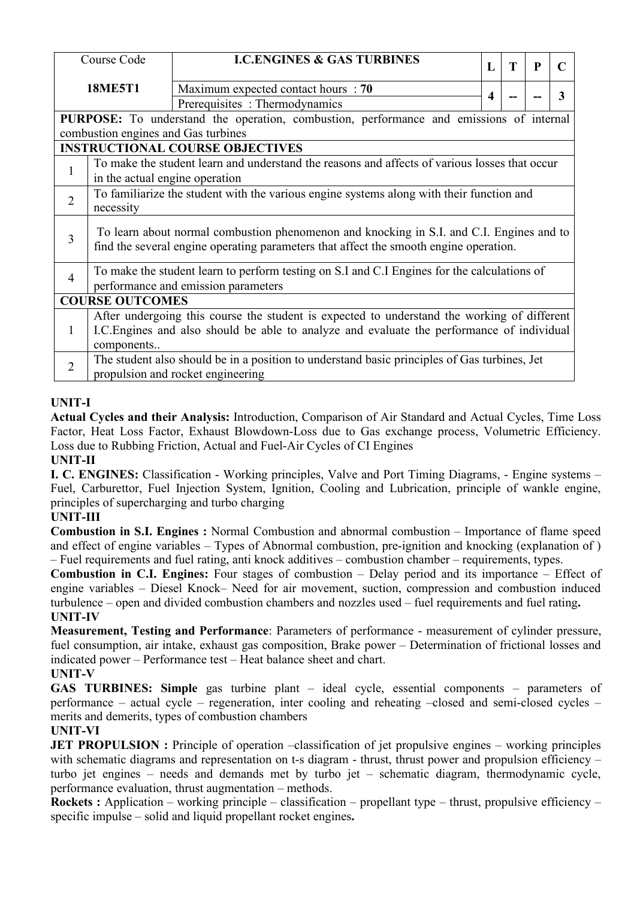|                | Course Code                                                                                                                     | <b>I.C.ENGINES &amp; GAS TURBINES</b>                                                                                                                                                     | L | T | P |   |  |  |
|----------------|---------------------------------------------------------------------------------------------------------------------------------|-------------------------------------------------------------------------------------------------------------------------------------------------------------------------------------------|---|---|---|---|--|--|
|                | <b>18ME5T1</b>                                                                                                                  | Maximum expected contact hours : 70<br>Prerequisites: Thermodynamics                                                                                                                      | 4 |   |   | 3 |  |  |
|                | combustion engines and Gas turbines                                                                                             | PURPOSE: To understand the operation, combustion, performance and emissions of internal                                                                                                   |   |   |   |   |  |  |
|                |                                                                                                                                 | <b>INSTRUCTIONAL COURSE OBJECTIVES</b>                                                                                                                                                    |   |   |   |   |  |  |
|                | To make the student learn and understand the reasons and affects of various losses that occur<br>in the actual engine operation |                                                                                                                                                                                           |   |   |   |   |  |  |
| $\overline{2}$ | To familiarize the student with the various engine systems along with their function and<br>necessity                           |                                                                                                                                                                                           |   |   |   |   |  |  |
| 3              |                                                                                                                                 | To learn about normal combustion phenomenon and knocking in S.I. and C.I. Engines and to<br>find the several engine operating parameters that affect the smooth engine operation.         |   |   |   |   |  |  |
| $\overline{4}$ |                                                                                                                                 | To make the student learn to perform testing on S.I and C.I Engines for the calculations of<br>performance and emission parameters                                                        |   |   |   |   |  |  |
|                | <b>COURSE OUTCOMES</b>                                                                                                          |                                                                                                                                                                                           |   |   |   |   |  |  |
| 1              | components                                                                                                                      | After undergoing this course the student is expected to understand the working of different<br>I.C. Engines and also should be able to analyze and evaluate the performance of individual |   |   |   |   |  |  |
| $\overline{2}$ |                                                                                                                                 | The student also should be in a position to understand basic principles of Gas turbines, Jet<br>propulsion and rocket engineering                                                         |   |   |   |   |  |  |

## **UNIT-I**

**Actual Cycles and their Analysis:** Introduction, Comparison of Air Standard and Actual Cycles, Time Loss Factor, Heat Loss Factor, Exhaust Blowdown-Loss due to Gas exchange process, Volumetric Efficiency. Loss due to Rubbing Friction, Actual and Fuel-Air Cycles of CI Engines

**UNIT-II**

**I. C. ENGINES:** Classification - Working principles, Valve and Port Timing Diagrams, - Engine systems – Fuel, Carburettor, Fuel Injection System, Ignition, Cooling and Lubrication, principle of wankle engine, principles of supercharging and turbo charging

#### **UNIT-III**

**Combustion in S.I. Engines :** Normal Combustion and abnormal combustion – Importance of flame speed and effect of engine variables – Types of Abnormal combustion, pre-ignition and knocking (explanation of ) – Fuel requirements and fuel rating, anti knock additives – combustion chamber – requirements, types.

**Combustion in C.I. Engines:** Four stages of combustion – Delay period and its importance – Effect of engine variables – Diesel Knock– Need for air movement, suction, compression and combustion induced turbulence – open and divided combustion chambers and nozzles used – fuel requirements and fuel rating**. UNIT-IV**

**Measurement, Testing and Performance**: Parameters of performance - measurement of cylinder pressure, fuel consumption, air intake, exhaust gas composition, Brake power – Determination of frictional losses and indicated power – Performance test – Heat balance sheet and chart.

#### **UNIT-V**

**GAS TURBINES: Simple** gas turbine plant – ideal cycle, essential components – parameters of performance – actual cycle – regeneration, inter cooling and reheating –closed and semi-closed cycles – merits and demerits, types of combustion chambers

#### **UNIT-VI**

**JET PROPULSION :** Principle of operation –classification of jet propulsive engines – working principles with schematic diagrams and representation on t-s diagram - thrust, thrust power and propulsion efficiency turbo jet engines – needs and demands met by turbo jet – schematic diagram, thermodynamic cycle, performance evaluation, thrust augmentation – methods.

**Rockets :** Application – working principle – classification – propellant type – thrust, propulsive efficiency – specific impulse – solid and liquid propellant rocket engines.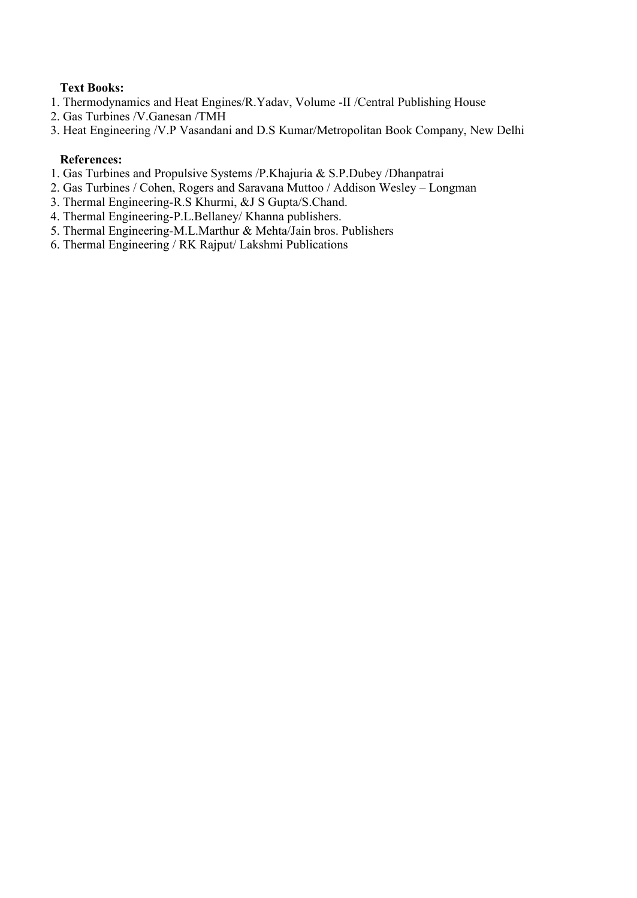## **Text Books:**

- 1. Thermodynamics and Heat Engines/R.Yadav, Volume -II /Central Publishing House
- 2. Gas Turbines /V.Ganesan /TMH
- 3. Heat Engineering /V.P Vasandani and D.S Kumar/Metropolitan Book Company, New Delhi

#### **References:**

- 1. Gas Turbines and Propulsive Systems /P.Khajuria & S.P.Dubey /Dhanpatrai
- 2. Gas Turbines / Cohen, Rogers and Saravana Muttoo / Addison Wesley Longman
- 3. Thermal Engineering-R.S Khurmi, &J S Gupta/S.Chand.
- 4. Thermal Engineering-P.L.Bellaney/ Khanna publishers.
- 5. Thermal Engineering-M.L.Marthur & Mehta/Jain bros. Publishers
- 6. Thermal Engineering / RK Rajput/ Lakshmi Publications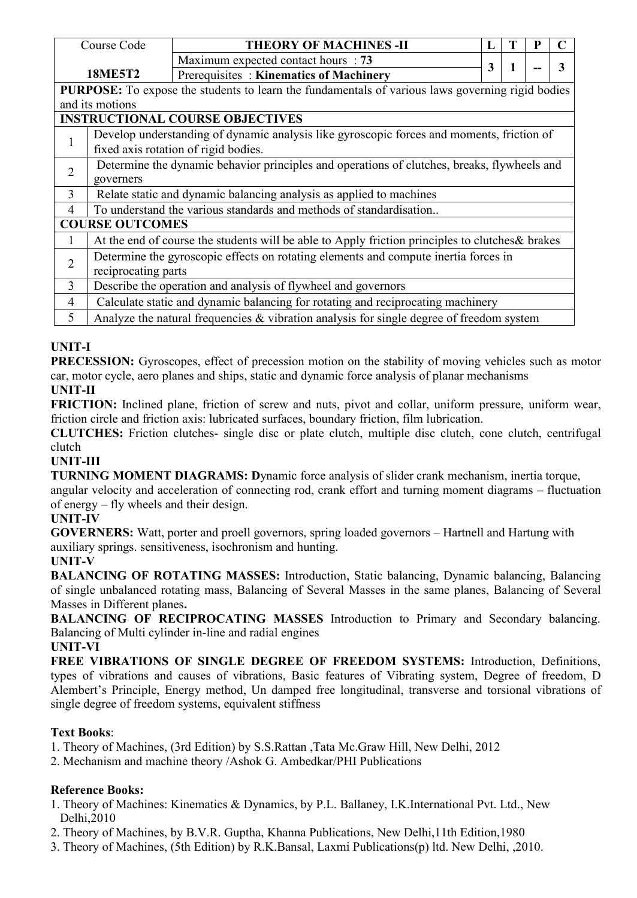|                | Course Code            | <b>THEORY OF MACHINES -II</b>                                                                    |   | T |  |   |  |  |  |  |
|----------------|------------------------|--------------------------------------------------------------------------------------------------|---|---|--|---|--|--|--|--|
|                |                        | Maximum expected contact hours : 73                                                              | 3 | 1 |  | 3 |  |  |  |  |
|                | <b>18ME5T2</b>         | Prerequisites: Kinematics of Machinery                                                           |   |   |  |   |  |  |  |  |
|                |                        | PURPOSE: To expose the students to learn the fundamentals of various laws governing rigid bodies |   |   |  |   |  |  |  |  |
|                | and its motions        |                                                                                                  |   |   |  |   |  |  |  |  |
|                |                        | <b>INSTRUCTIONAL COURSE OBJECTIVES</b>                                                           |   |   |  |   |  |  |  |  |
|                |                        | Develop understanding of dynamic analysis like gyroscopic forces and moments, friction of        |   |   |  |   |  |  |  |  |
|                |                        | fixed axis rotation of rigid bodies.                                                             |   |   |  |   |  |  |  |  |
| $\overline{2}$ |                        |                                                                                                  |   |   |  |   |  |  |  |  |
|                | governers              | Determine the dynamic behavior principles and operations of clutches, breaks, flywheels and      |   |   |  |   |  |  |  |  |
| 3              |                        | Relate static and dynamic balancing analysis as applied to machines                              |   |   |  |   |  |  |  |  |
| 4              |                        | To understand the various standards and methods of standardisation                               |   |   |  |   |  |  |  |  |
|                | <b>COURSE OUTCOMES</b> |                                                                                                  |   |   |  |   |  |  |  |  |
|                |                        | At the end of course the students will be able to Apply friction principles to clutches & brakes |   |   |  |   |  |  |  |  |
|                |                        | Determine the gyroscopic effects on rotating elements and compute inertia forces in              |   |   |  |   |  |  |  |  |
| $\overline{2}$ | reciprocating parts    |                                                                                                  |   |   |  |   |  |  |  |  |
| 3              |                        | Describe the operation and analysis of flywheel and governors                                    |   |   |  |   |  |  |  |  |
| $\overline{4}$ |                        | Calculate static and dynamic balancing for rotating and reciprocating machinery                  |   |   |  |   |  |  |  |  |
| 5              |                        | Analyze the natural frequencies $\&$ vibration analysis for single degree of freedom system      |   |   |  |   |  |  |  |  |

# **UNIT-I**

**PRECESSION:** Gyroscopes, effect of precession motion on the stability of moving vehicles such as motor car, motor cycle, aero planes and ships, static and dynamic force analysis of planar mechanisms

# **UNIT-II**

**FRICTION:** Inclined plane, friction of screw and nuts, pivot and collar, uniform pressure, uniform wear, friction circle and friction axis: lubricated surfaces, boundary friction, film lubrication.

**CLUTCHES:** Friction clutches- single disc or plate clutch, multiple disc clutch, cone clutch, centrifugal clutch

## **UNIT-III**

**TURNING MOMENT DIAGRAMS: Dynamic force analysis of slider crank mechanism, inertia torque,** 

angular velocity and acceleration of connecting rod, crank effort and turning moment diagrams – fluctuation of energy – fly wheels and their design.

## **UNIT-IV**

**GOVERNERS:** Watt, porter and proell governors, spring loaded governors – Hartnell and Hartung with auxiliary springs. sensitiveness, isochronism and hunting.

## **UNIT-V**

**BALANCING OF ROTATING MASSES:** Introduction, Static balancing, Dynamic balancing, Balancing of single unbalanced rotating mass, Balancing of Several Masses in the same planes, Balancing of Several Masses in Different planes**.**

**BALANCING OF RECIPROCATING MASSES** Introduction to Primary and Secondary balancing. Balancing of Multi cylinder in-line and radial engines

**UNIT-VI**

**FREE VIBRATIONS OF SINGLE DEGREE OF FREEDOM SYSTEMS:** Introduction, Definitions, types of vibrations and causes of vibrations, Basic features of Vibrating system, Degree of freedom, D Alembert's Principle, Energy method, Un damped free longitudinal, transverse and torsional vibrations of single degree of freedom systems, equivalent stiffness

## **Text Books**:

- 1. Theory of Machines, (3rd Edition) by S.S.Rattan ,Tata Mc.Graw Hill, New Delhi, 2012
- 2. Mechanism and machine theory /Ashok G. Ambedkar/PHI Publications

# **Reference Books:**

- 1. Theory of Machines: Kinematics & Dynamics, by P.L. Ballaney, I.K.International Pvt. Ltd., New Delhi,2010
- 2. Theory of Machines, by B.V.R. Guptha, Khanna Publications, New Delhi,11th Edition,1980
- 3. Theory of Machines, (5th Edition) by R.K.Bansal, Laxmi Publications(p) ltd. New Delhi, ,2010.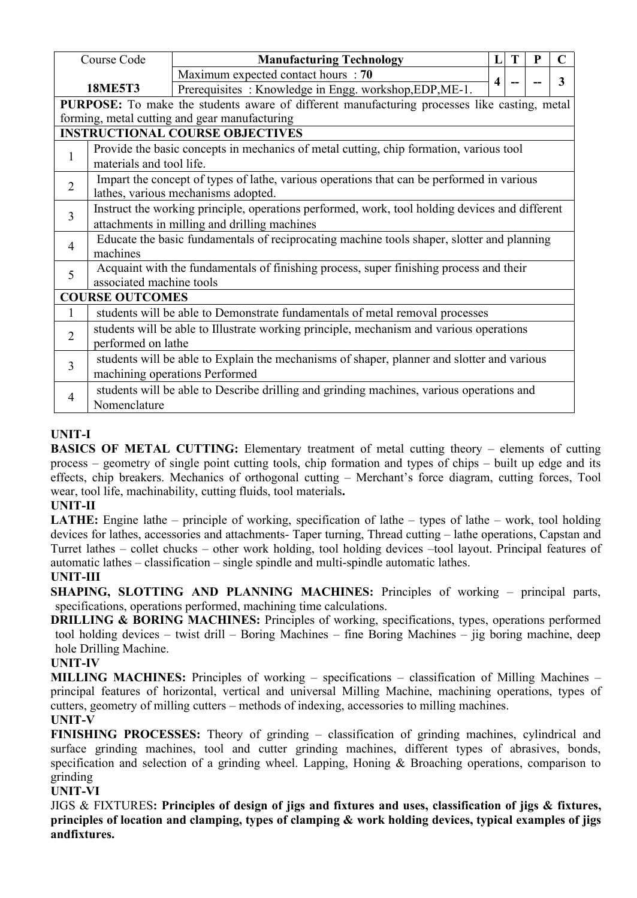|                | Course Code                                                                                    | <b>Manufacturing Technology</b>                                                              | $\mathbf{L}$     | T | P | $\mathbf C$ |  |  |
|----------------|------------------------------------------------------------------------------------------------|----------------------------------------------------------------------------------------------|------------------|---|---|-------------|--|--|
|                |                                                                                                | Maximum expected contact hours : 70                                                          |                  |   |   |             |  |  |
|                | <b>18ME5T3</b>                                                                                 | Prerequisites: Knowledge in Engg. workshop, EDP, ME-1.                                       | $\boldsymbol{4}$ |   |   | 3           |  |  |
|                |                                                                                                | PURPOSE: To make the students aware of different manufacturing processes like casting, metal |                  |   |   |             |  |  |
|                |                                                                                                | forming, metal cutting and gear manufacturing                                                |                  |   |   |             |  |  |
|                |                                                                                                | <b>INSTRUCTIONAL COURSE OBJECTIVES</b>                                                       |                  |   |   |             |  |  |
| $\mathbf{1}$   |                                                                                                | Provide the basic concepts in mechanics of metal cutting, chip formation, various tool       |                  |   |   |             |  |  |
|                | materials and tool life.                                                                       |                                                                                              |                  |   |   |             |  |  |
| $\overline{2}$ |                                                                                                | Impart the concept of types of lathe, various operations that can be performed in various    |                  |   |   |             |  |  |
|                |                                                                                                | lathes, various mechanisms adopted.                                                          |                  |   |   |             |  |  |
| $\overline{3}$ | Instruct the working principle, operations performed, work, tool holding devices and different |                                                                                              |                  |   |   |             |  |  |
|                | attachments in milling and drilling machines                                                   |                                                                                              |                  |   |   |             |  |  |
| $\overline{4}$ | Educate the basic fundamentals of reciprocating machine tools shaper, slotter and planning     |                                                                                              |                  |   |   |             |  |  |
|                | machines                                                                                       |                                                                                              |                  |   |   |             |  |  |
| 5              |                                                                                                | Acquaint with the fundamentals of finishing process, super finishing process and their       |                  |   |   |             |  |  |
|                | associated machine tools                                                                       |                                                                                              |                  |   |   |             |  |  |
|                | <b>COURSE OUTCOMES</b>                                                                         |                                                                                              |                  |   |   |             |  |  |
|                |                                                                                                | students will be able to Demonstrate fundamentals of metal removal processes                 |                  |   |   |             |  |  |
| $\overline{2}$ |                                                                                                | students will be able to Illustrate working principle, mechanism and various operations      |                  |   |   |             |  |  |
|                | performed on lathe                                                                             |                                                                                              |                  |   |   |             |  |  |
| 3              |                                                                                                | students will be able to Explain the mechanisms of shaper, planner and slotter and various   |                  |   |   |             |  |  |
|                |                                                                                                | machining operations Performed                                                               |                  |   |   |             |  |  |
|                |                                                                                                | students will be able to Describe drilling and grinding machines, various operations and     |                  |   |   |             |  |  |
| $\overline{4}$ | Nomenclature                                                                                   |                                                                                              |                  |   |   |             |  |  |

## **UNIT-I**

**BASICS OF METAL CUTTING:** Elementary treatment of metal cutting theory – elements of cutting process – geometry of single point cutting tools, chip formation and types of chips – built up edge and its effects, chip breakers. Mechanics of orthogonal cutting – Merchant's force diagram, cutting forces, Tool wear, tool life, machinability, cutting fluids, tool materials**.**

## **UNIT-II**

**LATHE:** Engine lathe – principle of working, specification of lathe – types of lathe – work, tool holding devices for lathes, accessories and attachments- Taper turning, Thread cutting – lathe operations, Capstan and Turret lathes – collet chucks – other work holding, tool holding devices –tool layout. Principal features of automatic lathes – classification – single spindle and multi-spindle automatic lathes.

# **UNIT-III**

**SHAPING, SLOTTING AND PLANNING MACHINES:** Principles of working – principalparts, specifications, operations performed, machining time calculations.

**DRILLING & BORING MACHINES:** Principles of working, specifications, types, operations performed tool holding devices – twist drill – Boring Machines – fine Boring Machines – jig boring machine, deep hole Drilling Machine.

## **UNIT-IV**

**MILLING MACHINES:** Principles of working – specifications – classification of Milling Machines – principal features of horizontal, vertical and universal Milling Machine, machining operations, types of cutters, geometry of milling cutters – methods of indexing, accessories to milling machines.

## **UNIT-V**

**FINISHING PROCESSES:** Theory of grinding – classification of grinding machines, cylindrical and surface grinding machines, tool and cutter grinding machines, different types of abrasives, bonds, specification and selection of a grinding wheel. Lapping, Honing & Broaching operations, comparison to grinding

## **UNIT-VI**

JIGS & FIXTURES**: Principles of design of jigs and fixtures and uses, classification of jigs & fixtures, principles of location and clamping, types of clamping & work holding devices, typical examples of jigs andfixtures.**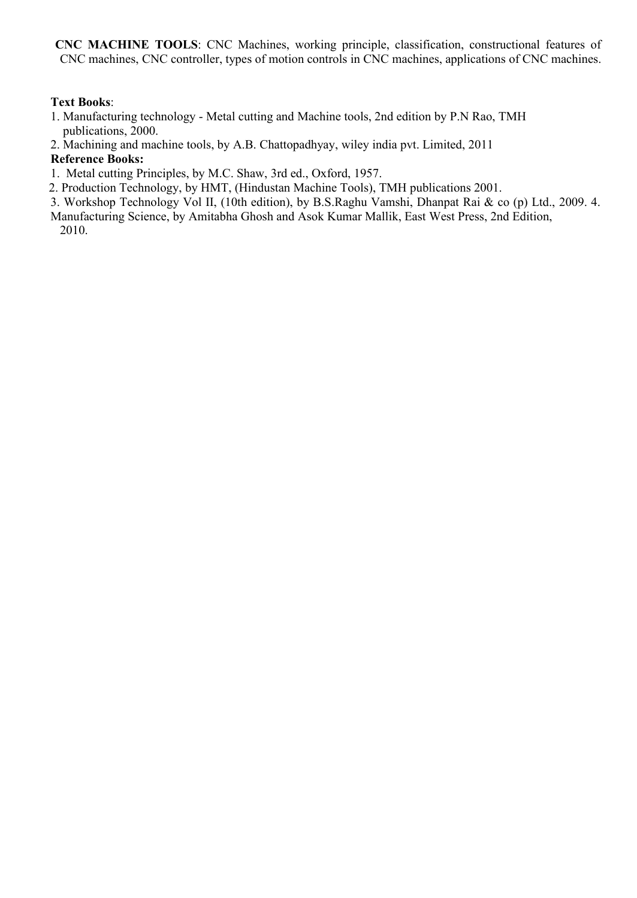**CNC MACHINE TOOLS**: CNC Machines, working principle, classification, constructional features of CNC machines, CNC controller, types of motion controls in CNC machines, applications of CNC machines.

#### **Text Books**:

- 1. Manufacturing technology Metal cutting and Machine tools, 2nd edition by P.N Rao, TMH publications, 2000.
- 2. Machining and machine tools, by A.B. Chattopadhyay, wiley india pvt. Limited, 2011

## **Reference Books:**

- 1. Metal cutting Principles, by M.C. Shaw, 3rd ed., Oxford, 1957.
- 2. Production Technology, by HMT, (Hindustan Machine Tools), TMH publications 2001.
- 3. Workshop Technology Vol II, (10th edition), by B.S.Raghu Vamshi, Dhanpat Rai & co (p) Ltd., 2009. 4.
- Manufacturing Science, by Amitabha Ghosh and Asok Kumar Mallik, East West Press, 2nd Edition, 2010.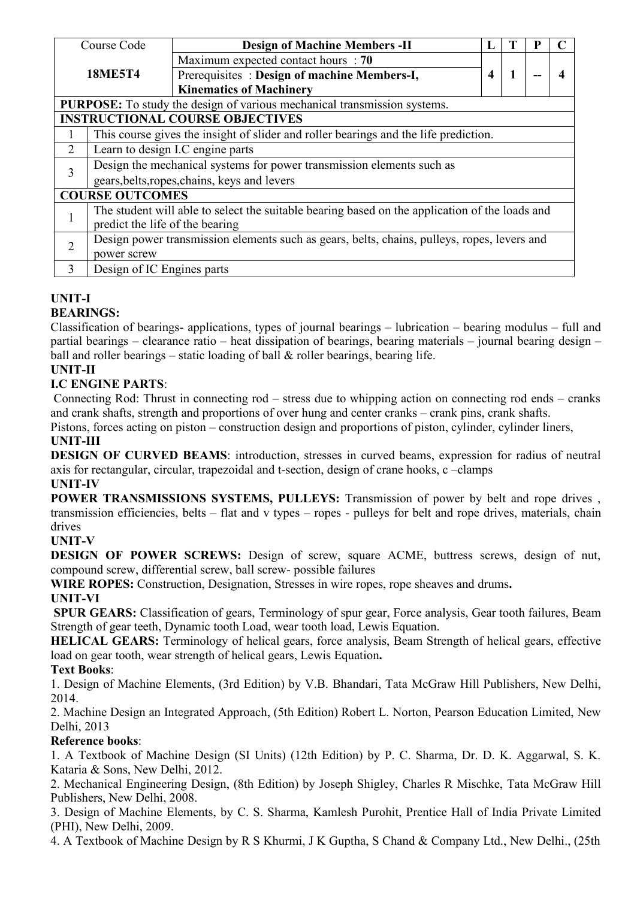|                                                                                 | Course Code                                                                                    | <b>Design of Machine Members -II</b>                                                 |                         |              |  |                  |
|---------------------------------------------------------------------------------|------------------------------------------------------------------------------------------------|--------------------------------------------------------------------------------------|-------------------------|--------------|--|------------------|
|                                                                                 |                                                                                                | Maximum expected contact hours : 70                                                  |                         |              |  |                  |
|                                                                                 | <b>18ME5T4</b>                                                                                 | Prerequisites: Design of machine Members-I,                                          | $\overline{\mathbf{4}}$ | $\mathbf{1}$ |  | $\boldsymbol{4}$ |
|                                                                                 |                                                                                                | <b>Kinematics of Machinery</b>                                                       |                         |              |  |                  |
| <b>PURPOSE:</b> To study the design of various mechanical transmission systems. |                                                                                                |                                                                                      |                         |              |  |                  |
| <b>INSTRUCTIONAL COURSE OBJECTIVES</b>                                          |                                                                                                |                                                                                      |                         |              |  |                  |
|                                                                                 |                                                                                                | This course gives the insight of slider and roller bearings and the life prediction. |                         |              |  |                  |
| $\overline{2}$                                                                  |                                                                                                | Learn to design I.C engine parts                                                     |                         |              |  |                  |
| 3                                                                               | Design the mechanical systems for power transmission elements such as                          |                                                                                      |                         |              |  |                  |
|                                                                                 | gears, belts, ropes, chains, keys and levers                                                   |                                                                                      |                         |              |  |                  |
| <b>COURSE OUTCOMES</b>                                                          |                                                                                                |                                                                                      |                         |              |  |                  |
|                                                                                 | The student will able to select the suitable bearing based on the application of the loads and |                                                                                      |                         |              |  |                  |
|                                                                                 | predict the life of the bearing                                                                |                                                                                      |                         |              |  |                  |
| $\overline{2}$                                                                  | Design power transmission elements such as gears, belts, chains, pulleys, ropes, levers and    |                                                                                      |                         |              |  |                  |
|                                                                                 | power screw                                                                                    |                                                                                      |                         |              |  |                  |
| 3                                                                               | Design of IC Engines parts                                                                     |                                                                                      |                         |              |  |                  |

#### **UNIT-I BEARINGS:**

Classification of bearings- applications, types of journal bearings – lubrication – bearing modulus – full and partial bearings – clearance ratio – heat dissipation of bearings, bearing materials – journal bearing design – ball and roller bearings – static loading of ball  $&$  roller bearings, bearing life.

# **UNIT-II**

# **I.C ENGINE PARTS**:

Connecting Rod: Thrust in connecting rod – stress due to whipping action on connecting rod ends– cranks and crank shafts, strength and proportions of over hung and center cranks – crank pins, crank shafts.

Pistons, forces acting on piston – construction design and proportions of piston, cylinder, cylinder liners, **UNIT-III**

**DESIGN OF CURVED BEAMS**: introduction, stresses in curved beams, expression for radius of neutral axis for rectangular, circular, trapezoidal and t-section, design of crane hooks, c –clamps **UNIT-IV**

**POWER TRANSMISSIONS SYSTEMS, PULLEYS:** Transmission of power by belt and rope drives , transmission efficiencies, belts – flat and v types – ropes - pulleys for belt and rope drives, materials, chain drives

# **UNIT-V**

**DESIGN OF POWER SCREWS:** Design of screw, square ACME, buttress screws, design of nut, compound screw, differential screw, ball screw- possible failures

**WIRE ROPES:** Construction, Designation, Stresses in wire ropes, rope sheaves and drums**.**

## **UNIT-VI**

**SPUR GEARS:** Classification of gears, Terminology of spur gear, Force analysis, Gear tooth failures, Beam Strength of gear teeth, Dynamic tooth Load, wear tooth load, Lewis Equation.

**HELICAL GEARS:** Terminology of helical gears, force analysis, Beam Strength of helical gears, effective load on gear tooth, wear strength of helical gears, Lewis Equation**.**

# **Text Books**:

1. Design of Machine Elements, (3rd Edition) by V.B. Bhandari, Tata McGraw Hill Publishers, New Delhi, 2014.

2. Machine Design an Integrated Approach, (5th Edition) Robert L. Norton, Pearson Education Limited, New Delhi, 2013

## **Reference books**:

1. A Textbook of Machine Design (SI Units) (12th Edition) by P. C. Sharma, Dr. D. K. Aggarwal, S. K. Kataria & Sons, New Delhi, 2012.

2. Mechanical Engineering Design, (8th Edition) by Joseph Shigley, Charles R Mischke, Tata McGraw Hill Publishers, New Delhi, 2008.

3. Design of Machine Elements, by C. S. Sharma, Kamlesh Purohit, Prentice Hall of India Private Limited (PHI), New Delhi, 2009.

4. A Textbook of Machine Design by R S Khurmi, J K Guptha, S Chand & Company Ltd., New Delhi., (25th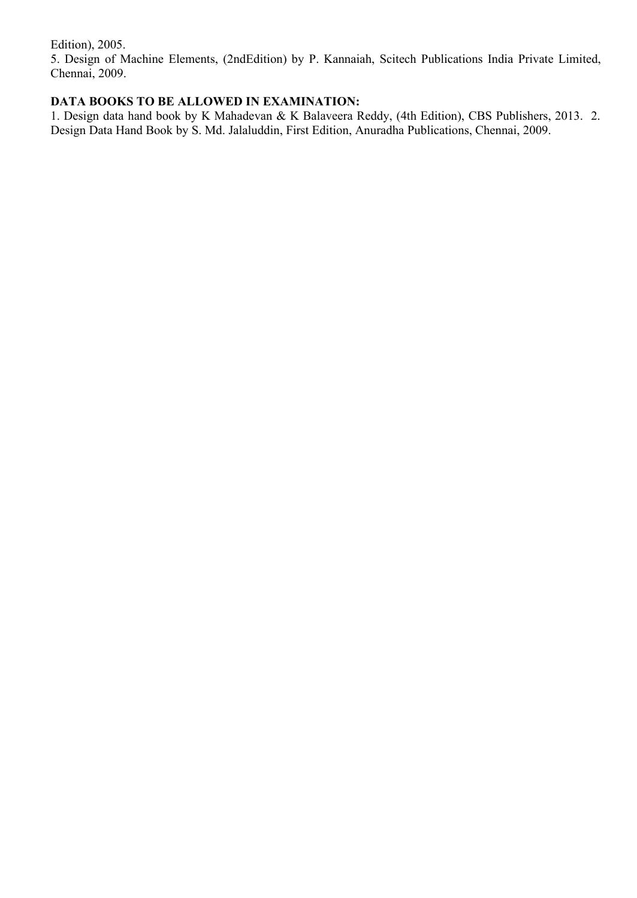Edition), 2005.

5. Design of Machine Elements, (2ndEdition) by P. Kannaiah, Scitech Publications India Private Limited, Chennai, 2009.

# **DATA BOOKS TO BE ALLOWED IN EXAMINATION:**

1. Design data hand book by K Mahadevan & K Balaveera Reddy, (4th Edition), CBS Publishers, 2013. 2. Design Data Hand Book by S.Md. Jalaluddin, First Edition, Anuradha Publications, Chennai, 2009.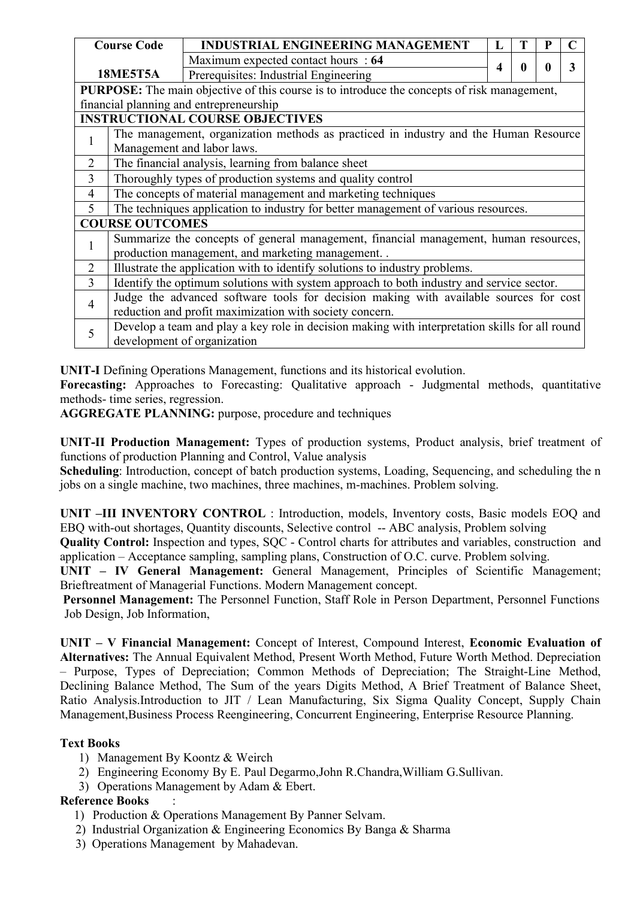|                | <b>Course Code</b>                                      | <b>INDUSTRIAL ENGINEERING MANAGEMENT</b>                                                           | L                |  |  |   |  |  |  |
|----------------|---------------------------------------------------------|----------------------------------------------------------------------------------------------------|------------------|--|--|---|--|--|--|
|                |                                                         | Maximum expected contact hours : 64                                                                |                  |  |  |   |  |  |  |
|                | <b>18ME5T5A</b>                                         | Prerequisites: Industrial Engineering                                                              | $\boldsymbol{4}$ |  |  | 3 |  |  |  |
|                |                                                         | <b>PURPOSE:</b> The main objective of this course is to introduce the concepts of risk management, |                  |  |  |   |  |  |  |
|                |                                                         | financial planning and entrepreneurship                                                            |                  |  |  |   |  |  |  |
|                |                                                         | <b>INSTRUCTIONAL COURSE OBJECTIVES</b>                                                             |                  |  |  |   |  |  |  |
|                |                                                         | The management, organization methods as practiced in industry and the Human Resource               |                  |  |  |   |  |  |  |
|                |                                                         | Management and labor laws.                                                                         |                  |  |  |   |  |  |  |
| $\overline{2}$ |                                                         | The financial analysis, learning from balance sheet                                                |                  |  |  |   |  |  |  |
| $\overline{3}$ |                                                         | Thoroughly types of production systems and quality control                                         |                  |  |  |   |  |  |  |
| $\overline{4}$ |                                                         | The concepts of material management and marketing techniques                                       |                  |  |  |   |  |  |  |
| 5              |                                                         | The techniques application to industry for better management of various resources.                 |                  |  |  |   |  |  |  |
|                | <b>COURSE OUTCOMES</b>                                  |                                                                                                    |                  |  |  |   |  |  |  |
|                |                                                         | Summarize the concepts of general management, financial management, human resources,               |                  |  |  |   |  |  |  |
|                |                                                         | production management, and marketing management. .                                                 |                  |  |  |   |  |  |  |
| $\overline{2}$ |                                                         | Illustrate the application with to identify solutions to industry problems.                        |                  |  |  |   |  |  |  |
| 3              |                                                         | Identify the optimum solutions with system approach to both industry and service sector.           |                  |  |  |   |  |  |  |
| $\overline{4}$ |                                                         | Judge the advanced software tools for decision making with available sources for cost              |                  |  |  |   |  |  |  |
|                | reduction and profit maximization with society concern. |                                                                                                    |                  |  |  |   |  |  |  |
| 5              |                                                         | Develop a team and play a key role in decision making with interpretation skills for all round     |                  |  |  |   |  |  |  |
|                | development of organization                             |                                                                                                    |                  |  |  |   |  |  |  |

**UNIT-I** Defining Operations Management, functions and its historical evolution.

**Forecasting:** Approaches to Forecasting: Qualitative approach - Judgmental methods, quantitative methods- time series, regression.

**AGGREGATE PLANNING:** purpose, procedure and techniques

**UNIT-II Production Management:** Types of production systems, Product analysis, brief treatment of functions of production Planning and Control, Value analysis

**Scheduling**: Introduction, concept of batch production systems, Loading, Sequencing, and scheduling the n jobs on a single machine, two machines, three machines, m-machines. Problem solving.

**UNIT –III INVENTORY CONTROL** : Introduction, models, Inventory costs, Basic models EOQ and EBQ with-out shortages, Quantity discounts, Selective control -- ABC analysis, Problem solving

**Quality Control:** Inspection and types, SQC - Control charts for attributes and variables, construction and application – Acceptance sampling, sampling plans, Construction of O.C. curve. Problem solving.

**UNIT – IV General Management:** General Management, Principles of Scientific Management; Brieftreatment of Managerial Functions. Modern Management concept.

**Personnel Management:** The Personnel Function, Staff Role in Person Department, Personnel Functions Job Design, Job Information,

**UNIT – V Financial Management:** Concept of Interest, Compound Interest, **Economic Evaluation of Alternatives:** The Annual Equivalent Method, Present Worth Method, Future Worth Method. Depreciation – Purpose, Types of Depreciation; Common Methods of Depreciation; The Straight-Line Method, Declining Balance Method, The Sum of the years Digits Method, A Brief Treatment of Balance Sheet, Ratio Analysis.Introduction to JIT / Lean Manufacturing, Six Sigma Quality Concept, Supply Chain Management,Business Process Reengineering, Concurrent Engineering, Enterprise Resource Planning.

# **Text Books**

- 1) Management By Koontz & Weirch
- 2) Engineering Economy By E. Paul Degarmo,John R.Chandra,William G.Sullivan.
- 3) Operations Management by Adam & Ebert.

# **Reference Books** :

- 1) Production & Operations Management By Panner Selvam.
- 2) Industrial Organization & Engineering Economics By Banga & Sharma
- 3) Operations Management by Mahadevan.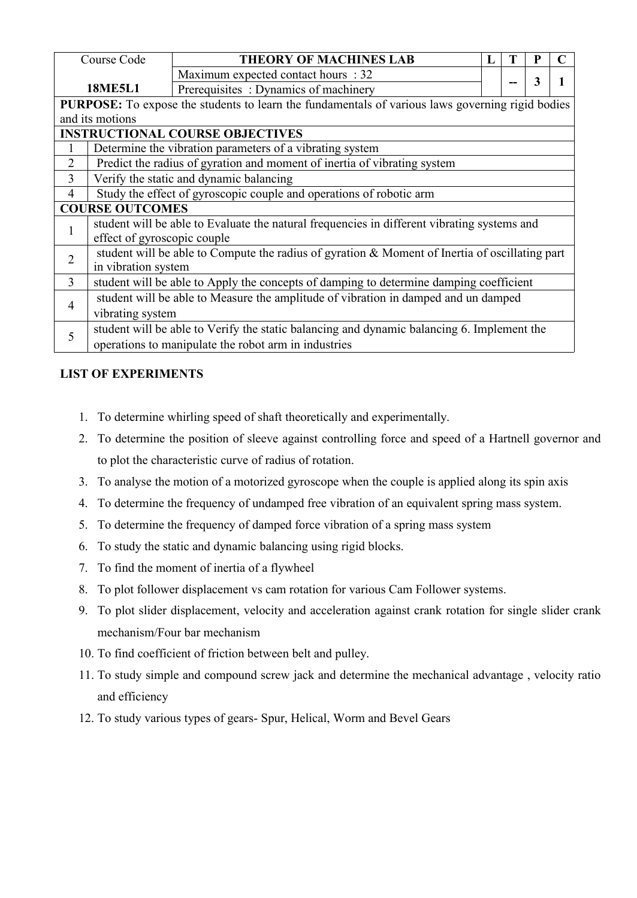|                                                                                                         | Course Code                                                                                    | <b>THEORY OF MACHINES LAB</b>                                                               |  | Т |   |  |  |  |
|---------------------------------------------------------------------------------------------------------|------------------------------------------------------------------------------------------------|---------------------------------------------------------------------------------------------|--|---|---|--|--|--|
|                                                                                                         |                                                                                                | Maximum expected contact hours : 32                                                         |  |   |   |  |  |  |
| <b>18ME5L1</b>                                                                                          |                                                                                                | Prerequisites: Dynamics of machinery                                                        |  |   | 3 |  |  |  |
| <b>PURPOSE:</b> To expose the students to learn the fundamentals of various laws governing rigid bodies |                                                                                                |                                                                                             |  |   |   |  |  |  |
| and its motions                                                                                         |                                                                                                |                                                                                             |  |   |   |  |  |  |
| <b>INSTRUCTIONAL COURSE OBJECTIVES</b>                                                                  |                                                                                                |                                                                                             |  |   |   |  |  |  |
|                                                                                                         | Determine the vibration parameters of a vibrating system                                       |                                                                                             |  |   |   |  |  |  |
| $\overline{2}$                                                                                          |                                                                                                | Predict the radius of gyration and moment of inertia of vibrating system                    |  |   |   |  |  |  |
| 3                                                                                                       |                                                                                                | Verify the static and dynamic balancing                                                     |  |   |   |  |  |  |
| 4                                                                                                       |                                                                                                | Study the effect of gyroscopic couple and operations of robotic arm                         |  |   |   |  |  |  |
|                                                                                                         | <b>COURSE OUTCOMES</b>                                                                         |                                                                                             |  |   |   |  |  |  |
|                                                                                                         |                                                                                                | student will be able to Evaluate the natural frequencies in different vibrating systems and |  |   |   |  |  |  |
|                                                                                                         | effect of gyroscopic couple                                                                    |                                                                                             |  |   |   |  |  |  |
| $\overline{2}$                                                                                          | student will be able to Compute the radius of gyration & Moment of Inertia of oscillating part |                                                                                             |  |   |   |  |  |  |
|                                                                                                         | in vibration system                                                                            |                                                                                             |  |   |   |  |  |  |
| $\overline{3}$                                                                                          |                                                                                                | student will be able to Apply the concepts of damping to determine damping coefficient      |  |   |   |  |  |  |
|                                                                                                         | student will be able to Measure the amplitude of vibration in damped and un damped             |                                                                                             |  |   |   |  |  |  |
| 4                                                                                                       | vibrating system                                                                               |                                                                                             |  |   |   |  |  |  |
| 5                                                                                                       |                                                                                                | student will be able to Verify the static balancing and dynamic balancing 6. Implement the  |  |   |   |  |  |  |
|                                                                                                         | operations to manipulate the robot arm in industries                                           |                                                                                             |  |   |   |  |  |  |

# **LIST OF EXPERIMENTS**

- 1. To determine whirling speed of shaft theoretically and experimentally.
- 2. To determine the position of sleeve against controlling force and speed of a Hartnell governor and to plot the characteristic curve of radius of rotation.
- 3. To analyse the motion of a motorized gyroscope when the couple is applied along its spin axis
- 4. To determine the frequency of undamped free vibration of an equivalent spring mass system.
- 5. To determine the frequency of damped force vibration of a spring mass system
- 6. To study the static and dynamic balancing using rigid blocks.
- 7. To find the moment of inertia of a flywheel
- 8. To plot follower displacement vs cam rotation for various Cam Follower systems.
- 9. To plot slider displacement, velocity and acceleration against crank rotation for single slider crank mechanism/Four bar mechanism
- 10. To find coefficient of friction between belt and pulley.
- 11. To study simple and compound screw jack and determine the mechanical advantage , velocity ratio and efficiency
- 12. To study various types of gears- Spur, Helical, Worm and Bevel Gears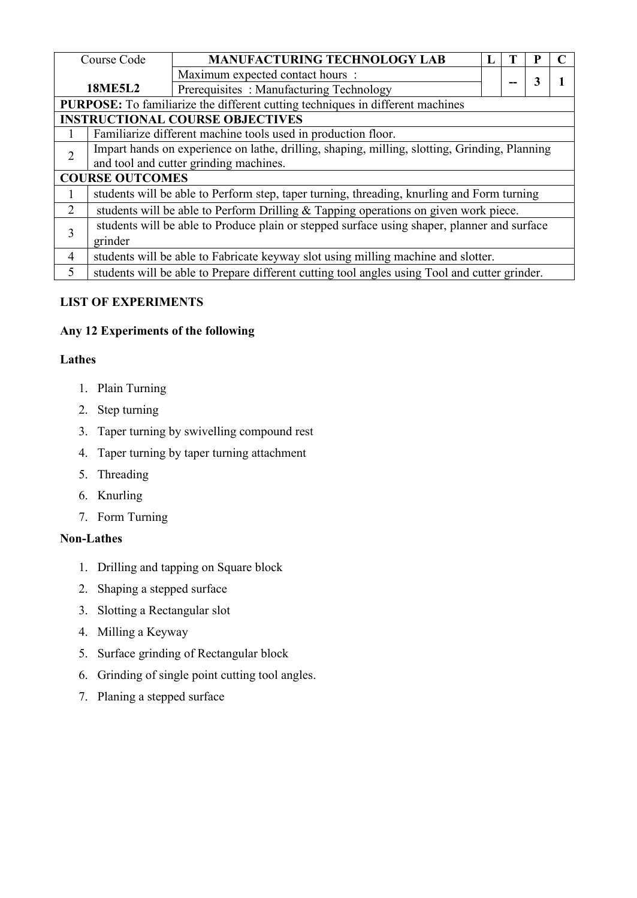| <b>MANUFACTURING TECHNOLOGY LAB</b><br>Course Code<br>Maximum expected contact hours:<br>3          |  |  |  |  |  |  |  |
|-----------------------------------------------------------------------------------------------------|--|--|--|--|--|--|--|
|                                                                                                     |  |  |  |  |  |  |  |
|                                                                                                     |  |  |  |  |  |  |  |
| <b>18ME5L2</b><br>Prerequisites: Manufacturing Technology                                           |  |  |  |  |  |  |  |
| PURPOSE: To familiarize the different cutting techniques in different machines                      |  |  |  |  |  |  |  |
| <b>INSTRUCTIONAL COURSE OBJECTIVES</b>                                                              |  |  |  |  |  |  |  |
| Familiarize different machine tools used in production floor.                                       |  |  |  |  |  |  |  |
| Impart hands on experience on lathe, drilling, shaping, milling, slotting, Grinding, Planning       |  |  |  |  |  |  |  |
| and tool and cutter grinding machines.                                                              |  |  |  |  |  |  |  |
| <b>COURSE OUTCOMES</b>                                                                              |  |  |  |  |  |  |  |
| students will be able to Perform step, taper turning, threading, knurling and Form turning          |  |  |  |  |  |  |  |
| students will be able to Perform Drilling $&$ Tapping operations on given work piece.<br>2          |  |  |  |  |  |  |  |
| students will be able to Produce plain or stepped surface using shaper, planner and surface         |  |  |  |  |  |  |  |
| 3<br>grinder                                                                                        |  |  |  |  |  |  |  |
| students will be able to Fabricate keyway slot using milling machine and slotter.<br>$\overline{4}$ |  |  |  |  |  |  |  |
| students will be able to Prepare different cutting tool angles using Tool and cutter grinder.<br>5  |  |  |  |  |  |  |  |

# **LIST OF EXPERIMENTS**

# Any 12 Experiments of the following

# **Lathes**

- 1. Plain Turning
- 2. Step turning
- 3. Taper turning by swivelling compound rest
- 4. Taper turning by taper turning attachment
- 5. Threading
- 6. Knurling
- 7. Form Turning

# **Non-Lathes**

- 1. Drilling and tapping on Square block
- 2. Shaping a stepped surface
- 3. Slotting a Rectangular slot
- 4. Milling a Keyway
- 5. Surface grinding of Rectangular block
- 6. Grinding of single point cutting tool angles.
- 7. Planing a stepped surface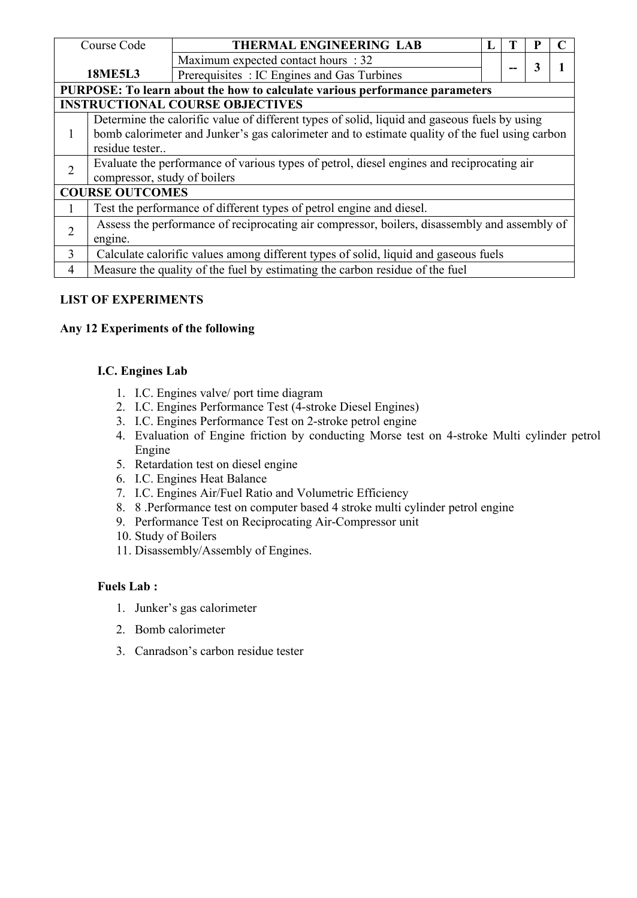| Course Code                                                                 |                                                                                              | THERMAL ENGINEERING LAB                                                                        |  |  |   |  |  |  |  |
|-----------------------------------------------------------------------------|----------------------------------------------------------------------------------------------|------------------------------------------------------------------------------------------------|--|--|---|--|--|--|--|
|                                                                             |                                                                                              | Maximum expected contact hours : 32                                                            |  |  | 3 |  |  |  |  |
|                                                                             | <b>18ME5L3</b>                                                                               | Prerequisites : IC Engines and Gas Turbines                                                    |  |  |   |  |  |  |  |
| PURPOSE: To learn about the how to calculate various performance parameters |                                                                                              |                                                                                                |  |  |   |  |  |  |  |
| <b>INSTRUCTIONAL COURSE OBJECTIVES</b>                                      |                                                                                              |                                                                                                |  |  |   |  |  |  |  |
|                                                                             |                                                                                              | Determine the calorific value of different types of solid, liquid and gaseous fuels by using   |  |  |   |  |  |  |  |
|                                                                             |                                                                                              | bomb calorimeter and Junker's gas calorimeter and to estimate quality of the fuel using carbon |  |  |   |  |  |  |  |
|                                                                             | residue tester                                                                               |                                                                                                |  |  |   |  |  |  |  |
| $\overline{2}$                                                              | Evaluate the performance of various types of petrol, diesel engines and reciprocating air    |                                                                                                |  |  |   |  |  |  |  |
|                                                                             | compressor, study of boilers                                                                 |                                                                                                |  |  |   |  |  |  |  |
|                                                                             | <b>COURSE OUTCOMES</b>                                                                       |                                                                                                |  |  |   |  |  |  |  |
|                                                                             |                                                                                              | Test the performance of different types of petrol engine and diesel.                           |  |  |   |  |  |  |  |
| $\overline{2}$                                                              | Assess the performance of reciprocating air compressor, boilers, disassembly and assembly of |                                                                                                |  |  |   |  |  |  |  |
|                                                                             | engine.                                                                                      |                                                                                                |  |  |   |  |  |  |  |
| 3 <sup>1</sup>                                                              |                                                                                              | Calculate calorific values among different types of solid, liquid and gaseous fuels            |  |  |   |  |  |  |  |
| 4                                                                           | Measure the quality of the fuel by estimating the carbon residue of the fuel                 |                                                                                                |  |  |   |  |  |  |  |

# **LIST OF EXPERIMENTS**

## Any 12 Experiments of the following

#### **I.C. Engines Lab**

- 1. I.C. Engines valve/ port time diagram
- 2. I.C. Engines Performance Test (4-stroke Diesel Engines)
- 3. I.C. Engines Performance Test on 2-stroke petrol engine
- 4. Evaluation of Engine friction by conducting Morse test on 4-stroke Multi cylinder petrol Engine
- 5. Retardation test on diesel engine
- 6. I.C. Engines Heat Balance
- 7. I.C. Engines Air/Fuel Ratio and Volumetric Efficiency
- 8. 8 .Performance test on computer based 4 stroke multi cylinder petrol engine
- 9. Performance Test on Reciprocating Air-Compressor unit
- 10. Study of Boilers
- 11. Disassembly/Assembly of Engines.

#### **Fuels Lab :**

- 1. Junker's gas calorimeter
- 2. Bomb calorimeter
- 3. Canradson's carbon residue tester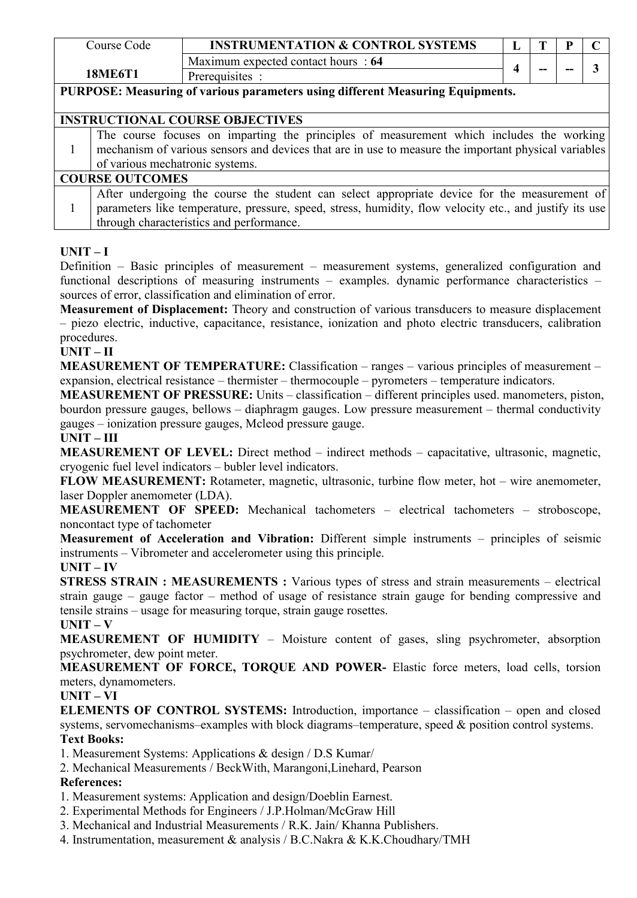| Course Code                                                                    | <b>INSTRUMENTATION &amp; CONTROL SYSTEMS</b> |  | œ  |    |  |  |  |
|--------------------------------------------------------------------------------|----------------------------------------------|--|----|----|--|--|--|
|                                                                                | Maximum expected contact hours: 64           |  |    |    |  |  |  |
| 18ME6T1                                                                        | Prerequisites :                              |  | -- | -- |  |  |  |
| PURPOSE: Measuring of various parameters using different Measuring Equipments. |                                              |  |    |    |  |  |  |

## **INSTRUCTIONAL COURSE OBJECTIVES**

| The course focuses on imparting the principles of measurement which includes the working<br>mechanism of various sensors and devices that are in use to measure the important physical variables |
|--------------------------------------------------------------------------------------------------------------------------------------------------------------------------------------------------|
|--------------------------------------------------------------------------------------------------------------------------------------------------------------------------------------------------|

# **COURSE OUTCOMES**

1 parameters like temperature, pressure, speed, stress, humidity, flow velocity etc., and justify its use After undergoing the course the student can select appropriate device for the measurement of through characteristics and performance.

## $UNIT - I$

Definition – Basic principles of measurement – measurement systems, generalized configuration and functional descriptions of measuring instruments – examples. dynamic performance characteristics – sources of error, classification and elimination of error.

**Measurement of Displacement:** Theory and construction of various transducers to measure displacement – piezo electric, inductive, capacitance, resistance, ionization and photo electric transducers, calibration procedures.

#### **UNIT – II**

**MEASUREMENT OF TEMPERATURE:** Classification – ranges – various principles of measurement – expansion, electrical resistance – thermister – thermocouple – pyrometers – temperature indicators.

**MEASUREMENT OF PRESSURE:** Units – classification – different principles used. manometers, piston, bourdon pressure gauges, bellows – diaphragm gauges. Low pressure measurement – thermal conductivity gauges – ionization pressure gauges, Mcleod pressure gauge.

#### **UNIT – III**

**MEASUREMENT OF LEVEL:** Direct method – indirect methods – capacitative, ultrasonic, magnetic, cryogenic fuel level indicators – bubler level indicators.

**FLOW MEASUREMENT:** Rotameter, magnetic, ultrasonic, turbine flow meter, hot – wire anemometer, laser Doppler anemometer (LDA).

**MEASUREMENT OF SPEED:** Mechanical tachometers – electrical tachometers – stroboscope, noncontact type of tachometer

**Measurement of Acceleration and Vibration:** Different simple instruments – principles of seismic instruments – Vibrometer and accelerometer using this principle.

#### $UNIT - IV$

**STRESS STRAIN : MEASUREMENTS :** Various types of stress and strain measurements – electrical strain gauge – gauge factor – method of usage of resistance strain gauge for bending compressive and tensile strains – usage for measuring torque, strain gauge rosettes. **UNIT – V**

**MEASUREMENT OF HUMIDITY** – Moisture content of gases, sling psychrometer, absorption psychrometer, dew point meter.

**MEASUREMENT OF FORCE, TORQUE AND POWER-** Elastic force meters, load cells, torsion meters, dynamometers.

#### **UNIT – VI**

**ELEMENTS OF CONTROL SYSTEMS:** Introduction, importance – classification – open and closed systems, servomechanisms–examples with block diagrams–temperature, speed & position control systems.

# **Text Books:**

1. Measurement Systems: Applications & design / D.S Kumar/

2. Mechanical Measurements / BeckWith, Marangoni,Linehard, Pearson

- 1. Measurement systems: Application and design/Doeblin Earnest.
- 2. Experimental Methods for Engineers / J.P.Holman/McGraw Hill
- 3. Mechanical and Industrial Measurements / R.K.Jain/ Khanna Publishers.
- 4. Instrumentation, measurement & analysis / B.C.Nakra & K.K.Choudhary/TMH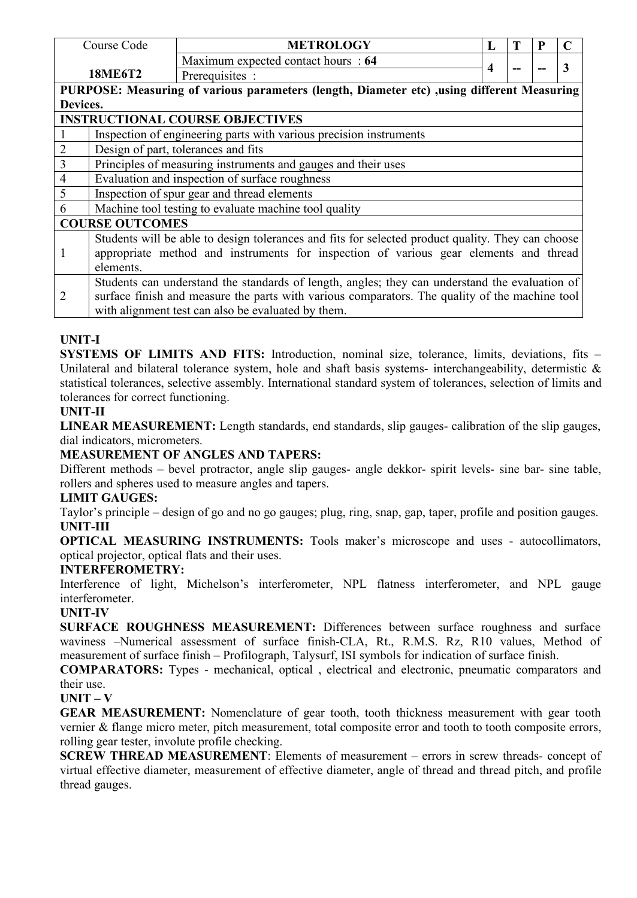|                | Course Code                                                                           | <b>METROLOGY</b>                                                                                  | L |  |  | C |  |  |  |
|----------------|---------------------------------------------------------------------------------------|---------------------------------------------------------------------------------------------------|---|--|--|---|--|--|--|
|                |                                                                                       | Maximum expected contact hours : 64                                                               |   |  |  | 3 |  |  |  |
|                | <b>18ME6T2</b>                                                                        | Prerequisites :                                                                                   | 4 |  |  |   |  |  |  |
|                |                                                                                       | PURPOSE: Measuring of various parameters (length, Diameter etc) ,using different Measuring        |   |  |  |   |  |  |  |
| Devices.       |                                                                                       |                                                                                                   |   |  |  |   |  |  |  |
|                |                                                                                       | <b>INSTRUCTIONAL COURSE OBJECTIVES</b>                                                            |   |  |  |   |  |  |  |
|                |                                                                                       | Inspection of engineering parts with various precision instruments                                |   |  |  |   |  |  |  |
| $\overline{c}$ |                                                                                       | Design of part, tolerances and fits                                                               |   |  |  |   |  |  |  |
| $\overline{3}$ |                                                                                       | Principles of measuring instruments and gauges and their uses                                     |   |  |  |   |  |  |  |
| $\overline{4}$ |                                                                                       | Evaluation and inspection of surface roughness                                                    |   |  |  |   |  |  |  |
| 5              |                                                                                       | Inspection of spur gear and thread elements                                                       |   |  |  |   |  |  |  |
| 6              |                                                                                       | Machine tool testing to evaluate machine tool quality                                             |   |  |  |   |  |  |  |
|                | <b>COURSE OUTCOMES</b>                                                                |                                                                                                   |   |  |  |   |  |  |  |
|                |                                                                                       | Students will be able to design tolerances and fits for selected product quality. They can choose |   |  |  |   |  |  |  |
|                | appropriate method and instruments for inspection of various gear elements and thread |                                                                                                   |   |  |  |   |  |  |  |
|                | elements.                                                                             |                                                                                                   |   |  |  |   |  |  |  |
|                |                                                                                       | Students can understand the standards of length, angles; they can understand the evaluation of    |   |  |  |   |  |  |  |
| 2              |                                                                                       | surface finish and measure the parts with various comparators. The quality of the machine tool    |   |  |  |   |  |  |  |
|                |                                                                                       | with alignment test can also be evaluated by them.                                                |   |  |  |   |  |  |  |

# **UNIT-I**

**SYSTEMS OF LIMITS AND FITS:** Introduction, nominal size, tolerance, limits, deviations, fits – Unilateral and bilateral tolerance system, hole and shaft basis systems- interchangeability, determistic  $\&$ statistical tolerances, selective assembly. International standard system of tolerances, selection of limits and tolerances for correct functioning.

# **UNIT-II**

**LINEAR MEASUREMENT:** Length standards, end standards, slip gauges- calibration of the slip gauges, dial indicators, micrometers.

# **MEASUREMENT OF ANGLES AND TAPERS:**

Different methods – bevel protractor, angle slip gauges- angle dekkor- spirit levels- sine bar- sine table, rollers and spheres used to measure angles and tapers.

# **LIMIT GAUGES:**

Taylor's principle – design of go and no go gauges; plug, ring, snap, gap, taper, profile and position gauges. **UNIT-III**

**OPTICAL MEASURING INSTRUMENTS:** Tools maker's microscope and uses - autocollimators, optical projector, optical flats and their uses.

# **INTERFEROMETRY:**

Interference of light, Michelson's interferometer, NPL flatness interferometer, and NPL gauge interferometer.

# **UNIT-IV**

**SURFACE ROUGHNESS MEASUREMENT:** Differences between surface roughness and surface waviness –Numerical assessment of surface finish-CLA, Rt., R.M.S. Rz, R10 values, Method of measurement of surface finish – Profilograph, Talysurf, ISI symbols for indication of surface finish.

**COMPARATORS:** Types - mechanical, optical , electrical and electronic, pneumatic comparators and their use.

#### **UNIT – V**

**GEAR MEASUREMENT:** Nomenclature of gear tooth, tooth thickness measurement with gear tooth vernier & flange micro meter, pitch measurement, total composite error and tooth to tooth composite errors, rolling gear tester, involute profile checking.

**SCREW THREAD MEASUREMENT**: Elements of measurement – errors in screw threads- concept of virtual effective diameter, measurement of effective diameter, angle of thread and thread pitch, and profile thread gauges.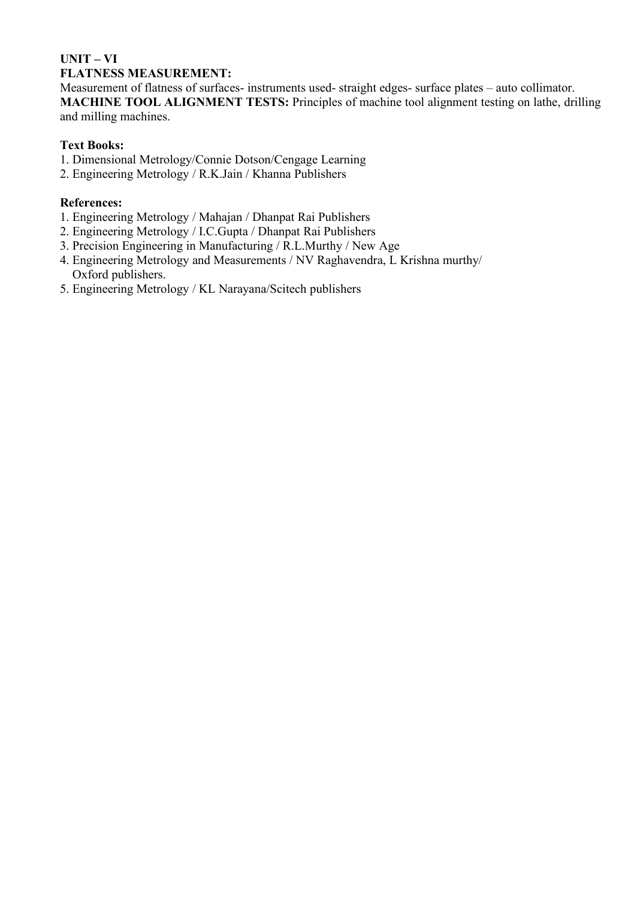## **UNIT – VI FLATNESS MEASUREMENT:**

Measurement of flatness of surfaces- instruments used- straight edges- surface plates – auto collimator. **MACHINE TOOL ALIGNMENT TESTS:** Principles of machine tool alignment testing on lathe, drilling and milling machines.

# **Text Books:**

- 1. Dimensional Metrology/Connie Dotson/Cengage Learning
- 2. Engineering Metrology / R.K.Jain / Khanna Publishers

- 1. Engineering Metrology / Mahajan / Dhanpat Rai Publishers
- 2. Engineering Metrology / I.C.Gupta / Dhanpat Rai Publishers
- 3. Precision Engineering in Manufacturing / R.L.Murthy / New Age
- 4. Engineering Metrology and Measurements / NV Raghavendra, L Krishna murthy/ Oxford publishers.
- 5. Engineering Metrology / KL Narayana/Scitech publishers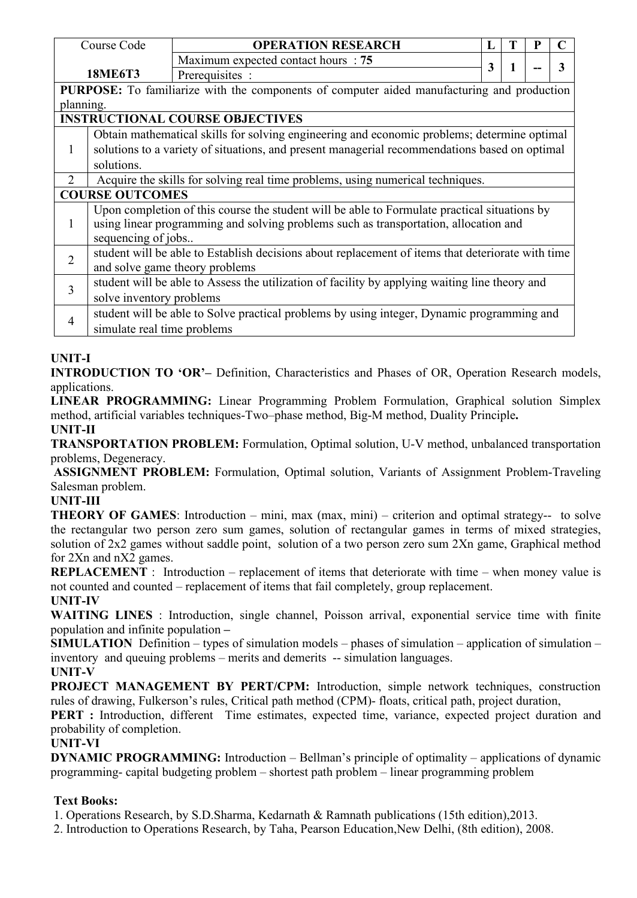|                                                                                            | Course Code                                                                                 | <b>OPERATION RESEARCH</b>                                                                         | L | Т | P |   |  |  |
|--------------------------------------------------------------------------------------------|---------------------------------------------------------------------------------------------|---------------------------------------------------------------------------------------------------|---|---|---|---|--|--|
|                                                                                            |                                                                                             | Maximum expected contact hours : 75                                                               | 3 | 1 |   | 3 |  |  |
|                                                                                            | <b>18ME6T3</b>                                                                              | Prerequisites :                                                                                   |   |   |   |   |  |  |
| PURPOSE: To familiarize with the components of computer aided manufacturing and production |                                                                                             |                                                                                                   |   |   |   |   |  |  |
| planning.                                                                                  |                                                                                             |                                                                                                   |   |   |   |   |  |  |
| <b>INSTRUCTIONAL COURSE OBJECTIVES</b>                                                     |                                                                                             |                                                                                                   |   |   |   |   |  |  |
|                                                                                            | Obtain mathematical skills for solving engineering and economic problems; determine optimal |                                                                                                   |   |   |   |   |  |  |
| $\mathbf{1}$                                                                               |                                                                                             | solutions to a variety of situations, and present managerial recommendations based on optimal     |   |   |   |   |  |  |
|                                                                                            | solutions.                                                                                  |                                                                                                   |   |   |   |   |  |  |
| $\overline{2}$                                                                             | Acquire the skills for solving real time problems, using numerical techniques.              |                                                                                                   |   |   |   |   |  |  |
| <b>COURSE OUTCOMES</b>                                                                     |                                                                                             |                                                                                                   |   |   |   |   |  |  |
|                                                                                            |                                                                                             | Upon completion of this course the student will be able to Formulate practical situations by      |   |   |   |   |  |  |
|                                                                                            | using linear programming and solving problems such as transportation, allocation and        |                                                                                                   |   |   |   |   |  |  |
|                                                                                            | sequencing of jobs                                                                          |                                                                                                   |   |   |   |   |  |  |
| $\overline{2}$                                                                             |                                                                                             | student will be able to Establish decisions about replacement of items that deteriorate with time |   |   |   |   |  |  |
|                                                                                            | and solve game theory problems                                                              |                                                                                                   |   |   |   |   |  |  |
| 3                                                                                          |                                                                                             | student will be able to Assess the utilization of facility by applying waiting line theory and    |   |   |   |   |  |  |
|                                                                                            | solve inventory problems                                                                    |                                                                                                   |   |   |   |   |  |  |
|                                                                                            |                                                                                             | student will be able to Solve practical problems by using integer, Dynamic programming and        |   |   |   |   |  |  |
| 4                                                                                          | simulate real time problems                                                                 |                                                                                                   |   |   |   |   |  |  |

# **UNIT-I**

**INTRODUCTION TO 'OR'–** Definition, Characteristics and Phases of OR, Operation Research models, applications.

**LINEAR PROGRAMMING:** Linear Programming Problem Formulation, Graphical solution Simplex method, artificial variables techniques-Two–phase method, Big-M method, Duality Principle**. UNIT-II**

**TRANSPORTATION PROBLEM:** Formulation, Optimal solution, U-V method, unbalanced transportation problems, Degeneracy.

**ASSIGNMENT PROBLEM:** Formulation, Optimal solution, Variants of Assignment Problem-Traveling Salesman problem.

#### **UNIT-III**

**THEORY OF GAMES**: Introduction – mini, max (max, mini) – criterion and optimal strategy-- to solve the rectangular two person zero sum games, solution of rectangular games in terms of mixed strategies, solution of 2x2 games without saddle point, solution of a two person zero sum 2Xn game, Graphical method for 2Xn and nX2 games.

**REPLACEMENT** : Introduction – replacement of items that deteriorate with time – when money value is not counted and counted – replacement of items that fail completely, group replacement. **UNIT-IV**

**WAITING LINES** : Introduction, single channel, Poisson arrival, exponential service time with finite population and infinite population **–**

**SIMULATION** Definition – types of simulation models – phases of simulation – application of simulation – inventory and queuing problems – merits and demerits -- simulation languages. **UNIT-V**

**PROJECT MANAGEMENT BY PERT/CPM:** Introduction, simple network techniques, construction rules of drawing, Fulkerson's rules, Critical path method (CPM)- floats, critical path, project duration,

**PERT** : Introduction, different Time estimates, expected time, variance, expected project duration and probability of completion.

# **UNIT-VI**

**DYNAMIC PROGRAMMING:** Introduction – Bellman's principle of optimality – applications of dynamic programming- capital budgeting problem – shortest path problem – linear programming problem

# **Text Books:**

1. Operations Research, by S.D.Sharma, Kedarnath & Ramnath publications (15th edition),2013.

2. Introduction to Operations Research, by Taha, Pearson Education,New Delhi, (8th edition), 2008.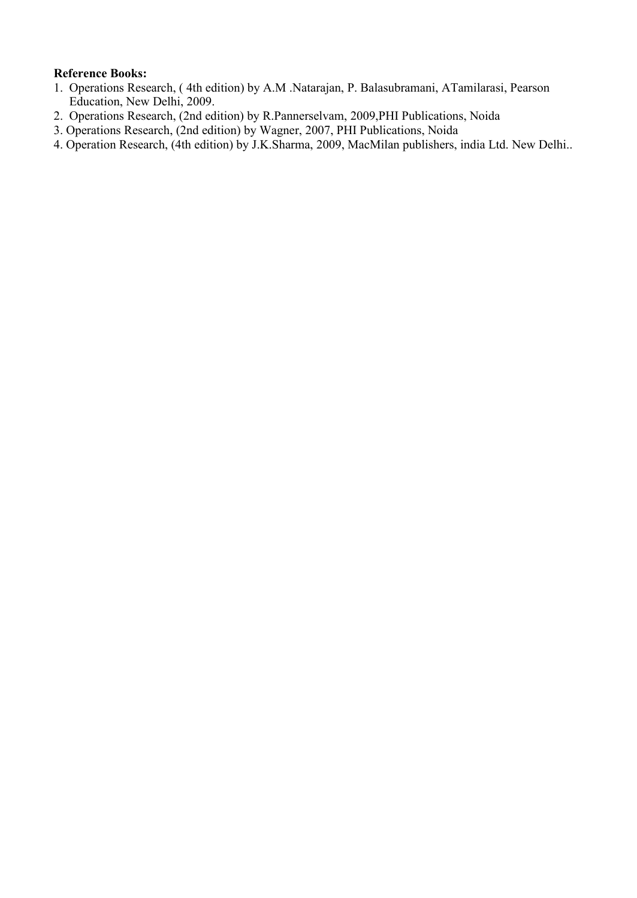#### **Reference Books:**

- 1. Operations Research, ( 4th edition) by A.M .Natarajan, P. Balasubramani,ATamilarasi, Pearson Education, New Delhi, 2009.
- 2. Operations Research, (2nd edition) by R.Pannerselvam, 2009,PHI Publications, Noida
- 3. Operations Research, (2nd edition) by Wagner, 2007, PHI Publications, Noida

4. Operation Research, (4th edition) by J.K.Sharma, 2009, MacMilan publishers, india Ltd. New Delhi..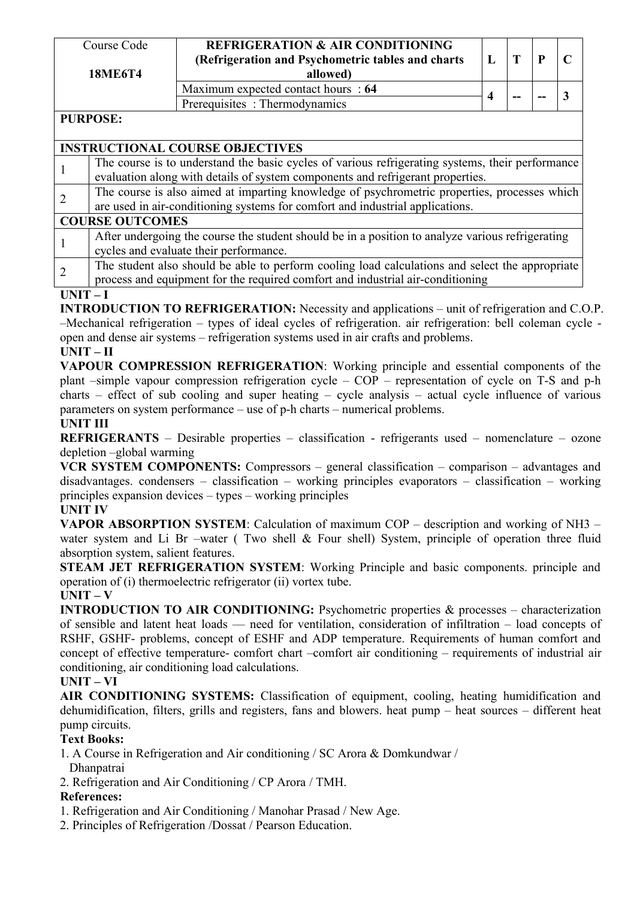| Course Code<br><b>18ME6T4</b> | <b>REFRIGERATION &amp; AIR CONDITIONING</b><br>(Refrigeration and Psychometric tables and charts)<br>allowed) |       | D  |  |
|-------------------------------|---------------------------------------------------------------------------------------------------------------|-------|----|--|
|                               | Maximum expected contact hours : 64                                                                           |       |    |  |
|                               | Prerequisites: Thermodynamics                                                                                 | $- -$ | -- |  |
| DIIDDACE.                     |                                                                                                               |       |    |  |

## **PURPOSE:**

|   | <b>INSTRUCTIONAL COURSE OBJECTIVES</b>                                                           |
|---|--------------------------------------------------------------------------------------------------|
|   | The course is to understand the basic cycles of various refrigerating systems, their performance |
|   | evaluation along with details of system components and refrigerant properties.                   |
| 2 | The course is also aimed at imparting knowledge of psychrometric properties, processes which     |
|   | are used in air-conditioning systems for comfort and industrial applications.                    |
|   | <b>COURSE OUTCOMES</b>                                                                           |
|   | After undergoing the course the student should be in a position to analyze various refrigerating |
|   | cycles and evaluate their performance.                                                           |
| 2 | The student also should be able to perform cooling load calculations and select the appropriate  |
|   | process and equipment for the required comfort and industrial air-conditioning                   |

#### **UNIT – I**

**INTRODUCTION TO REFRIGERATION:** Necessity and applications – unit of refrigeration and C.O.P. –Mechanical refrigeration – types of ideal cycles of refrigeration. air refrigeration: bell coleman cycle open and dense air systems – refrigeration systems used in air crafts and problems.

#### **UNIT – II**

**VAPOUR COMPRESSION REFRIGERATION**: Working principle and essential components of the plant –simple vapour compression refrigeration cycle – COP – representation of cycle on T-S and p-h charts – effect of sub cooling and super heating – cycle analysis – actual cycle influence of various parameters on system performance – use of  $p-h$  charts – numerical problems.

## **UNIT III**

**REFRIGERANTS** – Desirable properties – classification - refrigerants used – nomenclature – ozone depletion –global warming

**VCR SYSTEM COMPONENTS:** Compressors – general classification – comparison – advantages and disadvantages. condensers – classification – working principles evaporators – classification – working principles expansion devices – types – working principles

#### **UNIT IV**

**VAPOR ABSORPTION SYSTEM**: Calculation of maximum COP – description and working of NH3 – water system and Li Br –water (Two shell & Four shell) System, principle of operation three fluid absorption system, salient features.

**STEAM JET REFRIGERATION SYSTEM**: Working Principle and basic components. principle and operation of (i) thermoelectric refrigerator (ii) vortex tube.

#### $UNIT - V$

**INTRODUCTION TO AIR CONDITIONING:** Psychometric properties & processes – characterization of sensible and latent heat loads –– need for ventilation, consideration of infiltration – load concepts of RSHF, GSHF- problems, concept of ESHF and ADP temperature. Requirements of human comfort and concept of effective temperature- comfort chart –comfort air conditioning – requirements of industrial air conditioning, air conditioning load calculations.

## **UNIT – VI**

**AIR CONDITIONING SYSTEMS:** Classification of equipment, cooling, heating humidification and dehumidification, filters, grills and registers, fans and blowers. heat pump – heat sources – different heat pump circuits.

#### **Text Books:**

- 1. A Course in Refrigeration and Air conditioning / SC Arora & Domkundwar /
- Dhanpatrai
- 2. Refrigeration and Air Conditioning / CP Arora / TMH.

- 1. Refrigeration and Air Conditioning / Manohar Prasad / New Age.
- 2. Principles of Refrigeration /Dossat / Pearson Education.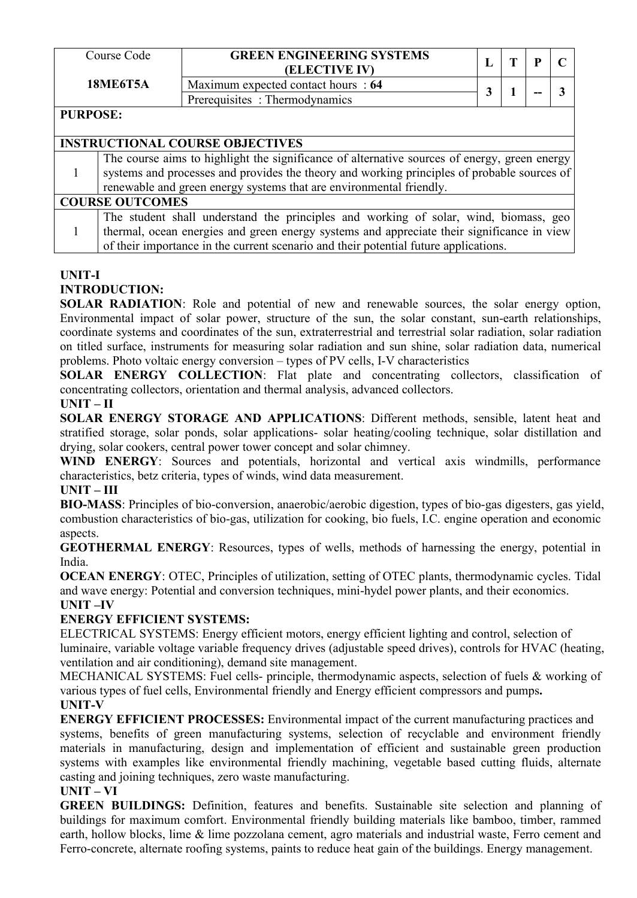|                 | Course Code                                                                                 | <b>GREEN ENGINEERING SYSTEMS</b><br>(ELECTIVE IV)                                            |  |  | P | $\mathcal{C}$ |  |  |
|-----------------|---------------------------------------------------------------------------------------------|----------------------------------------------------------------------------------------------|--|--|---|---------------|--|--|
|                 | <b>18ME6T5A</b>                                                                             | Maximum expected contact hours: 64                                                           |  |  |   | 3             |  |  |
|                 |                                                                                             | Prerequisites: Thermodynamics                                                                |  |  |   |               |  |  |
| <b>PURPOSE:</b> |                                                                                             |                                                                                              |  |  |   |               |  |  |
|                 |                                                                                             |                                                                                              |  |  |   |               |  |  |
|                 |                                                                                             | <b>INSTRUCTIONAL COURSE OBJECTIVES</b>                                                       |  |  |   |               |  |  |
|                 |                                                                                             | The course aims to highlight the significance of alternative sources of energy, green energy |  |  |   |               |  |  |
|                 | systems and processes and provides the theory and working principles of probable sources of |                                                                                              |  |  |   |               |  |  |
|                 | renewable and green energy systems that are environmental friendly.                         |                                                                                              |  |  |   |               |  |  |
|                 | <b>COURSE OUTCOMES</b>                                                                      |                                                                                              |  |  |   |               |  |  |
|                 |                                                                                             | The student shall understand the principles and working of solar, wind, biomass, geo         |  |  |   |               |  |  |
|                 | thermal, ocean energies and green energy systems and appreciate their significance in view  |                                                                                              |  |  |   |               |  |  |
|                 | of their importance in the current scenario and their potential future applications.        |                                                                                              |  |  |   |               |  |  |

#### **UNIT-I INTRODUCTION:**

**SOLAR RADIATION**: Role and potential of new and renewable sources, the solar energy option, Environmental impact of solar power, structure of the sun, the solar constant, sun-earth relationships, coordinate systems and coordinates of the sun, extraterrestrial and terrestrial solar radiation, solar radiation on titled surface, instruments for measuring solar radiation and sun shine, solar radiation data, numerical problems. Photo voltaic energy conversion – types of PV cells, I-V characteristics

**SOLAR ENERGY COLLECTION**: Flat plate and concentrating collectors, classification of concentrating collectors, orientation and thermal analysis, advanced collectors.

# **UNIT – II**

**SOLAR ENERGY STORAGE AND APPLICATIONS**: Different methods, sensible, latent heat and stratified storage, solar ponds, solar applications- solar heating/cooling technique, solar distillation and drying, solar cookers, central power tower concept and solar chimney.

**WIND ENERGY**: Sources and potentials, horizontal and vertical axis windmills, performance characteristics, betz criteria, types of winds, wind data measurement.

# **UNIT – III**

**BIO-MASS**: Principles of bio-conversion, anaerobic/aerobic digestion, types of bio-gas digesters, gas yield, combustion characteristics of bio-gas, utilization for cooking, bio fuels, I.C. engine operation and economic aspects.

**GEOTHERMAL ENERGY**: Resources, types of wells, methods of harnessing the energy, potential in India.

**OCEAN ENERGY**: OTEC, Principles of utilization, setting of OTEC plants, thermodynamic cycles. Tidal and wave energy: Potential and conversion techniques, mini-hydel power plants, and their economics. **UNIT –IV**

# **ENERGY EFFICIENT SYSTEMS:**

ELECTRICAL SYSTEMS: Energy efficient motors, energy efficient lighting and control, selection of luminaire, variable voltage variable frequency drives (adjustable speed drives), controls for HVAC (heating, ventilation and air conditioning), demand site management.

MECHANICAL SYSTEMS: Fuel cells- principle, thermodynamic aspects, selection of fuels & working of various types offuel cells, Environmental friendly and Energy efficient compressors and pumps**. UNIT-V**

**ENERGY EFFICIENT PROCESSES:** Environmental impact of the current manufacturing practices and systems, benefits of green manufacturing systems, selection of recyclable and environment friendly materials in manufacturing, design and implementation of efficient and sustainable green production systems with examples like environmental friendly machining, vegetable based cutting fluids, alternate casting and joining techniques, zero waste manufacturing.

# **UNIT – VI**

**GREEN BUILDINGS:** Definition, features and benefits. Sustainable site selection and planning of buildings for maximum comfort. Environmental friendly building materials like bamboo, timber, rammed earth, hollow blocks, lime  $\&$  lime pozzolana cement, agro materials and industrial waste, Ferro cement and Ferro-concrete, alternate roofing systems, paints to reduce heat gain of the buildings. Energy management.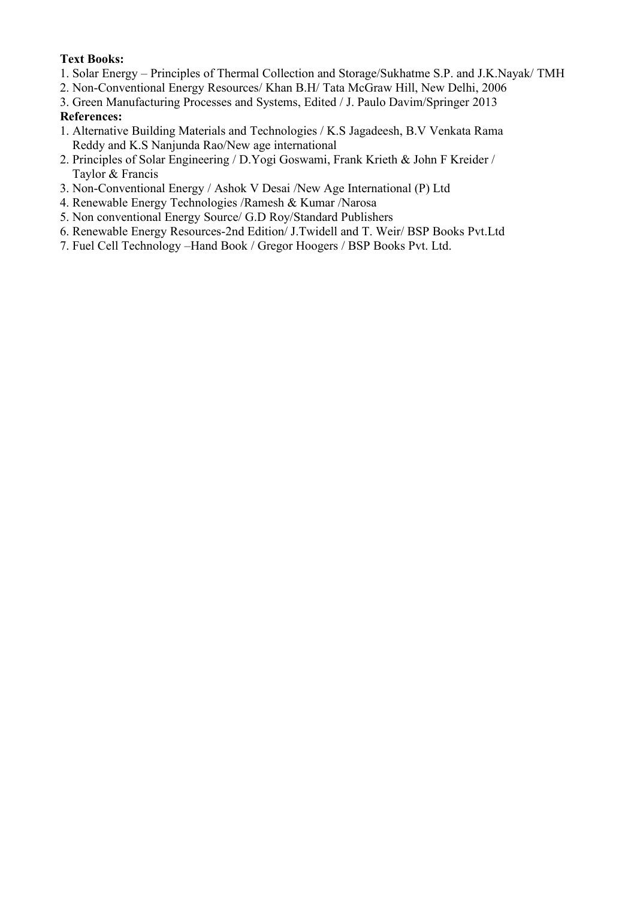## **Text Books:**

- 1. Solar Energy Principles of Thermal Collection and Storage/Sukhatme S.P. and J.K.Nayak/ TMH
- 2. Non-Conventional Energy Resources/ Khan B.H/ Tata McGraw Hill, New Delhi, 2006
- 3. Green Manufacturing Processes and Systems, Edited / J. Paulo Davim/Springer 2013 **References:**
- 1. Alternative Building Materials and Technologies / K.S Jagadeesh, B.V Venkata Rama Reddy and K.S Nanjunda Rao/New age international
- 2. Principles of Solar Engineering / D.Yogi Goswami, Frank Krieth & John F Kreider / Taylor & Francis
- 3. Non-Conventional Energy / Ashok V Desai /New Age International (P) Ltd
- 4. Renewable Energy Technologies /Ramesh & Kumar /Narosa
- 5. Non conventional Energy Source/ G.D Roy/Standard Publishers
- 6. Renewable Energy Resources-2nd Edition/ J.Twidell and T. Weir/ BSP Books Pvt.Ltd
- 7. Fuel Cell Technology –Hand Book / Gregor Hoogers / BSP Books Pvt. Ltd.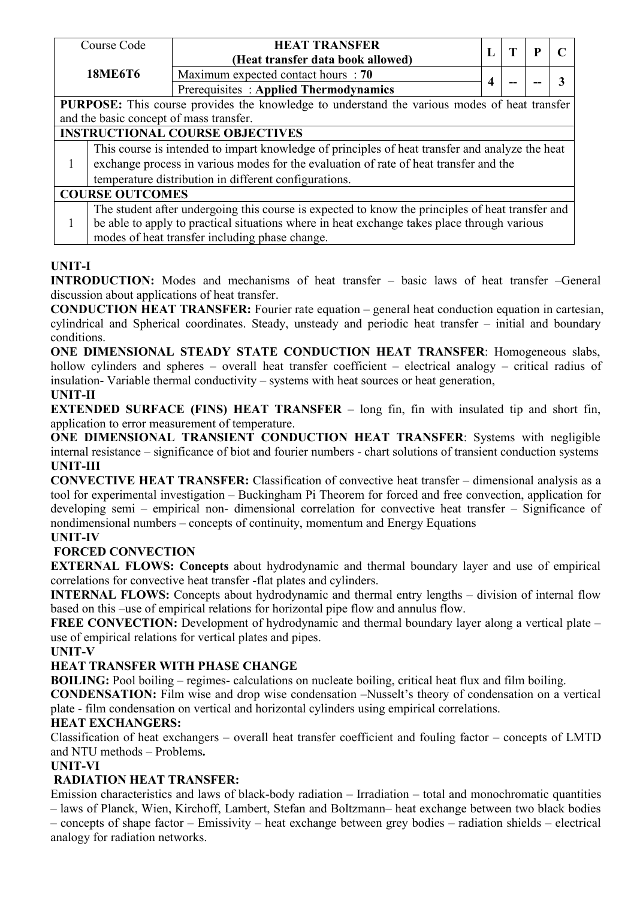|                                                                                              | Course Code                                                                                 | <b>HEAT TRANSFER</b>                                                                             |   | T   | P |  |  |  |  |
|----------------------------------------------------------------------------------------------|---------------------------------------------------------------------------------------------|--------------------------------------------------------------------------------------------------|---|-----|---|--|--|--|--|
|                                                                                              |                                                                                             | (Heat transfer data book allowed)                                                                |   |     |   |  |  |  |  |
|                                                                                              | <b>18ME6T6</b>                                                                              | Maximum expected contact hours : 70                                                              |   |     |   |  |  |  |  |
|                                                                                              |                                                                                             | Prerequisites: Applied Thermodynamics                                                            | 4 | $-$ |   |  |  |  |  |
| PURPOSE: This course provides the knowledge to understand the various modes of heat transfer |                                                                                             |                                                                                                  |   |     |   |  |  |  |  |
| and the basic concept of mass transfer.                                                      |                                                                                             |                                                                                                  |   |     |   |  |  |  |  |
| <b>INSTRUCTIONAL COURSE OBJECTIVES</b>                                                       |                                                                                             |                                                                                                  |   |     |   |  |  |  |  |
|                                                                                              |                                                                                             | This course is intended to impart knowledge of principles of heat transfer and analyze the heat  |   |     |   |  |  |  |  |
|                                                                                              | exchange process in various modes for the evaluation of rate of heat transfer and the       |                                                                                                  |   |     |   |  |  |  |  |
|                                                                                              | temperature distribution in different configurations.                                       |                                                                                                  |   |     |   |  |  |  |  |
|                                                                                              | <b>COURSE OUTCOMES</b>                                                                      |                                                                                                  |   |     |   |  |  |  |  |
|                                                                                              |                                                                                             | The student after undergoing this course is expected to know the principles of heat transfer and |   |     |   |  |  |  |  |
|                                                                                              | be able to apply to practical situations where in heat exchange takes place through various |                                                                                                  |   |     |   |  |  |  |  |
|                                                                                              | modes of heat transfer including phase change.                                              |                                                                                                  |   |     |   |  |  |  |  |

# **UNIT-I**

**INTRODUCTION:** Modes and mechanisms of heat transfer – basic laws of heat transfer –General discussion about applications of heat transfer.

**CONDUCTION HEAT TRANSFER:** Fourier rate equation – general heat conduction equation in cartesian, cylindrical and Spherical coordinates. Steady, unsteady and periodic heat transfer – initial and boundary conditions.

**ONE DIMENSIONAL STEADY STATE CONDUCTION HEAT TRANSFER**: Homogeneous slabs, hollow cylinders and spheres – overall heat transfer coefficient – electrical analogy – critical radius of  $insulation-Variable thermal conductivity - systems with heat sources or heat generation,$ 

## **UNIT-II**

**EXTENDED SURFACE (FINS) HEAT TRANSFER** – long fin, fin with insulated tip and short fin, application to error measurement of temperature.

**ONE DIMENSIONAL TRANSIENT CONDUCTION HEAT TRANSFER**: Systems with negligible internal resistance – significance of biot and fourier numbers - chart solutions oftransient conduction systems **UNIT-III**

**CONVECTIVE HEAT TRANSFER:** Classification of convective heat transfer – dimensional analysis as a tool for experimental investigation – Buckingham Pi Theorem for forced and free convection, application for developing semi – empirical non- dimensional correlation for convective heat transfer – Significance of nondimensional numbers – concepts of continuity, momentum and Energy Equations

# **UNIT-IV**

# **FORCED CONVECTION**

**EXTERNAL FLOWS: Concepts** about hydrodynamic and thermal boundary layer and use of empirical correlations for convective heat transfer -flat plates and cylinders.

**INTERNAL FLOWS:** Concepts about hydrodynamic and thermal entry lengths – division of internal flow based on this –use of empirical relations for horizontal pipe flow and annulus flow.

**FREE CONVECTION:** Development of hydrodynamic and thermal boundary layer along a vertical plate – use of empirical relations for vertical plates and pipes.

**UNIT-V**

# **HEAT TRANSFER WITH PHASE CHANGE**

**BOILING:** Pool boiling – regimes- calculations on nucleate boiling, critical heat flux and film boiling.

**CONDENSATION:** Film wise and drop wise condensation –Nusselt's theory of condensation on a vertical plate - film condensation on vertical and horizontal cylinders using empirical correlations.

# **HEAT EXCHANGERS:**

Classification of heat exchangers – overall heat transfer coefficient and fouling factor – concepts of LMTD and NTU methods – Problems**.**

# **UNIT-VI**

# **RADIATION HEAT TRANSFER:**

Emission characteristics and laws of black-body radiation – Irradiation – total and monochromatic quantities – lawsofPlanck, Wien, Kirchoff, Lambert, Stefan and Boltzmann– heat exchange between two black bodies – concepts of shape factor – Emissivity – heat exchange between grey bodies – radiation shields – electrical analogy for radiation networks.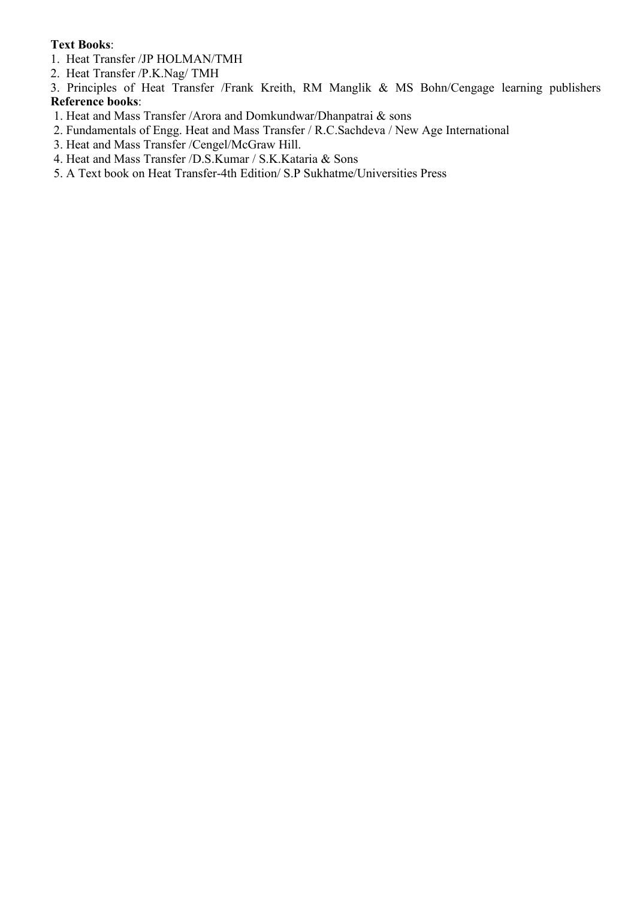#### **Text Books**:

- 1. Heat Transfer /JP HOLMAN/TMH
- 2. Heat Transfer /P.K.Nag/ TMH
- 3. Principles of Heat Transfer /Frank Kreith, RM Manglik & MS Bohn/Cengage learning publishers **Reference books**:
- 1. Heat and Mass Transfer /Arora and Domkundwar/Dhanpatrai & sons
- 2. Fundamentals of Engg. Heat and Mass Transfer / R.C.Sachdeva / New Age International
- 3. Heat and Mass Transfer /Cengel/McGraw Hill.
- 4. Heat and Mass Transfer /D.S.Kumar / S.K.Kataria & Sons
- 5. A Text book on Heat Transfer-4th Edition/ S.P Sukhatme/Universities Press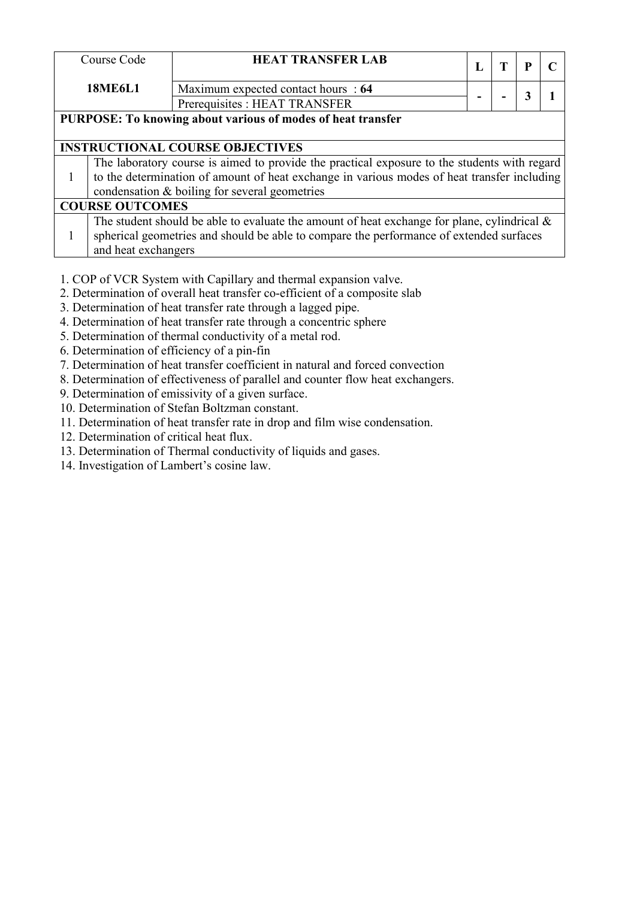| Course Code                                                                                  | <b>HEAT TRANSFER LAB</b>                                                                       |  | T | P |  |  |  |  |
|----------------------------------------------------------------------------------------------|------------------------------------------------------------------------------------------------|--|---|---|--|--|--|--|
| <b>18ME6L1</b>                                                                               | Maximum expected contact hours : 64                                                            |  |   | 3 |  |  |  |  |
|                                                                                              | Prerequisites : HEAT TRANSFER                                                                  |  |   |   |  |  |  |  |
|                                                                                              | PURPOSE: To knowing about various of modes of heat transfer                                    |  |   |   |  |  |  |  |
|                                                                                              |                                                                                                |  |   |   |  |  |  |  |
|                                                                                              | <b>INSTRUCTIONAL COURSE OBJECTIVES</b>                                                         |  |   |   |  |  |  |  |
| The laboratory course is aimed to provide the practical exposure to the students with regard |                                                                                                |  |   |   |  |  |  |  |
|                                                                                              | to the determination of amount of heat exchange in various modes of heat transfer including    |  |   |   |  |  |  |  |
|                                                                                              | condensation & boiling for several geometries                                                  |  |   |   |  |  |  |  |
| <b>COURSE OUTCOMES</b>                                                                       |                                                                                                |  |   |   |  |  |  |  |
|                                                                                              | The student should be able to evaluate the amount of heat exchange for plane, cylindrical $\&$ |  |   |   |  |  |  |  |
| spherical geometries and should be able to compare the performance of extended surfaces      |                                                                                                |  |   |   |  |  |  |  |
| and heat exchangers                                                                          |                                                                                                |  |   |   |  |  |  |  |

- 1. COP of VCR System with Capillary and thermal expansion valve.
- 2. Determination of overall heat transfer co-efficient of a composite slab
- 3. Determination of heat transfer rate through a lagged pipe.
- 4. Determination of heat transfer rate through a concentric sphere
- 5. Determination of thermal conductivity of a metal rod.
- 6. Determination of efficiency of a pin-fin
- 7. Determination of heat transfer coefficient in natural and forced convection
- 8. Determination of effectiveness of parallel and counter flow heat exchangers.
- 9. Determination of emissivity of a given surface.
- 10. Determination of Stefan Boltzman constant.
- 11. Determination of heat transfer rate in drop and film wise condensation.
- 12. Determination of critical heat flux.
- 13. Determination of Thermal conductivity of liquids and gases.
- 14. Investigation of Lambert's cosine law.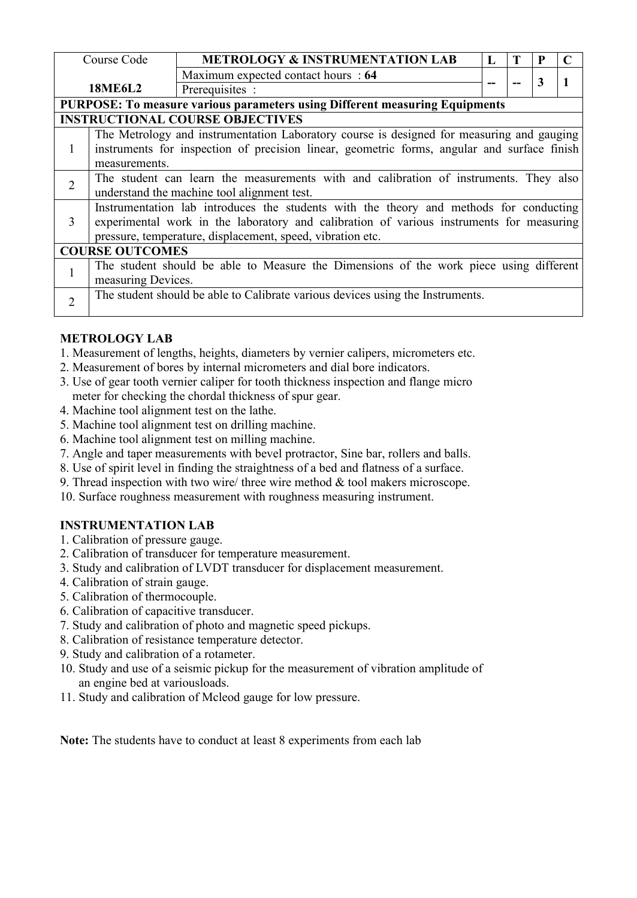|                | Course Code            | <b>METROLOGY &amp; INSTRUMENTATION LAB</b>                                                  | L |  |  |   |  |  |  |  |  |
|----------------|------------------------|---------------------------------------------------------------------------------------------|---|--|--|---|--|--|--|--|--|
|                |                        | Maximum expected contact hours : 64                                                         |   |  |  |   |  |  |  |  |  |
|                | <b>18ME6L2</b>         | Prerequisites :                                                                             |   |  |  | 3 |  |  |  |  |  |
|                |                        | PURPOSE: To measure various parameters using Different measuring Equipments                 |   |  |  |   |  |  |  |  |  |
|                |                        | <b>INSTRUCTIONAL COURSE OBJECTIVES</b>                                                      |   |  |  |   |  |  |  |  |  |
|                |                        | The Metrology and instrumentation Laboratory course is designed for measuring and gauging   |   |  |  |   |  |  |  |  |  |
|                |                        | instruments for inspection of precision linear, geometric forms, angular and surface finish |   |  |  |   |  |  |  |  |  |
|                | measurements.          |                                                                                             |   |  |  |   |  |  |  |  |  |
| $\overline{2}$ |                        | The student can learn the measurements with and calibration of instruments. They also       |   |  |  |   |  |  |  |  |  |
|                |                        | understand the machine tool alignment test.                                                 |   |  |  |   |  |  |  |  |  |
|                |                        | Instrumentation lab introduces the students with the theory and methods for conducting      |   |  |  |   |  |  |  |  |  |
| 3              |                        | experimental work in the laboratory and calibration of various instruments for measuring    |   |  |  |   |  |  |  |  |  |
|                |                        | pressure, temperature, displacement, speed, vibration etc.                                  |   |  |  |   |  |  |  |  |  |
|                | <b>COURSE OUTCOMES</b> |                                                                                             |   |  |  |   |  |  |  |  |  |
|                |                        | The student should be able to Measure the Dimensions of the work piece using different      |   |  |  |   |  |  |  |  |  |
|                |                        | measuring Devices.                                                                          |   |  |  |   |  |  |  |  |  |
| $\overline{2}$ |                        | The student should be able to Calibrate various devices using the Instruments.              |   |  |  |   |  |  |  |  |  |
|                |                        |                                                                                             |   |  |  |   |  |  |  |  |  |

# **METROLOGY LAB**

- 1. Measurement of lengths, heights, diameters by vernier calipers, micrometers etc.
- 2. Measurement of bores by internal micrometers and dial bore indicators.
- 3. Use of gear tooth vernier caliper for tooth thickness inspection and flange micro meter for checking the chordal thickness of spur gear.
- 4. Machine tool alignment test on the lathe.
- 5. Machine tool alignment test on drilling machine.
- 6. Machine tool alignment test on milling machine.
- 7. Angle and taper measurements with bevel protractor, Sine bar, rollers and balls.
- 8. Use of spirit level in finding the straightness of a bed and flatness of a surface.
- 9. Thread inspection with two wire/ three wire method  $\&$  tool makers microscope.<br>10. Surface roughness measurement with roughness measuring instrument.
- 

# **INSTRUMENTATION LAB**

- 1. Calibration of pressure gauge.
- 2. Calibration of transducer for temperature measurement.
- 3. Study and calibration of LVDT transducer for displacement measurement.
- 4. Calibration of strain gauge.
- 5. Calibration of thermocouple.
- 6. Calibration of capacitive transducer.
- 7. Study and calibration of photo and magnetic speed pickups.
- 8. Calibration of resistance temperature detector.
- 9. Study and calibration of a rotameter.
- 10. Study and use of a seismic pickup for the measurement of vibration amplitude of an engine bed at variousloads.
- 11. Study and calibration of Mcleod gauge for low pressure.

**Note:** The students have to conduct at least 8 experiments from each lab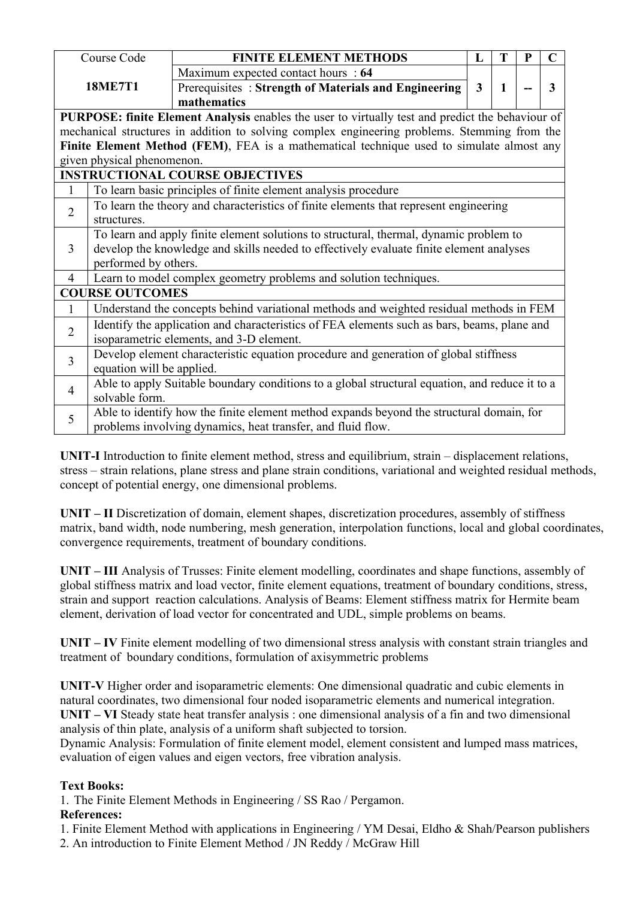|                | Course Code                | <b>FINITE ELEMENT METHODS</b>                                                                    | L            |              | D | $\mathbf C$ |  |  |  |
|----------------|----------------------------|--------------------------------------------------------------------------------------------------|--------------|--------------|---|-------------|--|--|--|
|                |                            | Maximum expected contact hours : 64                                                              |              |              |   |             |  |  |  |
|                | <b>18ME7T1</b>             | Prerequisites: Strength of Materials and Engineering                                             | $\mathbf{3}$ | $\mathbf{1}$ |   | 3           |  |  |  |
|                |                            | mathematics                                                                                      |              |              |   |             |  |  |  |
|                |                            | PURPOSE: finite Element Analysis enables the user to virtually test and predict the behaviour of |              |              |   |             |  |  |  |
|                |                            | mechanical structures in addition to solving complex engineering problems. Stemming from the     |              |              |   |             |  |  |  |
|                |                            | Finite Element Method (FEM), FEA is a mathematical technique used to simulate almost any         |              |              |   |             |  |  |  |
|                | given physical phenomenon. |                                                                                                  |              |              |   |             |  |  |  |
|                |                            | <b>INSTRUCTIONAL COURSE OBJECTIVES</b>                                                           |              |              |   |             |  |  |  |
|                |                            | To learn basic principles of finite element analysis procedure                                   |              |              |   |             |  |  |  |
| $\overline{2}$ |                            | To learn the theory and characteristics of finite elements that represent engineering            |              |              |   |             |  |  |  |
|                | structures.                |                                                                                                  |              |              |   |             |  |  |  |
|                |                            | To learn and apply finite element solutions to structural, thermal, dynamic problem to           |              |              |   |             |  |  |  |
| $\overline{3}$ |                            | develop the knowledge and skills needed to effectively evaluate finite element analyses          |              |              |   |             |  |  |  |
|                | performed by others.       |                                                                                                  |              |              |   |             |  |  |  |
| $\overline{4}$ |                            | Learn to model complex geometry problems and solution techniques.                                |              |              |   |             |  |  |  |
|                | <b>COURSE OUTCOMES</b>     |                                                                                                  |              |              |   |             |  |  |  |
|                |                            | Understand the concepts behind variational methods and weighted residual methods in FEM          |              |              |   |             |  |  |  |
|                |                            | Identify the application and characteristics of FEA elements such as bars, beams, plane and      |              |              |   |             |  |  |  |
| $\overline{2}$ |                            | isoparametric elements, and 3-D element.                                                         |              |              |   |             |  |  |  |
| $\overline{3}$ |                            | Develop element characteristic equation procedure and generation of global stiffness             |              |              |   |             |  |  |  |
|                | equation will be applied.  |                                                                                                  |              |              |   |             |  |  |  |
| $\overline{4}$ |                            | Able to apply Suitable boundary conditions to a global structural equation, and reduce it to a   |              |              |   |             |  |  |  |
|                | solvable form.             |                                                                                                  |              |              |   |             |  |  |  |
| 5              |                            | Able to identify how the finite element method expands beyond the structural domain, for         |              |              |   |             |  |  |  |
|                |                            | problems involving dynamics, heat transfer, and fluid flow.                                      |              |              |   |             |  |  |  |

**UNIT-I** Introduction to finite element method, stress and equilibrium, strain – displacement relations, stress – strain relations, plane stress and plane strain conditions, variational and weighted residual methods, concept of potential energy, one dimensional problems.

**UNIT – II** Discretization of domain, element shapes, discretization procedures, assembly of stiffness matrix, band width, node numbering, mesh generation, interpolation functions, local and global coordinates, convergence requirements, treatment of boundary conditions.

**UNIT – III** Analysis of Trusses: Finite element modelling, coordinates and shape functions, assembly of global stiffness matrix and load vector, finite element equations, treatment of boundary conditions, stress, strain and support reaction calculations. Analysis of Beams: Element stiffness matrix for Hermite beam element, derivation of load vector for concentrated and UDL, simple problems on beams.

**UNIT – IV** Finite element modelling of two dimensional stress analysis with constant strain triangles and treatment of boundary conditions, formulation of axisymmetric problems

**UNIT-V** Higher order and isoparametric elements: One dimensional quadratic and cubic elements in natural coordinates, two dimensional four noded isoparametric elements and numerical integration. **UNIT** – VI Steady state heat transfer analysis : one dimensional analysis of a fin and two dimensional analysis of thin plate, analysis of a uniform shaft subjected to torsion.

Dynamic Analysis: Formulation of finite element model, element consistent and lumped mass matrices, evaluation of eigen values and eigen vectors, free vibration analysis.

# **Text Books:**

1. The Finite Element Methods in Engineering / SS Rao /Pergamon.

- 1. Finite Element Method with applications in Engineering / YM Desai, Eldho & Shah/Pearson publishers
- 2. An introduction to Finite Element Method / JN Reddy / McGraw Hill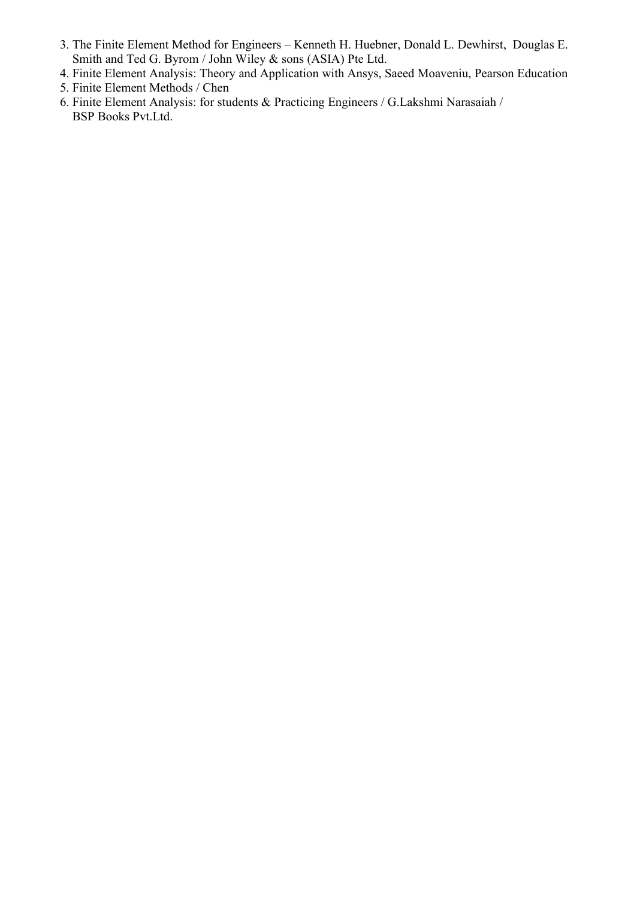- 3. The Finite Element Method for Engineers Kenneth H. Huebner, Donald L. Dewhirst, Douglas E. Smith and Ted G.Byrom / John Wiley & sons (ASIA) Pte Ltd.
- 4. Finite Element Analysis: Theory and Application with Ansys, Saeed Moaveniu, Pearson Education 5. Finite Element Methods / Chen
- 
- 6. Finite Element Analysis: for students & Practicing Engineers / G.Lakshmi Narasaiah / BSP Books Pvt.Ltd.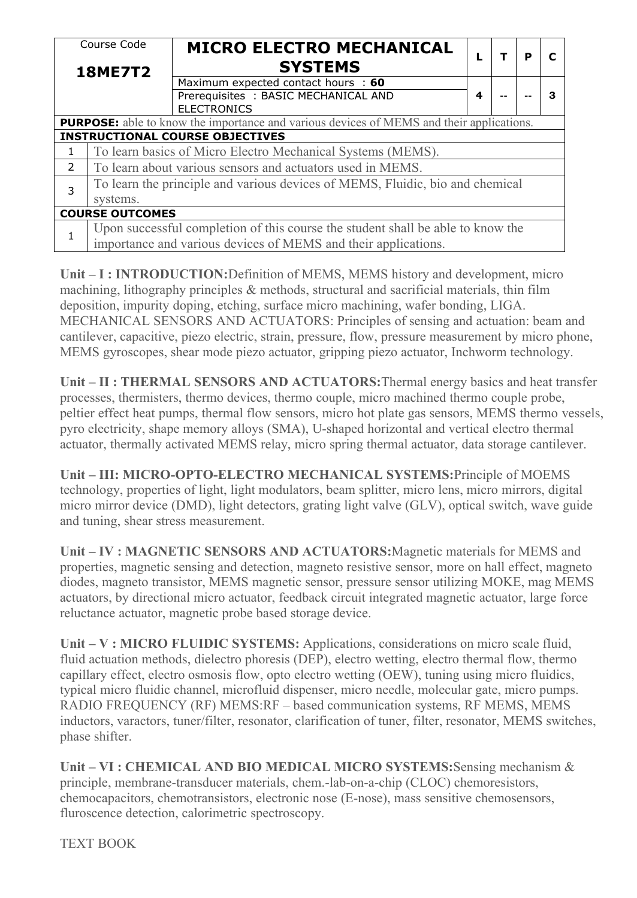| Course Code<br><b>18ME7T2</b> |                                                                | <b>MICRO ELECTRO MECHANICAL</b><br><b>SYSTEMS</b>                                                |   |    | P | C |  |  |  |  |
|-------------------------------|----------------------------------------------------------------|--------------------------------------------------------------------------------------------------|---|----|---|---|--|--|--|--|
|                               |                                                                | Maximum expected contact hours : 60<br>Prerequisites: BASIC MECHANICAL AND<br><b>ELECTRONICS</b> | 4 | -- |   | 3 |  |  |  |  |
|                               |                                                                | <b>PURPOSE:</b> able to know the importance and various devices of MEMS and their applications.  |   |    |   |   |  |  |  |  |
|                               |                                                                | <b>INSTRUCTIONAL COURSE OBJECTIVES</b>                                                           |   |    |   |   |  |  |  |  |
| $\mathbf{1}$                  |                                                                | To learn basics of Micro Electro Mechanical Systems (MEMS).                                      |   |    |   |   |  |  |  |  |
| 2                             |                                                                | To learn about various sensors and actuators used in MEMS.                                       |   |    |   |   |  |  |  |  |
|                               |                                                                | To learn the principle and various devices of MEMS, Fluidic, bio and chemical                    |   |    |   |   |  |  |  |  |
| 3                             | systems.                                                       |                                                                                                  |   |    |   |   |  |  |  |  |
|                               | <b>COURSE OUTCOMES</b>                                         |                                                                                                  |   |    |   |   |  |  |  |  |
|                               |                                                                | Upon successful completion of this course the student shall be able to know the                  |   |    |   |   |  |  |  |  |
|                               | importance and various devices of MEMS and their applications. |                                                                                                  |   |    |   |   |  |  |  |  |

**Unit – I : INTRODUCTION:**Definition of MEMS, MEMS history and development, micro machining, lithography principles & methods, structural and sacrificial materials, thin film deposition, impurity doping, etching, surface micro machining, wafer bonding, LIGA. MECHANICAL SENSORS AND ACTUATORS: Principles of sensing and actuation: beam and cantilever, capacitive, piezo electric, strain, pressure, flow, pressure measurement by micro phone, MEMS gyroscopes, shear mode piezo actuator, gripping piezo actuator, Inchworm technology.

**Unit – II : THERMAL SENSORS AND ACTUATORS:**Thermal energy basics and heat transfer processes, thermisters, thermo devices, thermo couple, micro machined thermo couple probe, peltier effect heat pumps, thermal flow sensors, micro hot plate gas sensors, MEMS thermo vessels, pyro electricity, shape memory alloys (SMA), U-shaped horizontal and vertical electro thermal actuator, thermally activated MEMS relay, micro spring thermal actuator, data storage cantilever.

**Unit – III: MICRO-OPTO-ELECTRO MECHANICAL SYSTEMS:**Principle of MOEMS technology, properties of light, light modulators, beam splitter, micro lens, micro mirrors, digital micro mirror device (DMD), light detectors, grating light valve (GLV), optical switch, wave guide and tuning, shear stress measurement.

**Unit – IV : MAGNETIC SENSORS AND ACTUATORS:**Magnetic materials for MEMS and properties, magnetic sensing and detection, magneto resistive sensor, more on hall effect, magneto diodes, magneto transistor, MEMS magnetic sensor, pressure sensor utilizing MOKE, mag MEMS actuators, by directional micro actuator, feedback circuit integrated magnetic actuator, large force reluctance actuator, magnetic probe based storage device.

**Unit – V : MICRO FLUIDIC SYSTEMS:** Applications, considerations on micro scale fluid, fluid actuation methods, dielectro phoresis (DEP), electro wetting, electro thermal flow, thermo capillary effect, electro osmosis flow, opto electro wetting (OEW), tuning using micro fluidics, typical micro fluidic channel, microfluid dispenser, micro needle, molecular gate, micro pumps. RADIO FREQUENCY (RF) MEMS:RF – based communication systems, RF MEMS, MEMS inductors, varactors, tuner/filter, resonator, clarification of tuner, filter, resonator, MEMS switches, phase shifter.

**Unit – VI : CHEMICAL AND BIO MEDICAL MICRO SYSTEMS:**Sensing mechanism & principle, membrane-transducer materials, chem.-lab-on-a-chip (CLOC) chemoresistors, chemocapacitors, chemotransistors, electronic nose (E-nose), mass sensitive chemosensors, fluroscence detection, calorimetric spectroscopy.

TEXT BOOK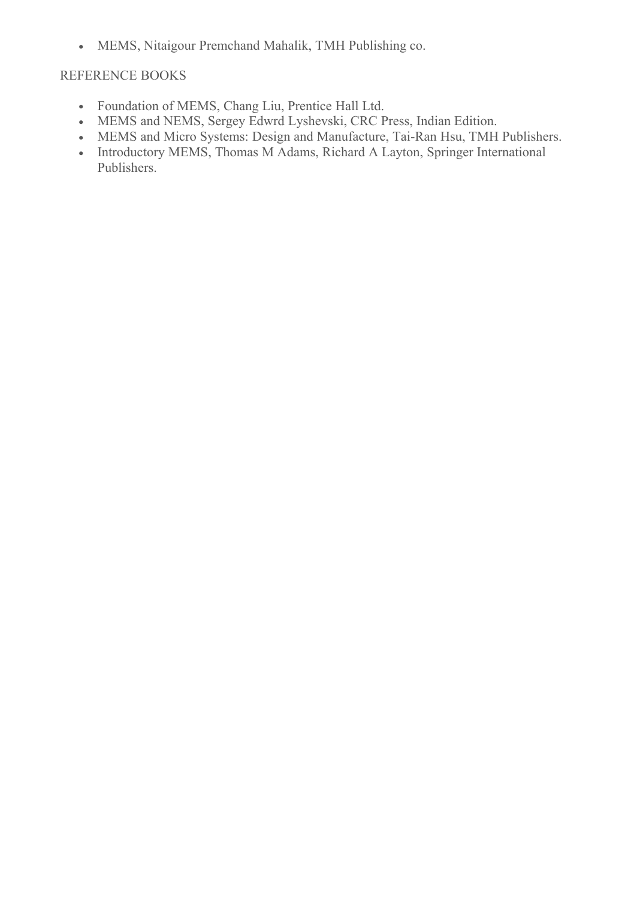MEMS, Nitaigour Premchand Mahalik, TMH Publishing co.

# REFERENCE BOOKS

- Foundation of MEMS, Chang Liu, Prentice Hall Ltd.
- MEMS and NEMS, Sergey Edwrd Lyshevski, CRC Press, Indian Edition.
- MEMS and Micro Systems: Design and Manufacture, Tai-Ran Hsu, TMH Publishers.
- Introductory MEMS, Thomas M Adams, Richard A Layton, Springer International Publishers.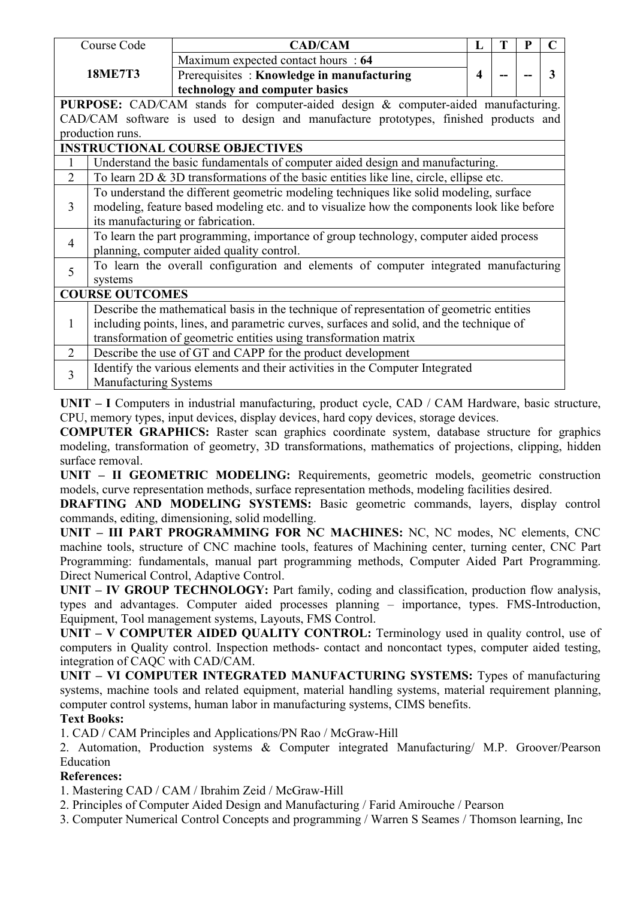|                | Course Code                                                                                | <b>CAD/CAM</b>                                                                           | L                       | Т | P |   |  |  |  |
|----------------|--------------------------------------------------------------------------------------------|------------------------------------------------------------------------------------------|-------------------------|---|---|---|--|--|--|
|                |                                                                                            | Maximum expected contact hours : 64                                                      |                         |   |   |   |  |  |  |
|                | <b>18ME7T3</b>                                                                             | Prerequisites: Knowledge in manufacturing                                                | $\overline{\mathbf{4}}$ |   |   | 3 |  |  |  |
|                |                                                                                            | technology and computer basics                                                           |                         |   |   |   |  |  |  |
|                |                                                                                            | PURPOSE: CAD/CAM stands for computer-aided design & computer-aided manufacturing.        |                         |   |   |   |  |  |  |
|                |                                                                                            | CAD/CAM software is used to design and manufacture prototypes, finished products and     |                         |   |   |   |  |  |  |
|                | production runs.                                                                           |                                                                                          |                         |   |   |   |  |  |  |
|                |                                                                                            | <b>INSTRUCTIONAL COURSE OBJECTIVES</b>                                                   |                         |   |   |   |  |  |  |
|                | Understand the basic fundamentals of computer aided design and manufacturing.              |                                                                                          |                         |   |   |   |  |  |  |
| 2              | To learn $2D \& 3D$ transformations of the basic entities like line, circle, ellipse etc.  |                                                                                          |                         |   |   |   |  |  |  |
|                |                                                                                            | To understand the different geometric modeling techniques like solid modeling, surface   |                         |   |   |   |  |  |  |
| 3              | modeling, feature based modeling etc. and to visualize how the components look like before |                                                                                          |                         |   |   |   |  |  |  |
|                |                                                                                            | its manufacturing or fabrication.                                                        |                         |   |   |   |  |  |  |
| $\overline{4}$ |                                                                                            | To learn the part programming, importance of group technology, computer aided process    |                         |   |   |   |  |  |  |
|                | planning, computer aided quality control.                                                  |                                                                                          |                         |   |   |   |  |  |  |
| 5              |                                                                                            | To learn the overall configuration and elements of computer integrated manufacturing     |                         |   |   |   |  |  |  |
|                | systems                                                                                    |                                                                                          |                         |   |   |   |  |  |  |
|                | <b>COURSE OUTCOMES</b>                                                                     |                                                                                          |                         |   |   |   |  |  |  |
|                |                                                                                            | Describe the mathematical basis in the technique of representation of geometric entities |                         |   |   |   |  |  |  |
| $\mathbf{1}$   |                                                                                            | including points, lines, and parametric curves, surfaces and solid, and the technique of |                         |   |   |   |  |  |  |
|                |                                                                                            | transformation of geometric entities using transformation matrix                         |                         |   |   |   |  |  |  |
| $\overline{2}$ |                                                                                            | Describe the use of GT and CAPP for the product development                              |                         |   |   |   |  |  |  |
| 3              |                                                                                            | Identify the various elements and their activities in the Computer Integrated            |                         |   |   |   |  |  |  |
|                | Manufacturing Systems                                                                      |                                                                                          |                         |   |   |   |  |  |  |

**UNIT – I** Computers in industrial manufacturing, product cycle, CAD / CAM Hardware, basic structure, CPU, memory types, input devices, display devices, hard copy devices, storage devices.

**COMPUTER GRAPHICS:** Raster scan graphics coordinate system, database structure for graphics modeling, transformation of geometry, 3D transformations, mathematics of projections, clipping, hidden surface removal.

**UNIT – II GEOMETRIC MODELING:** Requirements, geometric models, geometric construction models, curve representation methods, surface representation methods, modeling facilities desired.

**DRAFTING AND MODELING SYSTEMS:** Basic geometric commands, layers, display control commands, editing, dimensioning, solid modelling.

**UNIT – III PART PROGRAMMING FOR NC MACHINES:** NC, NC modes, NC elements, CNC machine tools, structure of CNC machine tools, features of Machining center, turning center, CNC Part Programming: fundamentals, manual part programming methods, Computer Aided Part Programming. Direct Numerical Control, Adaptive Control.

**UNIT – IV GROUP TECHNOLOGY:** Part family, coding and classification, production flow analysis, types and advantages. Computer aided processes planning – importance, types. FMS-Introduction, Equipment, Tool management systems, Layouts, FMS Control.

**UNIT – V COMPUTER AIDED QUALITY CONTROL:** Terminology used in quality control, use of computers in Quality control. Inspection methods- contact and noncontact types, computer aided testing, integration of CAQC with CAD/CAM.

**UNIT – VI COMPUTER INTEGRATED MANUFACTURING SYSTEMS:** Types of manufacturing systems, machine tools and related equipment, material handling systems, material requirement planning, computer control systems, human labor in manufacturing systems, CIMS benefits.

# **Text Books:**

1. CAD / CAM Principles and Applications/PN Rao / McGraw-Hill

2. Automation, Production systems & Computer integrated Manufacturing/ M.P. Groover/Pearson Education

# **References:**

1. Mastering CAD / CAM / Ibrahim Zeid / McGraw-Hill

2. Principles of Computer Aided Design and Manufacturing / Farid Amirouche / Pearson

3. Computer Numerical Control Concepts and programming / Warren S Seames / Thomson learning, Inc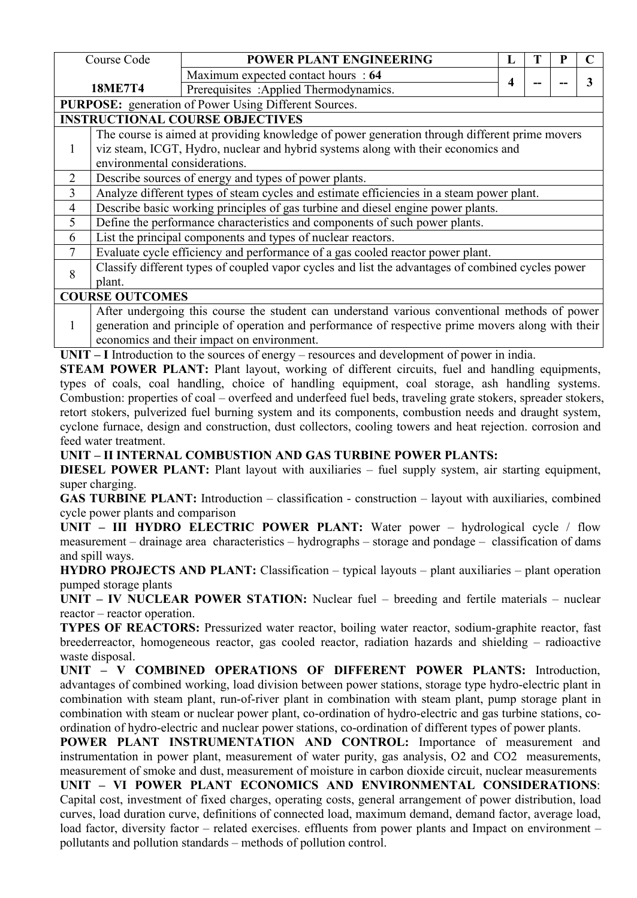|                | Course Code                                                                               | POWER PLANT ENGINEERING                                                                           | L |  |  |   |  |  |  |
|----------------|-------------------------------------------------------------------------------------------|---------------------------------------------------------------------------------------------------|---|--|--|---|--|--|--|
|                |                                                                                           | Maximum expected contact hours : 64                                                               |   |  |  |   |  |  |  |
|                | <b>18ME7T4</b>                                                                            | Prerequisites : Applied Thermodynamics.                                                           | 4 |  |  | 3 |  |  |  |
|                |                                                                                           | <b>PURPOSE:</b> generation of Power Using Different Sources.                                      |   |  |  |   |  |  |  |
|                |                                                                                           | <b>INSTRUCTIONAL COURSE OBJECTIVES</b>                                                            |   |  |  |   |  |  |  |
|                |                                                                                           | The course is aimed at providing knowledge of power generation through different prime movers     |   |  |  |   |  |  |  |
|                |                                                                                           | viz steam, ICGT, Hydro, nuclear and hybrid systems along with their economics and                 |   |  |  |   |  |  |  |
|                | environmental considerations.                                                             |                                                                                                   |   |  |  |   |  |  |  |
| $\overline{2}$ | Describe sources of energy and types of power plants.                                     |                                                                                                   |   |  |  |   |  |  |  |
| 3              | Analyze different types of steam cycles and estimate efficiencies in a steam power plant. |                                                                                                   |   |  |  |   |  |  |  |
| $\overline{4}$ |                                                                                           | Describe basic working principles of gas turbine and diesel engine power plants.                  |   |  |  |   |  |  |  |
| 5              |                                                                                           | Define the performance characteristics and components of such power plants.                       |   |  |  |   |  |  |  |
| 6              |                                                                                           | List the principal components and types of nuclear reactors.                                      |   |  |  |   |  |  |  |
|                |                                                                                           | Evaluate cycle efficiency and performance of a gas cooled reactor power plant.                    |   |  |  |   |  |  |  |
| 8              |                                                                                           | Classify different types of coupled vapor cycles and list the advantages of combined cycles power |   |  |  |   |  |  |  |
|                | plant.                                                                                    |                                                                                                   |   |  |  |   |  |  |  |
|                | <b>COURSE OUTCOMES</b>                                                                    |                                                                                                   |   |  |  |   |  |  |  |
|                |                                                                                           | After undergoing this course the student can understand various conventional methods of power     |   |  |  |   |  |  |  |
|                |                                                                                           | generation and principle of operation and performance of respective prime movers along with their |   |  |  |   |  |  |  |

economics and their impact on environment.

UNIT – I Introduction to the sources of energy – resources and development of power in india.

**STEAM POWER PLANT:** Plant layout, working of different circuits, fuel and handling equipments, types of coals, coal handling, choice of handling equipment, coal storage, ash handling systems. Combustion: properties of coal – overfeed and underfeed fuel beds, traveling grate stokers, spreader stokers, retort stokers, pulverized fuel burning system and its components, combustion needs and draught system, cyclone furnace, design and construction, dust collectors, cooling towers and heat rejection. corrosion and feed water treatment.

**UNIT – II INTERNAL COMBUSTION AND GAS TURBINE POWER PLANTS:**

**DIESEL POWER PLANT:** Plant layout with auxiliaries – fuel supply system, air starting equipment, super charging.

**GAS TURBINE PLANT:** Introduction – classification - construction – layout with auxiliaries, combined cycle power plants and comparison

**UNIT** – **III HYDRO ELECTRIC POWER PLANT:** Water power – hydrological cycle / flow measurement – drainage area characteristics – hydrographs – storage and pondage – classification of dams and spill ways.

**HYDRO PROJECTS AND PLANT:** Classification – typical layouts – plant auxiliaries – plant operation pumped storage plants

**UNIT – IV NUCLEAR POWER STATION:** Nuclear fuel – breeding and fertile materials – nuclear reactor – reactor operation.

**TYPES OF REACTORS:** Pressurized water reactor, boiling water reactor, sodium-graphite reactor, fast breederreactor, homogeneous reactor, gas cooled reactor, radiation hazards and shielding – radioactive waste disposal.

**UNIT – V COMBINED OPERATIONS OF DIFFERENT POWER PLANTS:** Introduction, advantages of combined working, load division between power stations, storage type hydro-electric plant in combination with steam plant, run-of-river plant in combination with steam plant, pump storage plant in combination with steam or nuclear power plant, co-ordination of hydro-electric and gas turbine stations, co ordination of hydro-electric and nuclear power stations, co-ordination of different types of power plants.

**POWER PLANT INSTRUMENTATION AND CONTROL:** Importance of measurement and instrumentation in power plant, measurement of water purity, gas analysis, O2 and CO2 measurements, measurement of smoke and dust, measurement of moisture in carbon dioxide circuit, nuclear measurements

**UNIT – VI POWER PLANT ECONOMICS AND ENVIRONMENTAL CONSIDERATIONS**: Capital cost, investment of fixed charges, operating costs, general arrangement of power distribution, load curves, load duration curve, definitions of connected load, maximum demand, demand factor, average load, load factor, diversity factor – related exercises. effluents from power plants and Impact on environment – pollutants and pollution standards – methods of pollution control.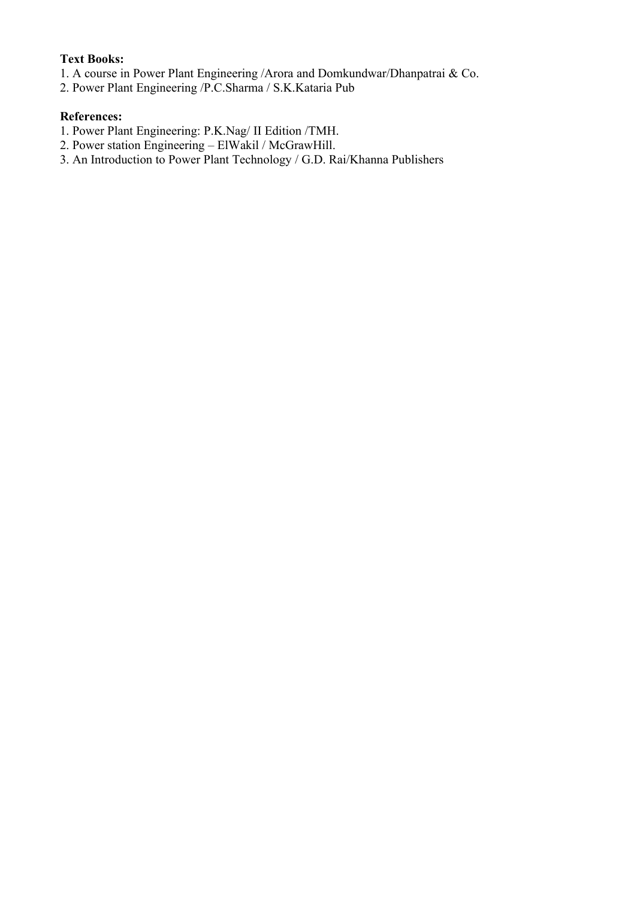# **Text Books:**

- 1. A course in Power Plant Engineering /Arora and Domkundwar/Dhanpatrai & Co.
- 2. Power Plant Engineering /P.C.Sharma / S.K.Kataria Pub

- 1. Power Plant Engineering: P.K.Nag/ II Edition /TMH.
- 2. Power station Engineering ElWakil / McGrawHill.
- 3. An Introduction to Power Plant Technology / G.D. Rai/Khanna Publishers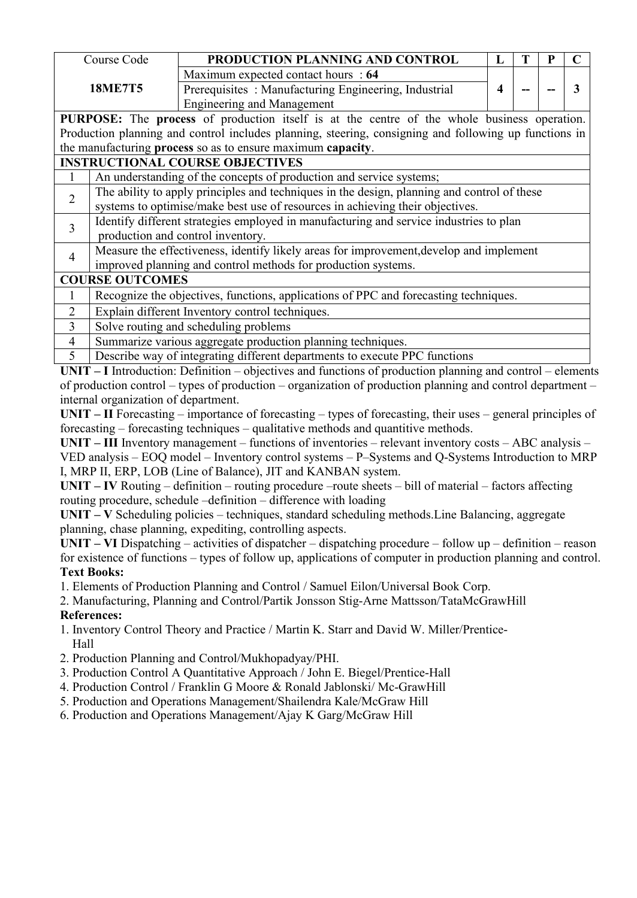|                | Course Code                                                                                 | PRODUCTION PLANNING AND CONTROL                                                                                                                          | $\bf{L}$ | T | P | $\mathbf C$ |  |  |  |  |   |
|----------------|---------------------------------------------------------------------------------------------|----------------------------------------------------------------------------------------------------------------------------------------------------------|----------|---|---|-------------|--|--|--|--|---|
|                |                                                                                             | Maximum expected contact hours : 64                                                                                                                      |          |   |   |             |  |  |  |  |   |
|                | <b>18ME7T5</b>                                                                              | Prerequisites: Manufacturing Engineering, Industrial                                                                                                     | 4        |   |   |             |  |  |  |  | 3 |
|                |                                                                                             | <b>Engineering and Management</b>                                                                                                                        |          |   |   |             |  |  |  |  |   |
|                |                                                                                             | PURPOSE: The process of production itself is at the centre of the whole business operation.                                                              |          |   |   |             |  |  |  |  |   |
|                |                                                                                             | Production planning and control includes planning, steering, consigning and following up functions in                                                    |          |   |   |             |  |  |  |  |   |
|                |                                                                                             | the manufacturing process so as to ensure maximum capacity.                                                                                              |          |   |   |             |  |  |  |  |   |
|                |                                                                                             | <b>INSTRUCTIONAL COURSE OBJECTIVES</b>                                                                                                                   |          |   |   |             |  |  |  |  |   |
| $\mathbf{1}$   | An understanding of the concepts of production and service systems;                         |                                                                                                                                                          |          |   |   |             |  |  |  |  |   |
| $\overline{2}$ | The ability to apply principles and techniques in the design, planning and control of these |                                                                                                                                                          |          |   |   |             |  |  |  |  |   |
|                |                                                                                             | systems to optimise/make best use of resources in achieving their objectives.                                                                            |          |   |   |             |  |  |  |  |   |
| $\overline{3}$ | Identify different strategies employed in manufacturing and service industries to plan      |                                                                                                                                                          |          |   |   |             |  |  |  |  |   |
|                | production and control inventory.                                                           |                                                                                                                                                          |          |   |   |             |  |  |  |  |   |
| $\overline{4}$ |                                                                                             | Measure the effectiveness, identify likely areas for improvement, develop and implement<br>improved planning and control methods for production systems. |          |   |   |             |  |  |  |  |   |
|                | <b>COURSE OUTCOMES</b>                                                                      |                                                                                                                                                          |          |   |   |             |  |  |  |  |   |
| $\mathbf{1}$   | Recognize the objectives, functions, applications of PPC and forecasting techniques.        |                                                                                                                                                          |          |   |   |             |  |  |  |  |   |
| $\overline{2}$ |                                                                                             |                                                                                                                                                          |          |   |   |             |  |  |  |  |   |
| 3              | Explain different Inventory control techniques.<br>Solve routing and scheduling problems    |                                                                                                                                                          |          |   |   |             |  |  |  |  |   |
| $\overline{4}$ | Summarize various aggregate production planning techniques.                                 |                                                                                                                                                          |          |   |   |             |  |  |  |  |   |
| 5              |                                                                                             | Describe way of integrating different departments to execute PPC functions                                                                               |          |   |   |             |  |  |  |  |   |
|                |                                                                                             | $UNIT - I$ Introduction: Definition – objectives and functions of production planning and control – elements                                             |          |   |   |             |  |  |  |  |   |
|                |                                                                                             | of production control – types of production – organization of production planning and control department –                                               |          |   |   |             |  |  |  |  |   |
|                | internal organization of department.                                                        |                                                                                                                                                          |          |   |   |             |  |  |  |  |   |
|                |                                                                                             | $UNIT - II$ Forecasting – importance of forecasting – types of forecasting, their uses – general principles of                                           |          |   |   |             |  |  |  |  |   |
|                |                                                                                             | forecasting – forecasting techniques – qualitative methods and quantitive methods.                                                                       |          |   |   |             |  |  |  |  |   |
|                |                                                                                             | $UNIT - III$ Inventory management – functions of inventories – relevant inventory costs – ABC analysis –                                                 |          |   |   |             |  |  |  |  |   |
|                |                                                                                             | VED analysis – EOQ model – Inventory control systems – P–Systems and Q-Systems Introduction to MRP                                                       |          |   |   |             |  |  |  |  |   |
|                |                                                                                             | I, MRP II, ERP, LOB (Line of Balance), JIT and KANBAN system.                                                                                            |          |   |   |             |  |  |  |  |   |
|                |                                                                                             | $UNIT - IV$ Routing – definition – routing procedure –route sheets – bill of material – factors affecting                                                |          |   |   |             |  |  |  |  |   |
|                |                                                                                             | routing procedure, schedule -definition - difference with loading                                                                                        |          |   |   |             |  |  |  |  |   |
|                |                                                                                             | $UNIT - V$ Scheduling policies - techniques, standard scheduling methods. Line Balancing, aggregate                                                      |          |   |   |             |  |  |  |  |   |
|                |                                                                                             | planning, chase planning, expediting, controlling aspects.                                                                                               |          |   |   |             |  |  |  |  |   |
|                |                                                                                             | $UNIT - VI$ Dispatching – activities of dispatcher – dispatching procedure – follow up – definition – reason                                             |          |   |   |             |  |  |  |  |   |
|                |                                                                                             | for existence of functions – types of follow up, applications of computer in production planning and control.                                            |          |   |   |             |  |  |  |  |   |

#### **Text Books:**

1. Elements of Production Planning and Control / Samuel Eilon/Universal Book Corp.

2. Manufacturing, Planning and Control/Partik Jonsson Stig-Arne Mattsson/TataMcGrawHill **References:**

- 1. Inventory Control Theory and Practice / Martin K. Starr and David W. Miller/Prentice- Hall
- 2. Production Planning and Control/Mukhopadyay/PHI.
- 3. Production Control A Quantitative Approach / John E. Biegel/Prentice-Hall
- 4. Production Control / Franklin G Moore & Ronald Jablonski/Mc-GrawHill
- 5. Production and Operations Management/Shailendra Kale/McGraw Hill
- 6. Production and Operations Management/Ajay K Garg/McGraw Hill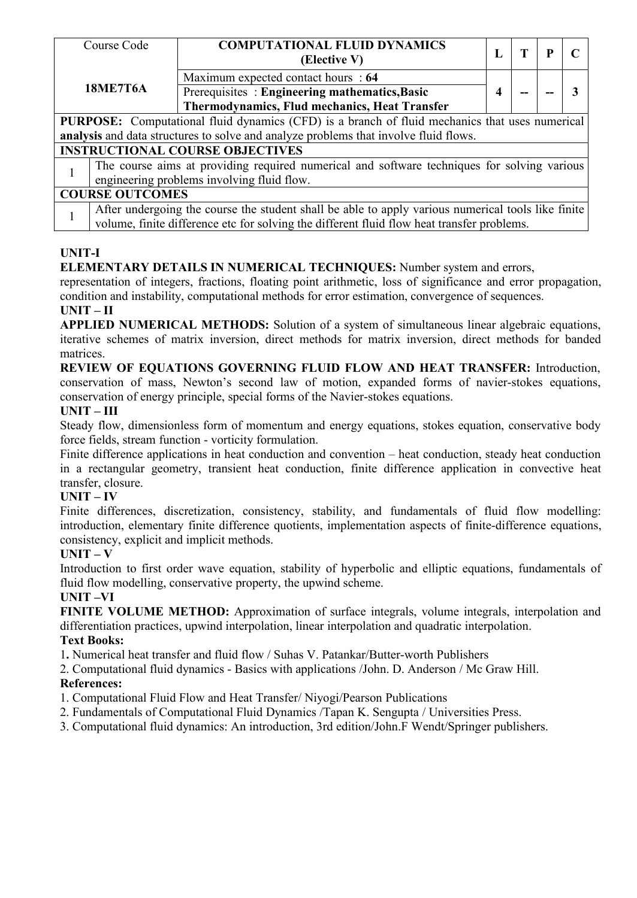| Course Code                                                                                                                                                                                                                                                                                                                                                                                                                                                                                                                      | <b>COMPUTATIONAL FLUID DYNAMICS</b>                                                        | L |  | P |   |  |  |
|----------------------------------------------------------------------------------------------------------------------------------------------------------------------------------------------------------------------------------------------------------------------------------------------------------------------------------------------------------------------------------------------------------------------------------------------------------------------------------------------------------------------------------|--------------------------------------------------------------------------------------------|---|--|---|---|--|--|
|                                                                                                                                                                                                                                                                                                                                                                                                                                                                                                                                  | (Elective V)                                                                               |   |  |   |   |  |  |
|                                                                                                                                                                                                                                                                                                                                                                                                                                                                                                                                  | Maximum expected contact hours : 64                                                        |   |  |   |   |  |  |
|                                                                                                                                                                                                                                                                                                                                                                                                                                                                                                                                  | Prerequisites : Engineering mathematics, Basic                                             | 4 |  |   | 3 |  |  |
|                                                                                                                                                                                                                                                                                                                                                                                                                                                                                                                                  | Thermodynamics, Flud mechanics, Heat Transfer                                              |   |  |   |   |  |  |
|                                                                                                                                                                                                                                                                                                                                                                                                                                                                                                                                  |                                                                                            |   |  |   |   |  |  |
|                                                                                                                                                                                                                                                                                                                                                                                                                                                                                                                                  |                                                                                            |   |  |   |   |  |  |
|                                                                                                                                                                                                                                                                                                                                                                                                                                                                                                                                  |                                                                                            |   |  |   |   |  |  |
|                                                                                                                                                                                                                                                                                                                                                                                                                                                                                                                                  |                                                                                            |   |  |   |   |  |  |
| <b>18ME7T6A</b><br>PURPOSE: Computational fluid dynamics (CFD) is a branch of fluid mechanics that uses numerical<br>analysis and data structures to solve and analyze problems that involve fluid flows.<br><b>INSTRUCTIONAL COURSE OBJECTIVES</b><br>The course aims at providing required numerical and software techniques for solving various<br>engineering problems involving fluid flow.<br><b>COURSE OUTCOMES</b><br>After undergoing the course the student shall be able to apply various numerical tools like finite |                                                                                            |   |  |   |   |  |  |
|                                                                                                                                                                                                                                                                                                                                                                                                                                                                                                                                  |                                                                                            |   |  |   |   |  |  |
|                                                                                                                                                                                                                                                                                                                                                                                                                                                                                                                                  |                                                                                            |   |  |   |   |  |  |
|                                                                                                                                                                                                                                                                                                                                                                                                                                                                                                                                  | volume, finite difference etc for solving the different fluid flow heat transfer problems. |   |  |   |   |  |  |

# **UNIT-I**

# **ELEMENTARY DETAILS IN NUMERICAL TECHNIQUES:** Number system and errors,

representation of integers, fractions, floating point arithmetic, loss of significance and error propagation, condition and instability, computational methods for error estimation, convergence of sequences.

## **UNIT – II**

**APPLIED NUMERICAL METHODS:** Solution of a system of simultaneous linear algebraic equations, iterative schemes of matrix inversion, direct methods for matrix inversion, direct methods for banded matrices.

**REVIEW OF EQUATIONS GOVERNING FLUID FLOW AND HEAT TRANSFER:** Introduction, conservation of mass, Newton's second law of motion, expanded forms of navier-stokes equations, conservation of energy principle, special forms of the Navier-stokes equations.

# **UNIT – III**

Steady flow, dimensionless form of momentum and energy equations, stokes equation, conservative body force fields, stream function - vorticity formulation.

Finite difference applications in heat conduction and convention – heat conduction, steady heat conduction in a rectangular geometry, transient heat conduction, finite difference application in convective heat transfer, closure.

# **UNIT – IV**

Finite differences, discretization, consistency, stability, and fundamentals of fluid flow modelling: introduction, elementary finite difference quotients, implementation aspects of finite-difference equations, consistency, explicit and implicit methods.

# $UNIT - V$

Introduction to first order wave equation, stability of hyperbolic and elliptic equations, fundamentals of fluid flow modelling, conservative property, the upwind scheme.

# **UNIT –VI**

**FINITE VOLUME METHOD:** Approximation of surface integrals, volume integrals, interpolation and differentiation practices, upwind interpolation, linear interpolation and quadratic interpolation.

# **Text Books:**

1**.** Numerical heat transfer and fluid flow / Suhas V. Patankar/Butter-worth Publishers

2. Computational fluid dynamics - Basics with applications /John.D. Anderson / Mc Graw Hill. **References:**

- 1. Computational Fluid Flow and Heat Transfer/ Niyogi/Pearson Publications
- 2. Fundamentals of Computational Fluid Dynamics /Tapan K. Sengupta / Universities Press.
- 3. Computational fluid dynamics: An introduction, 3rd edition/John.F Wendt/Springer publishers.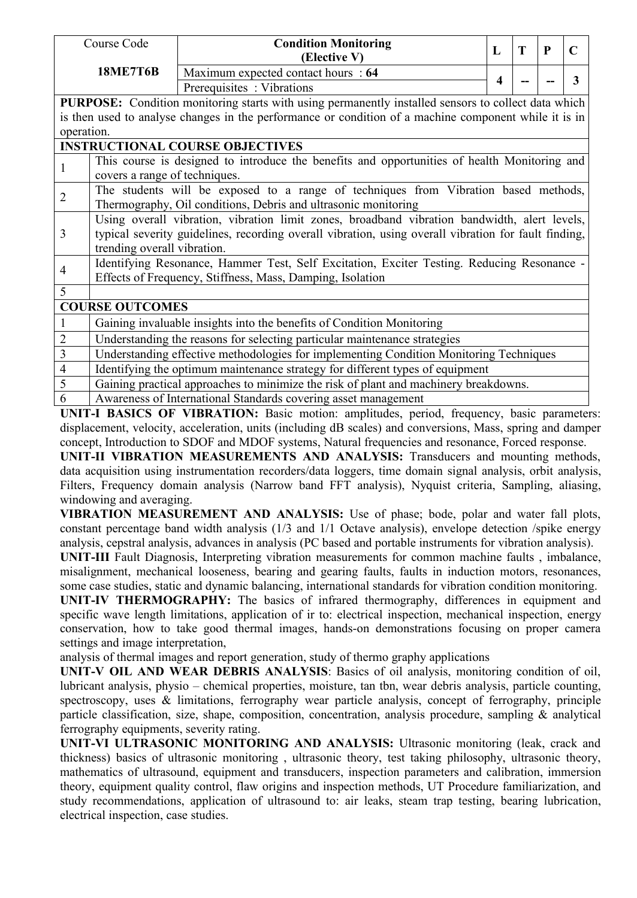|                | Course Code                                                                                                                                                                                                                         | <b>Condition Monitoring</b><br>(Elective V)                                                                                                             | L | T | $\mathbf{P}$ | $\mathbf C$ |  |  |  |  |  |
|----------------|-------------------------------------------------------------------------------------------------------------------------------------------------------------------------------------------------------------------------------------|---------------------------------------------------------------------------------------------------------------------------------------------------------|---|---|--------------|-------------|--|--|--|--|--|
|                | <b>18ME7T6B</b>                                                                                                                                                                                                                     | Maximum expected contact hours : 64                                                                                                                     |   |   |              |             |  |  |  |  |  |
|                |                                                                                                                                                                                                                                     | Prerequisites : Vibrations                                                                                                                              | 4 |   |              | 3           |  |  |  |  |  |
|                |                                                                                                                                                                                                                                     | PURPOSE: Condition monitoring starts with using permanently installed sensors to collect data which                                                     |   |   |              |             |  |  |  |  |  |
|                |                                                                                                                                                                                                                                     | is then used to analyse changes in the performance or condition of a machine component while it is in                                                   |   |   |              |             |  |  |  |  |  |
| operation.     |                                                                                                                                                                                                                                     |                                                                                                                                                         |   |   |              |             |  |  |  |  |  |
|                |                                                                                                                                                                                                                                     | <b>INSTRUCTIONAL COURSE OBJECTIVES</b>                                                                                                                  |   |   |              |             |  |  |  |  |  |
|                |                                                                                                                                                                                                                                     | This course is designed to introduce the benefits and opportunities of health Monitoring and<br>covers a range of techniques.                           |   |   |              |             |  |  |  |  |  |
| $\overline{2}$ | The students will be exposed to a range of techniques from Vibration based methods,<br>Thermography, Oil conditions, Debris and ultrasonic monitoring                                                                               |                                                                                                                                                         |   |   |              |             |  |  |  |  |  |
| 3              | Using overall vibration, vibration limit zones, broadband vibration bandwidth, alert levels,<br>typical severity guidelines, recording overall vibration, using overall vibration for fault finding,<br>trending overall vibration. |                                                                                                                                                         |   |   |              |             |  |  |  |  |  |
| 4              |                                                                                                                                                                                                                                     | Identifying Resonance, Hammer Test, Self Excitation, Exciter Testing. Reducing Resonance -<br>Effects of Frequency, Stiffness, Mass, Damping, Isolation |   |   |              |             |  |  |  |  |  |
| 5              |                                                                                                                                                                                                                                     |                                                                                                                                                         |   |   |              |             |  |  |  |  |  |
|                | <b>COURSE OUTCOMES</b>                                                                                                                                                                                                              |                                                                                                                                                         |   |   |              |             |  |  |  |  |  |
|                |                                                                                                                                                                                                                                     | Gaining invaluable insights into the benefits of Condition Monitoring                                                                                   |   |   |              |             |  |  |  |  |  |
| $\overline{2}$ |                                                                                                                                                                                                                                     | Understanding the reasons for selecting particular maintenance strategies                                                                               |   |   |              |             |  |  |  |  |  |
| 3              |                                                                                                                                                                                                                                     | Understanding effective methodologies for implementing Condition Monitoring Techniques                                                                  |   |   |              |             |  |  |  |  |  |
| 4              |                                                                                                                                                                                                                                     | Identifying the optimum maintenance strategy for different types of equipment                                                                           |   |   |              |             |  |  |  |  |  |
| 5              |                                                                                                                                                                                                                                     | Gaining practical approaches to minimize the risk of plant and machinery breakdowns.                                                                    |   |   |              |             |  |  |  |  |  |
| 6              |                                                                                                                                                                                                                                     | Awareness of International Standards covering asset management                                                                                          |   |   |              |             |  |  |  |  |  |

**UNIT-I BASICS OF VIBRATION:** Basic motion: amplitudes, period, frequency, basic parameters: displacement, velocity, acceleration, units (including dB scales) and conversions, Mass, spring and damper concept, Introduction to SDOF and MDOF systems, Natural frequencies and resonance, Forced response.

**UNIT-II VIBRATION MEASUREMENTS AND ANALYSIS:** Transducers and mounting methods, data acquisition using instrumentation recorders/data loggers, time domain signal analysis, orbit analysis, Filters, Frequency domain analysis (Narrow band FFT analysis), Nyquist criteria, Sampling, aliasing, windowing and averaging.

**VIBRATION MEASUREMENT AND ANALYSIS:** Use of phase; bode, polar and water fall plots, constant percentage band width analysis (1/3 and 1/1 Octave analysis), envelope detection /spike energy analysis, cepstral analysis, advances in analysis (PC based and portable instruments for vibration analysis).

**UNIT-III** Fault Diagnosis, Interpreting vibration measurements for common machine faults , imbalance, misalignment, mechanical looseness, bearing and gearing faults, faults in induction motors, resonances, some case studies, static and dynamic balancing, international standards for vibration condition monitoring.

**UNIT-IV THERMOGRAPHY:** The basics of infrared thermography, differences in equipment and specific wave length limitations, application of ir to: electrical inspection, mechanical inspection, energy conservation, how to take good thermal images, hands-on demonstrations focusing on proper camera settings and image interpretation,

analysis of thermal images and report generation, study of thermo graphy applications

**UNIT-V OIL AND WEAR DEBRIS ANALYSIS**: Basics of oil analysis, monitoring condition of oil, lubricant analysis, physio – chemical properties, moisture, tan tbn, wear debris analysis, particle counting, spectroscopy, uses & limitations, ferrography wear particle analysis, concept of ferrography, principle particle classification, size, shape, composition, concentration, analysis procedure, sampling & analytical ferrography equipments, severity rating.

**UNIT-VI ULTRASONIC MONITORING AND ANALYSIS:** Ultrasonic monitoring (leak, crack and thickness) basics of ultrasonic monitoring , ultrasonic theory, test taking philosophy, ultrasonic theory, mathematics of ultrasound, equipment and transducers, inspection parameters and calibration, immersion theory, equipment quality control, flaw origins and inspection methods, UT Procedure familiarization, and study recommendations, application of ultrasound to: air leaks, steam trap testing, bearing lubrication, electrical inspection, case studies.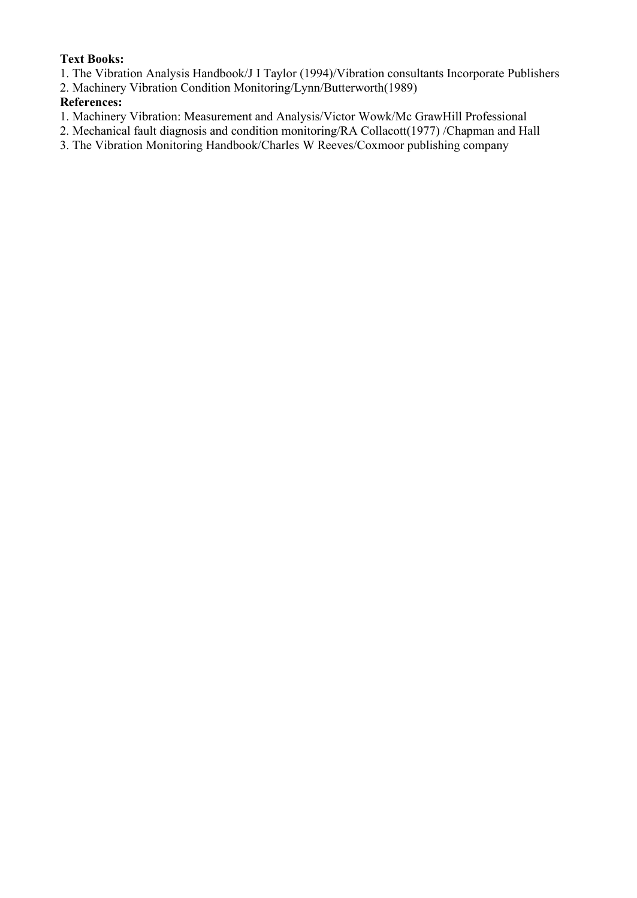# **Text Books:**

- 1. The Vibration Analysis Handbook/J I Taylor (1994)/Vibration consultants Incorporate Publishers
- 2. Machinery Vibration Condition Monitoring/Lynn/Butterworth(1989)

- 1. Machinery Vibration: Measurement and Analysis/Victor Wowk/Mc GrawHill Professional
- 2. Mechanical fault diagnosis and condition monitoring/RA Collacott(1977) /Chapman and Hall
- 3. The Vibration Monitoring Handbook/Charles W Reeves/Coxmoor publishing company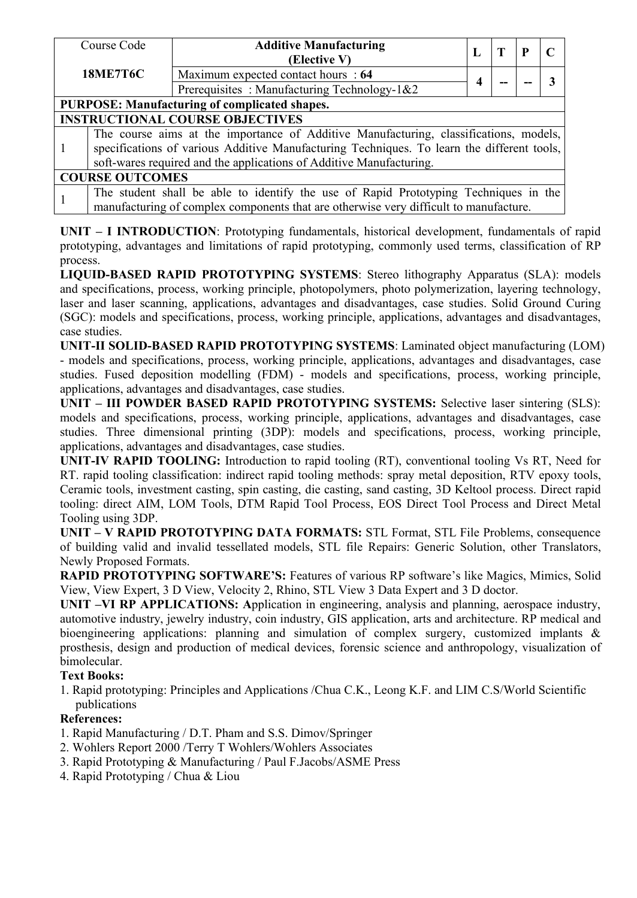| Course Code                                                                           | <b>Additive Manufacturing</b>                                                              | L |  | P | $\mathbf C$ |  |  |  |
|---------------------------------------------------------------------------------------|--------------------------------------------------------------------------------------------|---|--|---|-------------|--|--|--|
|                                                                                       | (Elective V)                                                                               |   |  |   |             |  |  |  |
| <b>18ME7T6C</b>                                                                       | Maximum expected contact hours : 64                                                        |   |  |   |             |  |  |  |
|                                                                                       | Prerequisites: Manufacturing Technology-1&2                                                |   |  |   |             |  |  |  |
|                                                                                       | PURPOSE: Manufacturing of complicated shapes.                                              |   |  |   |             |  |  |  |
|                                                                                       | <b>INSTRUCTIONAL COURSE OBJECTIVES</b>                                                     |   |  |   |             |  |  |  |
|                                                                                       | The course aims at the importance of Additive Manufacturing, classifications, models,      |   |  |   |             |  |  |  |
|                                                                                       | specifications of various Additive Manufacturing Techniques. To learn the different tools, |   |  |   |             |  |  |  |
|                                                                                       | soft-wares required and the applications of Additive Manufacturing.                        |   |  |   |             |  |  |  |
| <b>COURSE OUTCOMES</b>                                                                |                                                                                            |   |  |   |             |  |  |  |
|                                                                                       | The student shall be able to identify the use of Rapid Prototyping Techniques in the       |   |  |   |             |  |  |  |
| manufacturing of complex components that are otherwise very difficult to manufacture. |                                                                                            |   |  |   |             |  |  |  |

**UNIT – I INTRODUCTION**: Prototyping fundamentals, historical development, fundamentals of rapid prototyping, advantages and limitations of rapid prototyping, commonly used terms, classification of RP process.

**LIQUID-BASED RAPID PROTOTYPING SYSTEMS**: Stereo lithography Apparatus (SLA): models and specifications, process, working principle, photopolymers, photo polymerization, layering technology, laser and laser scanning, applications, advantages and disadvantages, case studies. Solid Ground Curing (SGC): models and specifications, process, working principle, applications, advantages and disadvantages, case studies.

**UNIT-II SOLID-BASED RAPID PROTOTYPING SYSTEMS**: Laminated object manufacturing (LOM) - models and specifications, process, working principle, applications, advantages and disadvantages, case studies. Fused deposition modelling (FDM) - models and specifications, process, working principle, applications, advantages and disadvantages, case studies.

**UNIT – III POWDER BASED RAPID PROTOTYPING SYSTEMS:** Selective laser sintering (SLS): models and specifications, process, working principle, applications, advantages and disadvantages, case studies. Three dimensional printing (3DP): models and specifications, process, working principle, applications, advantages and disadvantages, case studies.

**UNIT-IV RAPID TOOLING:** Introduction to rapid tooling (RT), conventional tooling Vs RT, Need for RT. rapid tooling classification: indirect rapid tooling methods: spray metal deposition, RTV epoxy tools, Ceramic tools, investment casting, spin casting, die casting, sand casting, 3D Keltool process. Direct rapid tooling: direct AIM, LOM Tools, DTM Rapid Tool Process, EOS Direct Tool Process and Direct Metal Tooling using 3DP.

**UNIT – V RAPID PROTOTYPING DATA FORMATS:** STL Format, STL File Problems, consequence of building valid and invalid tessellated models, STL file Repairs: Generic Solution, other Translators, Newly Proposed Formats.

**RAPID PROTOTYPING SOFTWARE'S:** Features of various RP software's like Magics, Mimics, Solid View, View Expert, 3 D View, Velocity 2, Rhino, STL View 3 Data Expert and 3 D doctor.

**UNIT –VI RP APPLICATIONS: A**pplication in engineering, analysis and planning, aerospace industry, automotive industry, jewelry industry, coin industry, GIS application, arts and architecture. RP medical and bioengineering applications: planning and simulation of complex surgery, customized implants & prosthesis, design and production of medical devices, forensic science and anthropology, visualization of bimolecular.

# **Text Books:**

1. Rapid prototyping: Principles and Applications /Chua C.K., Leong K.F. and LIM C.S/World Scientific publications

- 1. Rapid Manufacturing / D.T. Pham and S.S. Dimov/Springer
- 2. Wohlers Report 2000 /Terry T Wohlers/Wohlers Associates
- 3. Rapid Prototyping & Manufacturing / Paul F.Jacobs/ASME Press
- 4. Rapid Prototyping / Chua & Liou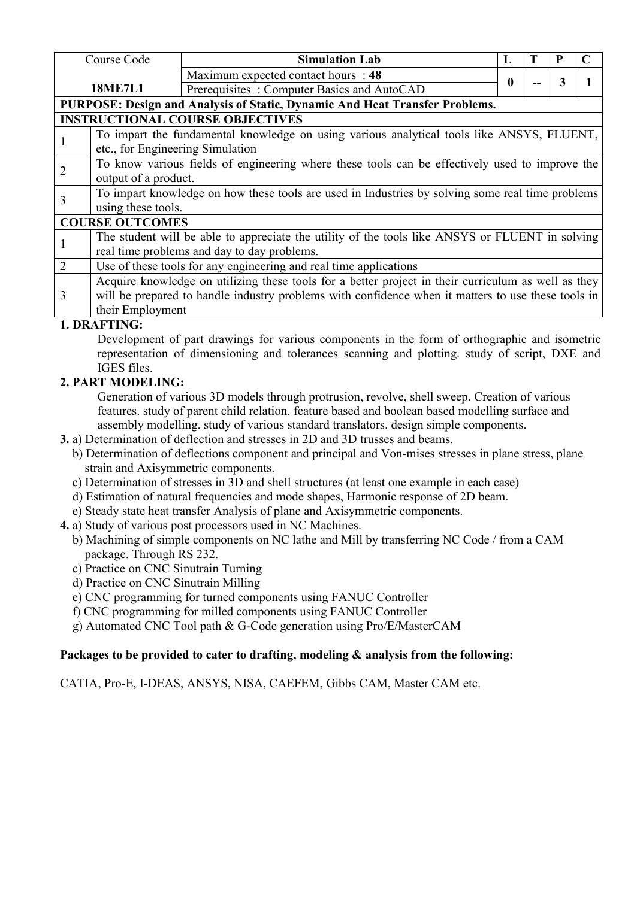|                | Course Code                                                                                                            | <b>Simulation Lab</b>                                                                                                                                                                                     |          |  |   |  |  |  |  |
|----------------|------------------------------------------------------------------------------------------------------------------------|-----------------------------------------------------------------------------------------------------------------------------------------------------------------------------------------------------------|----------|--|---|--|--|--|--|
|                |                                                                                                                        | Maximum expected contact hours : 48                                                                                                                                                                       | $\bf{0}$ |  | 3 |  |  |  |  |
|                | <b>18ME7L1</b>                                                                                                         | Prerequisites: Computer Basics and AutoCAD                                                                                                                                                                |          |  |   |  |  |  |  |
|                |                                                                                                                        | PURPOSE: Design and Analysis of Static, Dynamic And Heat Transfer Problems.                                                                                                                               |          |  |   |  |  |  |  |
|                |                                                                                                                        | <b>INSTRUCTIONAL COURSE OBJECTIVES</b>                                                                                                                                                                    |          |  |   |  |  |  |  |
|                | etc., for Engineering Simulation                                                                                       | To impart the fundamental knowledge on using various analytical tools like ANSYS, FLUENT,                                                                                                                 |          |  |   |  |  |  |  |
| 2              | To know various fields of engineering where these tools can be effectively used to improve the<br>output of a product. |                                                                                                                                                                                                           |          |  |   |  |  |  |  |
| $\overline{3}$ | To impart knowledge on how these tools are used in Industries by solving some real time problems<br>using these tools. |                                                                                                                                                                                                           |          |  |   |  |  |  |  |
|                | <b>COURSE OUTCOMES</b>                                                                                                 |                                                                                                                                                                                                           |          |  |   |  |  |  |  |
|                |                                                                                                                        | The student will be able to appreciate the utility of the tools like ANSYS or FLUENT in solving<br>real time problems and day to day problems.                                                            |          |  |   |  |  |  |  |
| 2              |                                                                                                                        | Use of these tools for any engineering and real time applications                                                                                                                                         |          |  |   |  |  |  |  |
| 3              | their Employment                                                                                                       | Acquire knowledge on utilizing these tools for a better project in their curriculum as well as they<br>will be prepared to handle industry problems with confidence when it matters to use these tools in |          |  |   |  |  |  |  |

## **1. DRAFTING:**

Development of part drawings for various components in the form of orthographic and isometric representation of dimensioning and tolerances scanning and plotting. study of script, DXE and IGES files.

## **2. PART MODELING:**

Generation of various 3D models through protrusion, revolve, shell sweep. Creation of various features. study of parent child relation. feature based and boolean based modelling surface and assembly modelling. study of various standard translators. design simple components.

**3.** a) Determination of deflection and stresses in 2D and 3D trusses and beams.

- b) Determination of deflections component and principal and Von-mises stresses in plane stress, plane strain and Axisymmetric components.
- c) Determination of stresses in 3D and shell structures (at least one example in each case)
- d) Estimation of natural frequencies and mode shapes, Harmonic response of 2D beam.
- e) Steady state heat transfer Analysis of plane and Axisymmetric components.
- **4.** a) Study of various post processors used in NC Machines.
	- b) Machining of simple components on NC lathe and Mill by transferring NC Code / from a CAM package. Through RS 232.
	- c) Practice on CNC Sinutrain Turning
	- d) Practice on CNC Sinutrain Milling
	- e) CNC programming for turned components using FANUC Controller
	- f) CNC programming for milled components using FANUC Controller

g) Automated CNC Tool path & G-Code generation using Pro/E/MasterCAM

#### **Packages to be provided tocater to drafting, modeling & analysis from the following:**

CATIA, Pro-E, I-DEAS, ANSYS, NISA, CAEFEM, Gibbs CAM, Master CAM etc.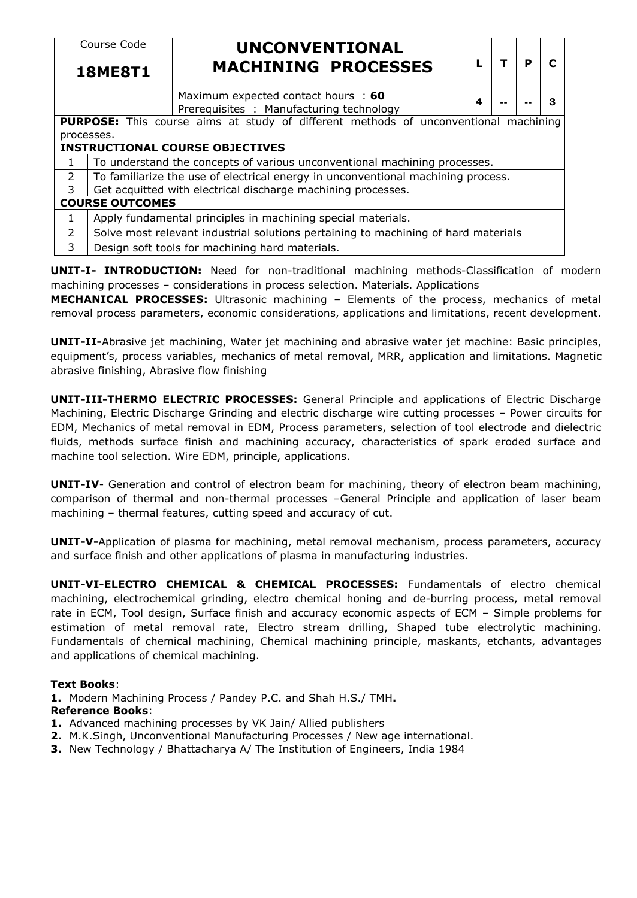|                | Course Code                                     | UNCONVENTIONAL                                                                             |   |  |   |   |  |  |
|----------------|-------------------------------------------------|--------------------------------------------------------------------------------------------|---|--|---|---|--|--|
| <b>18ME8T1</b> |                                                 | <b>MACHINING PROCESSES</b>                                                                 |   |  | P | C |  |  |
|                |                                                 | Maximum expected contact hours : 60                                                        | 4 |  |   | 3 |  |  |
|                |                                                 | Prerequisites : Manufacturing technology                                                   |   |  |   |   |  |  |
|                |                                                 | <b>PURPOSE:</b> This course aims at study of different methods of unconventional machining |   |  |   |   |  |  |
| processes.     |                                                 |                                                                                            |   |  |   |   |  |  |
|                |                                                 | <b>INSTRUCTIONAL COURSE OBJECTIVES</b>                                                     |   |  |   |   |  |  |
| 1              |                                                 | To understand the concepts of various unconventional machining processes.                  |   |  |   |   |  |  |
| $\overline{2}$ |                                                 | To familiarize the use of electrical energy in unconventional machining process.           |   |  |   |   |  |  |
| 3              |                                                 | Get acquitted with electrical discharge machining processes.                               |   |  |   |   |  |  |
|                | <b>COURSE OUTCOMES</b>                          |                                                                                            |   |  |   |   |  |  |
| 1              |                                                 | Apply fundamental principles in machining special materials.                               |   |  |   |   |  |  |
| $\overline{2}$ |                                                 | Solve most relevant industrial solutions pertaining to machining of hard materials         |   |  |   |   |  |  |
| 3              | Design soft tools for machining hard materials. |                                                                                            |   |  |   |   |  |  |

**UNIT-I- INTRODUCTION:** Need for non-traditional machining methods-Classification of modern machining processes – considerations in process selection. Materials. Applications

**MECHANICAL PROCESSES:** Ultrasonic machining – Elements of the process, mechanics of metal removal process parameters, economic considerations, applications and limitations, recent development.

**UNIT-II-**Abrasive jet machining, Water jet machining and abrasive water jet machine: Basic principles, equipment's, process variables, mechanics of metal removal, MRR, application and limitations. Magnetic abrasive finishing, Abrasive flow finishing

**UNIT-III-THERMO ELECTRIC PROCESSES:** General Principle and applications of Electric Discharge Machining, Electric Discharge Grinding and electric discharge wire cutting processes – Power circuits for EDM, Mechanics of metal removal in EDM, Process parameters, selection of tool electrode and dielectric fluids, methods surface finish and machining accuracy, characteristics of spark eroded surface and machine tool selection. Wire EDM, principle, applications.

**UNIT-IV**- Generation and control of electron beam for machining, theory of electron beam machining, comparison of thermal and non-thermal processes –General Principle and application of laser beam machining – thermal features, cutting speed and accuracy of cut.

**UNIT-V-**Application of plasma for machining, metal removal mechanism, process parameters, accuracy and surface finish and other applications of plasma in manufacturing industries.

**UNIT-VI-ELECTRO CHEMICAL & CHEMICAL PROCESSES:** Fundamentals of electro chemical machining, electrochemical grinding, electro chemical honing and de-burring process, metal removal rate in ECM, Tool design, Surface finish and accuracy economic aspects of ECM - Simple problems for estimation of metal removal rate, Electro stream drilling, Shaped tube electrolytic machining. Fundamentals of chemical machining, Chemical machining principle, maskants, etchants, advantages and applications of chemical machining.

#### **Text Books**:

**1.** Modern Machining Process / Pandey P.C. and Shah H.S./ TMH**.**

#### **Reference Books**:

- **1.** Advanced machining processes by VK Jain/ Allied publishers
- **2.** M.K.Singh, Unconventional Manufacturing Processes / New age international.
- **3.** New Technology / Bhattacharya A/ The Institution of Engineers, India 1984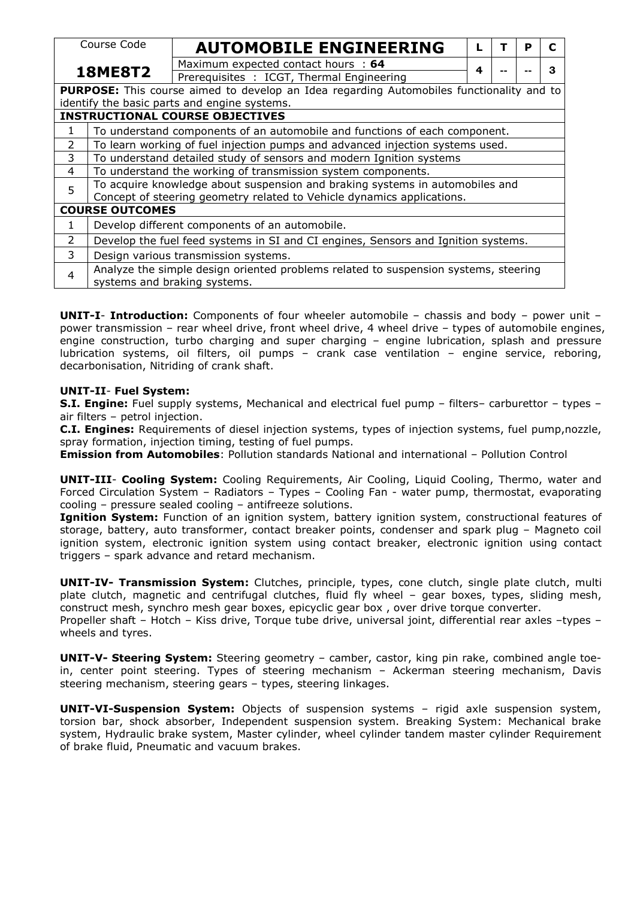| Course Code    |                                                                                                                     | <b>AUTOMOBILE ENGINEERING</b>                                                                   |   |  | P | C |  |  |  |
|----------------|---------------------------------------------------------------------------------------------------------------------|-------------------------------------------------------------------------------------------------|---|--|---|---|--|--|--|
| <b>18ME8T2</b> |                                                                                                                     | Maximum expected contact hours : 64                                                             |   |  |   | 3 |  |  |  |
|                |                                                                                                                     | Prerequisites : ICGT, Thermal Engineering                                                       | 4 |  |   |   |  |  |  |
|                |                                                                                                                     | <b>PURPOSE:</b> This course aimed to develop an Idea regarding Automobiles functionality and to |   |  |   |   |  |  |  |
|                |                                                                                                                     | identify the basic parts and engine systems.                                                    |   |  |   |   |  |  |  |
|                |                                                                                                                     | <b>INSTRUCTIONAL COURSE OBJECTIVES</b>                                                          |   |  |   |   |  |  |  |
| 1              | To understand components of an automobile and functions of each component.                                          |                                                                                                 |   |  |   |   |  |  |  |
| $\overline{2}$ | To learn working of fuel injection pumps and advanced injection systems used.                                       |                                                                                                 |   |  |   |   |  |  |  |
| 3              |                                                                                                                     | To understand detailed study of sensors and modern Ignition systems                             |   |  |   |   |  |  |  |
| 4              |                                                                                                                     | To understand the working of transmission system components.                                    |   |  |   |   |  |  |  |
| 5              | To acquire knowledge about suspension and braking systems in automobiles and                                        |                                                                                                 |   |  |   |   |  |  |  |
|                | Concept of steering geometry related to Vehicle dynamics applications.                                              |                                                                                                 |   |  |   |   |  |  |  |
|                | <b>COURSE OUTCOMES</b>                                                                                              |                                                                                                 |   |  |   |   |  |  |  |
| 1.             |                                                                                                                     | Develop different components of an automobile.                                                  |   |  |   |   |  |  |  |
| 2              |                                                                                                                     | Develop the fuel feed systems in SI and CI engines, Sensors and Ignition systems.               |   |  |   |   |  |  |  |
| 3              |                                                                                                                     | Design various transmission systems.                                                            |   |  |   |   |  |  |  |
| $\overline{4}$ | Analyze the simple design oriented problems related to suspension systems, steering<br>systems and braking systems. |                                                                                                 |   |  |   |   |  |  |  |
|                |                                                                                                                     |                                                                                                 |   |  |   |   |  |  |  |

**UNIT-I**- **Introduction:** Components of four wheeler automobile – chassis and body – power unit – power transmission – rear wheel drive, front wheel drive, 4 wheel drive – types of automobile engines, engine construction, turbo charging and super charging – engine lubrication, splash and pressure lubrication systems, oil filters, oil pumps – crank case ventilation – engine service, reboring, decarbonisation, Nitriding of crank shaft.

#### **UNIT-II**- **Fuel System:**

**S.I. Engine:** Fuel supply systems, Mechanical and electrical fuel pump – filters– carburettor – types – air filters – petrol injection.

**C.I. Engines:** Requirements of dieselinjection systems, types of injection systems, fuel pump,nozzle, spray formation, injection timing, testing of fuel pumps.

**Emission from Automobiles**: Pollution standards National and international – Pollution Control

**UNIT-III**- **Cooling System:** Cooling Requirements, Air Cooling, Liquid Cooling, Thermo, water and Forced Circulation System – Radiators – Types – Cooling Fan - water pump, thermostat, evaporating cooling – pressure sealed cooling – antifreeze solutions.

**Ignition System:** Function of an ignition system, battery ignition system, constructional features of storage, battery, auto transformer, contact breaker points, condenser and spark plug – Magneto coil ignition system, electronic ignition system using contact breaker, electronic ignition using contact triggers – spark advance and retard mechanism.

**UNIT-IV- Transmission System:** Clutches, principle, types, cone clutch, single plate clutch, multi plate clutch, magnetic and centrifugal clutches, fluid fly wheel – gear boxes, types, sliding mesh, construct mesh, synchro mesh gear boxes, epicyclic gear box , over drive torque converter. Propeller shaft – Hotch – Kiss drive, Torque tube drive, universal joint, differential rear axles –types – wheels and tyres.

**UNIT-V- Steering System:** Steering geometry – camber, castor, king pin rake, combined angle toein, center point steering. Types of steering mechanism – Ackerman steering mechanism, Davis steering mechanism, steering gears – types, steering linkages.

**UNIT-VI-Suspension System:** Objects of suspension systems – rigid axle suspension system, torsion bar, shock absorber, Independent suspension system. Breaking System: Mechanical brake system, Hydraulic brake system, Master cylinder, wheel cylinder tandem master cylinder Requirement of brake fluid, Pneumatic and vacuum brakes.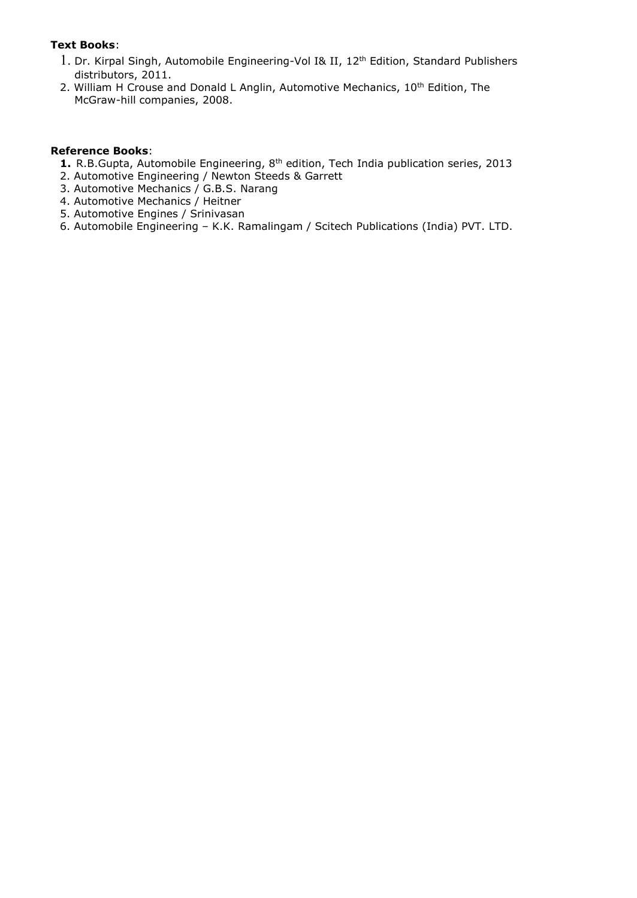#### **Text Books**:

- 1. Dr. Kirpal Singh, Automobile Engineering-Vol I& II, 12<sup>th</sup> Edition, Standard Publishers distributors, 2011.
- 2. William H Crouse and Donald L Anglin, Automotive Mechanics, 10<sup>th</sup> Edition, The McGraw-hill companies, 2008.

#### **Reference Books**:

- **1.** R.B.Gupta, Automobile Engineering, 8<sup>th</sup> edition, Tech India publication series, 2013
- 2. Automotive Engineering / Newton Steeds & Garrett
- 3. Automotive Mechanics / G.B.S. Narang
- 4. Automotive Mechanics / Heitner
- 5. Automotive Engines / Srinivasan
- 6. Automobile Engineering K.K. Ramalingam / Scitech Publications (India) PVT. LTD.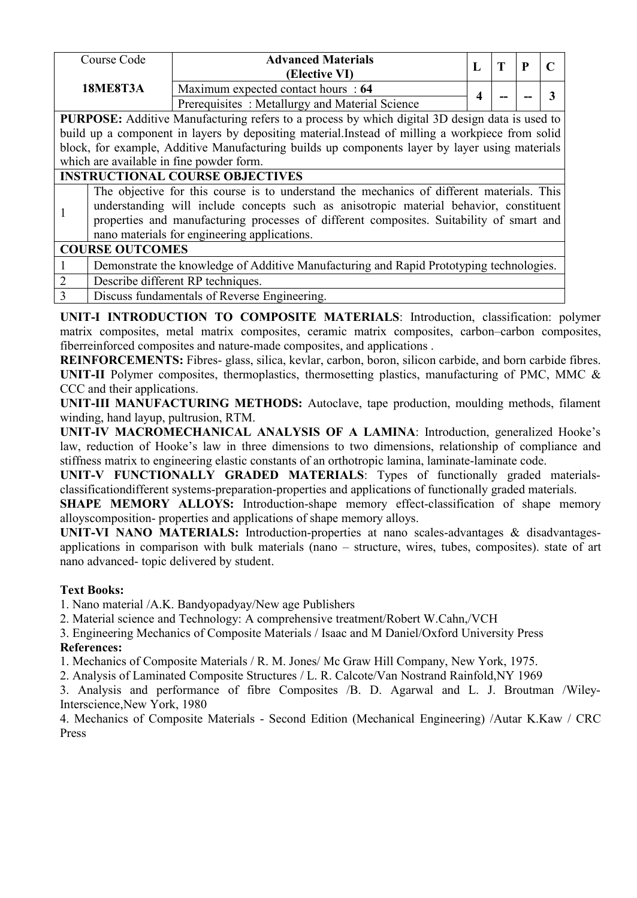| Course Code                        | <b>Advanced Materials</b><br>(Elective VI)     |  | œ  | D  | $\sqrt{ }$ |
|------------------------------------|------------------------------------------------|--|----|----|------------|
| <b>18ME8T3A</b>                    | Maximum expected contact hours : 64            |  |    |    |            |
|                                    | Prerequisites: Metallurgy and Material Science |  | -- | -- |            |
| .<br>.<br>_______<br>_ _ _ _ _ _ _ |                                                |  |    |    |            |

**PURPOSE:** Additive Manufacturing refers to a process by which digital 3D design data is used to build up a component in layers by depositing material.Instead of milling a workpiece from solid block, for example, Additive Manufacturing builds up components layer by layer using materials which are available in fine powder form.

# **INSTRUCTIONAL COURSE OBJECTIVES**

| The objective for this course is to understand the mechanics of different materials. This<br>understanding will include concepts such as anisotropic material behavior, constituent<br>properties and manufacturing processes of different composites. Suitability of smart and |
|---------------------------------------------------------------------------------------------------------------------------------------------------------------------------------------------------------------------------------------------------------------------------------|
|---------------------------------------------------------------------------------------------------------------------------------------------------------------------------------------------------------------------------------------------------------------------------------|

# **COURSE OUTCOMES**

| Demonstrate the knowledge of Additive Manufacturing and Rapid Prototyping technologies. |
|-----------------------------------------------------------------------------------------|
| Describe different RP techniques.                                                       |
| Discuss fundamentals of Reverse Engineering.                                            |

**UNIT-I INTRODUCTION TO COMPOSITE MATERIALS**: Introduction, classification: polymer matrix composites, metal matrix composites, ceramic matrix composites, carbon–carbon composites, fiberreinforced composites and nature-made composites, and applications .

**REINFORCEMENTS:** Fibres- glass, silica, kevlar, carbon, boron, silicon carbide, and born carbide fibres. **UNIT-II** Polymer composites, thermoplastics, thermosetting plastics, manufacturing of PMC, MMC & CCC and their applications.

**UNIT-III MANUFACTURING METHODS:** Autoclave, tape production, moulding methods, filament winding, hand layup, pultrusion, RTM.

**UNIT-IV MACROMECHANICAL ANALYSIS OF A LAMINA**: Introduction, generalized Hooke's law, reduction of Hooke's law in three dimensions to two dimensions, relationship of compliance and stiffness matrix to engineering elastic constants of an orthotropic lamina, laminate-laminate code.

**UNIT-V FUNCTIONALLY GRADED MATERIALS**: Types of functionally graded materials classificationdifferent systems-preparation-properties and applications of functionally graded materials.

**SHAPE MEMORY ALLOYS:** Introduction-shape memory effect-classification of shape memory alloyscomposition- properties and applications of shape memory alloys.

**UNIT-VI NANO MATERIALS:** Introduction-properties at nano scales-advantages & disadvantages applications in comparison with bulk materials (nano – structure, wires, tubes, composites). state of art nano advanced- topic delivered by student.

# **Text Books:**

1. Nano material /A.K. Bandyopadyay/New age Publishers

2. Material science and Technology: A comprehensive treatment/Robert W.Cahn,/VCH

3. Engineering Mechanics of Composite Materials / Isaac and M Daniel/Oxford University Press **References:**

1. Mechanics of Composite Materials / R. M. Jones/ Mc Graw Hill Company, New York, 1975.

2. Analysis of Laminated Composite Structures / L. R. Calcote/Van Nostrand Rainfold,NY 1969

3. Analysis and performance of fibre Composites /B. D. Agarwal and L. J. Broutman /Wiley-Interscience,New York, 1980

4. Mechanics of Composite Materials - Second Edition (Mechanical Engineering) /Autar K.Kaw / CRC Press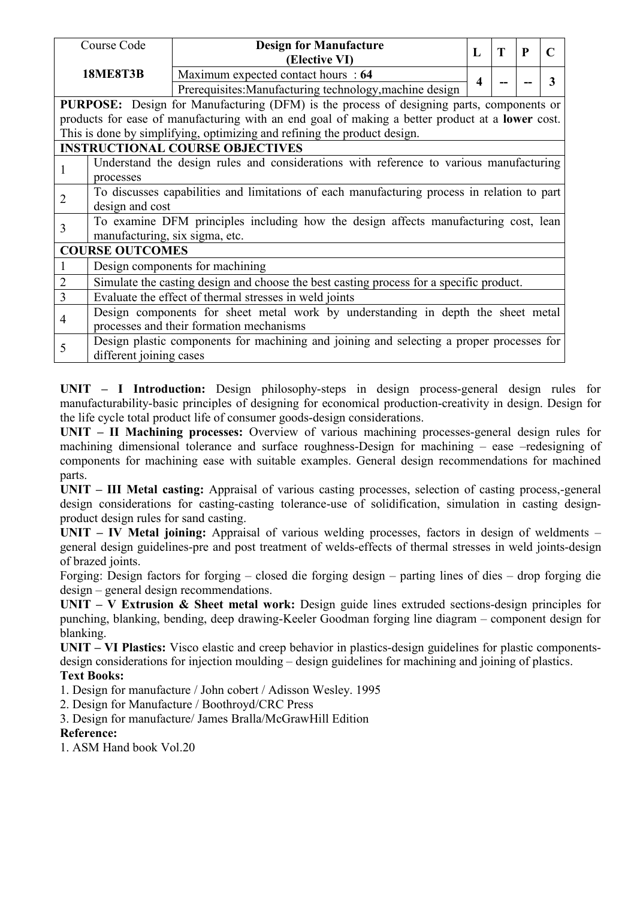|                | Course Code                                                                                         | <b>Design for Manufacture</b><br>(Elective VI)                                                  | L | T | $\mathbf{P}$ | $\mathbf C$ |  |  |
|----------------|-----------------------------------------------------------------------------------------------------|-------------------------------------------------------------------------------------------------|---|---|--------------|-------------|--|--|
|                | <b>18ME8T3B</b>                                                                                     | Maximum expected contact hours : 64<br>Prerequisites: Manufacturing technology, machine design  |   |   |              | 3           |  |  |
|                |                                                                                                     | PURPOSE: Design for Manufacturing (DFM) is the process of designing parts, components or        |   |   |              |             |  |  |
|                |                                                                                                     | products for ease of manufacturing with an end goal of making a better product at a lower cost. |   |   |              |             |  |  |
|                |                                                                                                     | This is done by simplifying, optimizing and refining the product design.                        |   |   |              |             |  |  |
|                |                                                                                                     | <b>INSTRUCTIONAL COURSE OBJECTIVES</b>                                                          |   |   |              |             |  |  |
|                | Understand the design rules and considerations with reference to various manufacturing<br>processes |                                                                                                 |   |   |              |             |  |  |
| $\overline{2}$ | To discusses capabilities and limitations of each manufacturing process in relation to part         |                                                                                                 |   |   |              |             |  |  |
|                | design and cost                                                                                     |                                                                                                 |   |   |              |             |  |  |
| $\overline{3}$ | To examine DFM principles including how the design affects manufacturing cost, lean                 |                                                                                                 |   |   |              |             |  |  |
|                | manufacturing, six sigma, etc.                                                                      |                                                                                                 |   |   |              |             |  |  |
|                | <b>COURSE OUTCOMES</b>                                                                              |                                                                                                 |   |   |              |             |  |  |
| $\mathbf{1}$   | Design components for machining                                                                     |                                                                                                 |   |   |              |             |  |  |
| $\overline{2}$ | Simulate the casting design and choose the best casting process for a specific product.             |                                                                                                 |   |   |              |             |  |  |
| $\mathfrak{Z}$ | Evaluate the effect of thermal stresses in weld joints                                              |                                                                                                 |   |   |              |             |  |  |
|                | Design components for sheet metal work by understanding in depth the sheet metal                    |                                                                                                 |   |   |              |             |  |  |
| $\overline{4}$ | processes and their formation mechanisms                                                            |                                                                                                 |   |   |              |             |  |  |
| 5              | Design plastic components for machining and joining and selecting a proper processes for            |                                                                                                 |   |   |              |             |  |  |
|                | different joining cases                                                                             |                                                                                                 |   |   |              |             |  |  |

**UNIT – I Introduction:** Design philosophy-steps in design process-general design rules for manufacturability-basic principles of designing for economical production-creativity in design. Design for the life cycle total product life of consumer goods-design considerations.

**UNIT – II Machining processes:** Overview of various machining processes-general design rules for machining dimensional tolerance and surface roughness-Design for machining – ease –redesigning of components for machining ease with suitable examples. General design recommendations for machined parts.

**UNIT – III Metal casting:** Appraisal of various casting processes, selection of casting process,-general design considerations for casting-casting tolerance-use of solidification, simulation in casting design product design rules for sand casting.

**UNIT – IV Metal joining:** Appraisal of various welding processes, factors in design of weldments – general design guidelines-pre and post treatment of welds-effects of thermal stresses in weld joints-design of brazed joints.

Forging: Design factors for forging – closed die forging design – parting lines of dies – drop forging die design – general design recommendations.

**UNIT – V Extrusion & Sheet metal work:** Design guide lines extruded sections-design principles for punching, blanking, bending, deep drawing-Keeler Goodman forging line diagram – component design for blanking.

**UNIT – VI Plastics:** Visco elastic and creep behavior in plastics-design guidelines for plastic components design considerations for injection moulding – design guidelines for machining and joining of plastics. **Text Books:**

1. Design for manufacture / John cobert / Adisson Wesley. 1995

2. Design for Manufacture / Boothroyd/CRC Press

3. Design for manufacture/ James Bralla/McGrawHill Edition

#### **Reference:**

1. ASM Hand book Vol.20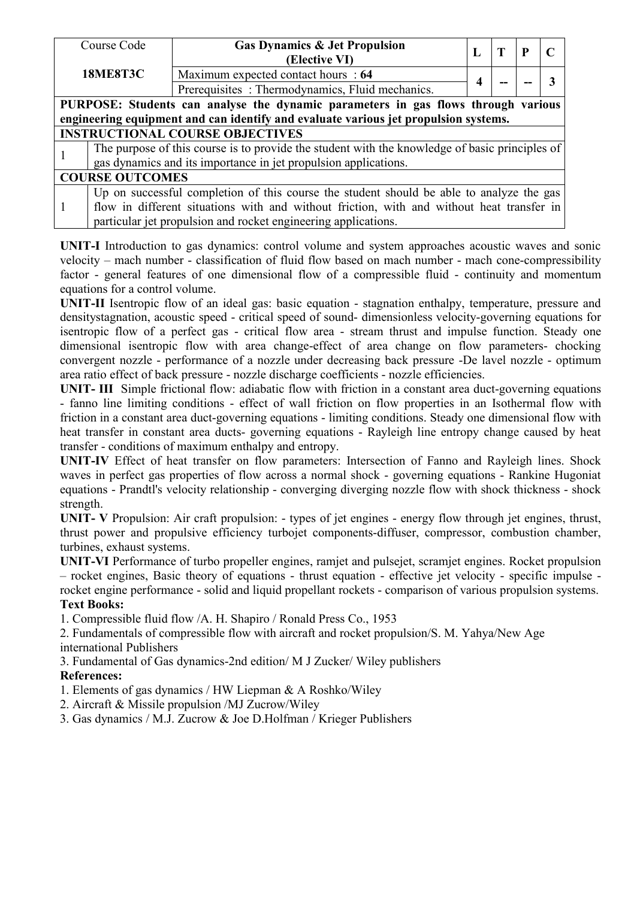|                                                                                     | Course Code                                                                                    | <b>Gas Dynamics &amp; Jet Propulsion</b>        | L |  | P | $\mathbf C$ |  |  |
|-------------------------------------------------------------------------------------|------------------------------------------------------------------------------------------------|-------------------------------------------------|---|--|---|-------------|--|--|
|                                                                                     |                                                                                                | (Elective VI)                                   |   |  |   |             |  |  |
|                                                                                     | <b>18ME8T3C</b>                                                                                | Maximum expected contact hours : 64             |   |  |   | 3           |  |  |
|                                                                                     |                                                                                                | Prerequisites: Thermodynamics, Fluid mechanics. |   |  |   |             |  |  |
| PURPOSE: Students can analyse the dynamic parameters in gas flows through various   |                                                                                                |                                                 |   |  |   |             |  |  |
| engineering equipment and can identify and evaluate various jet propulsion systems. |                                                                                                |                                                 |   |  |   |             |  |  |
| <b>INSTRUCTIONAL COURSE OBJECTIVES</b>                                              |                                                                                                |                                                 |   |  |   |             |  |  |
|                                                                                     | The purpose of this course is to provide the student with the knowledge of basic principles of |                                                 |   |  |   |             |  |  |
|                                                                                     | gas dynamics and its importance in jet propulsion applications.                                |                                                 |   |  |   |             |  |  |
|                                                                                     | <b>COURSE OUTCOMES</b>                                                                         |                                                 |   |  |   |             |  |  |
|                                                                                     | Up on successful completion of this course the student should be able to analyze the gas       |                                                 |   |  |   |             |  |  |
| $\overline{1}$                                                                      | flow in different situations with and without friction, with and without heat transfer in      |                                                 |   |  |   |             |  |  |
|                                                                                     | particular jet propulsion and rocket engineering applications.                                 |                                                 |   |  |   |             |  |  |

**UNIT-I** Introduction to gas dynamics: control volume and system approaches acoustic waves and sonic velocity – mach number - classification of fluid flow based on mach number - mach cone-compressibility factor - general features of one dimensional flow of a compressible fluid - continuity and momentum equations for a control volume.

**UNIT-II** Isentropic flow of an ideal gas: basic equation - stagnation enthalpy, temperature, pressure and densitystagnation, acoustic speed - critical speed of sound- dimensionless velocity-governing equations for isentropic flow of a perfect gas - critical flow area - stream thrust and impulse function. Steady one dimensional isentropic flow with area change-effect of area change on flow parameters- chocking convergent nozzle - performance of a nozzle under decreasing back pressure -De lavel nozzle - optimum area ratio effect of back pressure - nozzle discharge coefficients - nozzle efficiencies.

**UNIT- III** Simple frictional flow: adiabatic flow with friction in a constant area duct-governing equations - fanno line limiting conditions - effect of wall friction on flow properties in an Isothermal flow with friction in a constant area duct-governing equations - limiting conditions. Steady one dimensional flow with heat transfer in constant area ducts- governing equations - Rayleigh line entropy change caused by heat transfer - conditions of maximum enthalpy and entropy.

**UNIT-IV** Effect of heat transfer on flow parameters: Intersection of Fanno and Rayleigh lines. Shock waves in perfect gas properties of flow across a normal shock - governing equations - Rankine Hugoniat equations - Prandtl's velocity relationship - converging diverging nozzle flow with shock thickness - shock strength.

**UNIT- V** Propulsion: Air craft propulsion: - types of jet engines - energy flow through jet engines, thrust, thrust power and propulsive efficiency turbojet components-diffuser, compressor, combustion chamber, turbines, exhaust systems.

**UNIT-VI** Performance of turbo propeller engines, ramjet and pulsejet, scramjet engines. Rocket propulsion – rocket engines, Basic theory of equations - thrust equation - effective jet velocity - specific impulse rocket engine performance - solid and liquid propellant rockets - comparison of various propulsion systems. **Text Books:**

1. Compressible fluid flow /A. H. Shapiro / Ronald Press Co., 1953

2. Fundamentals of compressible flow with aircraft and rocket propulsion/S. M. Yahya/New Age international Publishers

3. Fundamental of Gas dynamics-2nd edition/ M J Zucker/ Wiley publishers

# **References:**

1. Elements of gas dynamics / HW Liepman  $\&$  A Roshko/Wiley

2. Aircraft & Missile propulsion /MJ Zucrow/Wiley

3. Gas dynamics / M.J. Zucrow & Joe D.Holfman / Krieger Publishers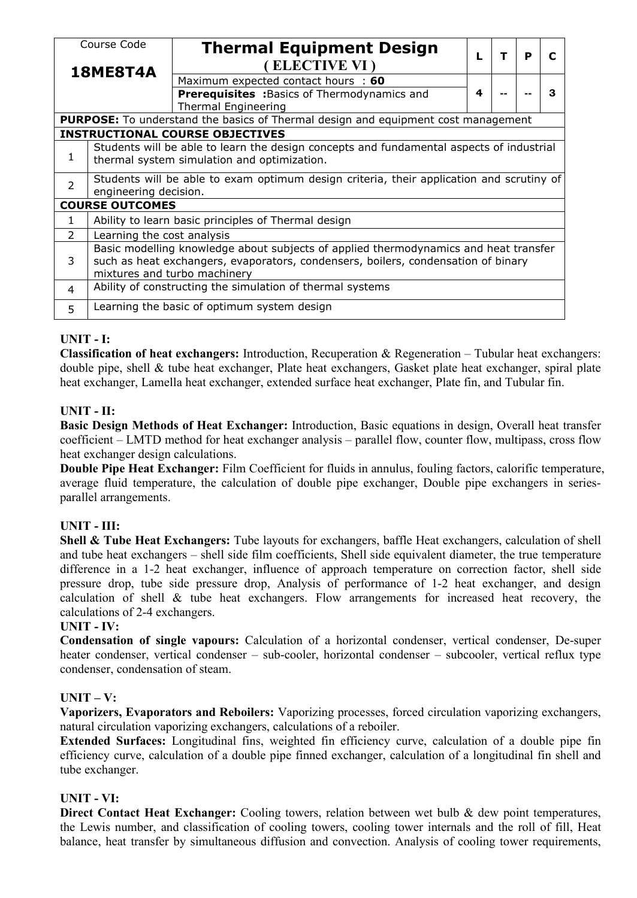| Course Code<br><b>Thermal Equipment Design</b><br>т<br>P<br>$\mathbf c$<br>ELECTIVE VI)<br><b>18ME8T4A</b><br>Maximum expected contact hours : 60<br><b>Prerequisites : Basics of Thermodynamics and</b><br>3<br>4<br>--<br><b>Thermal Engineering</b><br><b>PURPOSE:</b> To understand the basics of Thermal design and equipment cost management<br><b>INSTRUCTIONAL COURSE OBJECTIVES</b><br>Students will be able to learn the design concepts and fundamental aspects of industrial<br>1<br>thermal system simulation and optimization.<br>Students will be able to exam optimum design criteria, their application and scrutiny of<br>$\overline{2}$<br>engineering decision.<br><b>COURSE OUTCOMES</b><br>Ability to learn basic principles of Thermal design<br>1<br>$\overline{2}$<br>Learning the cost analysis<br>Basic modelling knowledge about subjects of applied thermodynamics and heat transfer<br>such as heat exchangers, evaporators, condensers, boilers, condensation of binary<br>3<br>mixtures and turbo machinery<br>Ability of constructing the simulation of thermal systems<br>4 |   |                                             |  |  |  |  |  |  |  |  |
|---------------------------------------------------------------------------------------------------------------------------------------------------------------------------------------------------------------------------------------------------------------------------------------------------------------------------------------------------------------------------------------------------------------------------------------------------------------------------------------------------------------------------------------------------------------------------------------------------------------------------------------------------------------------------------------------------------------------------------------------------------------------------------------------------------------------------------------------------------------------------------------------------------------------------------------------------------------------------------------------------------------------------------------------------------------------------------------------------------------|---|---------------------------------------------|--|--|--|--|--|--|--|--|
|                                                                                                                                                                                                                                                                                                                                                                                                                                                                                                                                                                                                                                                                                                                                                                                                                                                                                                                                                                                                                                                                                                               |   |                                             |  |  |  |  |  |  |  |  |
|                                                                                                                                                                                                                                                                                                                                                                                                                                                                                                                                                                                                                                                                                                                                                                                                                                                                                                                                                                                                                                                                                                               |   |                                             |  |  |  |  |  |  |  |  |
|                                                                                                                                                                                                                                                                                                                                                                                                                                                                                                                                                                                                                                                                                                                                                                                                                                                                                                                                                                                                                                                                                                               |   |                                             |  |  |  |  |  |  |  |  |
|                                                                                                                                                                                                                                                                                                                                                                                                                                                                                                                                                                                                                                                                                                                                                                                                                                                                                                                                                                                                                                                                                                               |   |                                             |  |  |  |  |  |  |  |  |
|                                                                                                                                                                                                                                                                                                                                                                                                                                                                                                                                                                                                                                                                                                                                                                                                                                                                                                                                                                                                                                                                                                               |   |                                             |  |  |  |  |  |  |  |  |
|                                                                                                                                                                                                                                                                                                                                                                                                                                                                                                                                                                                                                                                                                                                                                                                                                                                                                                                                                                                                                                                                                                               |   |                                             |  |  |  |  |  |  |  |  |
|                                                                                                                                                                                                                                                                                                                                                                                                                                                                                                                                                                                                                                                                                                                                                                                                                                                                                                                                                                                                                                                                                                               |   |                                             |  |  |  |  |  |  |  |  |
|                                                                                                                                                                                                                                                                                                                                                                                                                                                                                                                                                                                                                                                                                                                                                                                                                                                                                                                                                                                                                                                                                                               |   |                                             |  |  |  |  |  |  |  |  |
|                                                                                                                                                                                                                                                                                                                                                                                                                                                                                                                                                                                                                                                                                                                                                                                                                                                                                                                                                                                                                                                                                                               |   |                                             |  |  |  |  |  |  |  |  |
|                                                                                                                                                                                                                                                                                                                                                                                                                                                                                                                                                                                                                                                                                                                                                                                                                                                                                                                                                                                                                                                                                                               |   |                                             |  |  |  |  |  |  |  |  |
|                                                                                                                                                                                                                                                                                                                                                                                                                                                                                                                                                                                                                                                                                                                                                                                                                                                                                                                                                                                                                                                                                                               |   |                                             |  |  |  |  |  |  |  |  |
|                                                                                                                                                                                                                                                                                                                                                                                                                                                                                                                                                                                                                                                                                                                                                                                                                                                                                                                                                                                                                                                                                                               |   |                                             |  |  |  |  |  |  |  |  |
|                                                                                                                                                                                                                                                                                                                                                                                                                                                                                                                                                                                                                                                                                                                                                                                                                                                                                                                                                                                                                                                                                                               |   |                                             |  |  |  |  |  |  |  |  |
|                                                                                                                                                                                                                                                                                                                                                                                                                                                                                                                                                                                                                                                                                                                                                                                                                                                                                                                                                                                                                                                                                                               | 5 | Learning the basic of optimum system design |  |  |  |  |  |  |  |  |

# **UNIT - I:**

**Classification of heat exchangers:** Introduction, Recuperation & Regeneration – Tubular heat exchangers: double pipe, shell & tube heat exchanger, Plate heat exchangers, Gasket plate heat exchanger, spiral plate heat exchanger, Lamella heat exchanger, extended surface heat exchanger, Plate fin, and Tubular fin.

# **UNIT - II:**

**Basic Design Methods of Heat Exchanger:** Introduction, Basic equations in design, Overall heat transfer coefficient – LMTD method for heat exchanger analysis – parallel flow, counter flow, multipass, cross flow heat exchanger design calculations.

**Double Pipe Heat Exchanger:** Film Coefficient for fluids in annulus, fouling factors, calorific temperature, average fluid temperature, the calculation of double pipe exchanger, Double pipe exchangers in series parallel arrangements.

# **UNIT - III:**

**Shell & Tube Heat Exchangers:** Tube layouts for exchangers, baffle Heat exchangers, calculation of shell and tube heat exchangers – shell side film coefficients, Shell side equivalent diameter, the true temperature difference in a 1-2 heat exchanger, influence of approach temperature on correction factor, shell side pressure drop, tube side pressure drop, Analysis of performance of 1-2 heat exchanger, and design calculation of shell & tube heat exchangers. Flow arrangements for increased heat recovery, the calculations of 2-4 exchangers.

## **UNIT - IV:**

**Condensation of single vapours:** Calculation of a horizontal condenser, vertical condenser, De-super heater condenser, vertical condenser – sub-cooler, horizontal condenser – subcooler, vertical reflux type condenser, condensation of steam.

## **UNIT – V:**

**Vaporizers, Evaporators and Reboilers:** Vaporizing processes, forced circulation vaporizing exchangers, natural circulation vaporizing exchangers, calculations of a reboiler.

**Extended Surfaces:** Longitudinal fins, weighted fin efficiency curve, calculation of a double pipe fin efficiency curve, calculation of a double pipe finned exchanger, calculation of a longitudinal fin shell and tube exchanger.

## **UNIT - VI:**

**Direct Contact Heat Exchanger:** Cooling towers, relation between wet bulb & dew point temperatures, the Lewis number, and classification of cooling towers, cooling tower internals and the roll of fill, Heat balance, heat transfer by simultaneous diffusion and convection. Analysis of cooling tower requirements,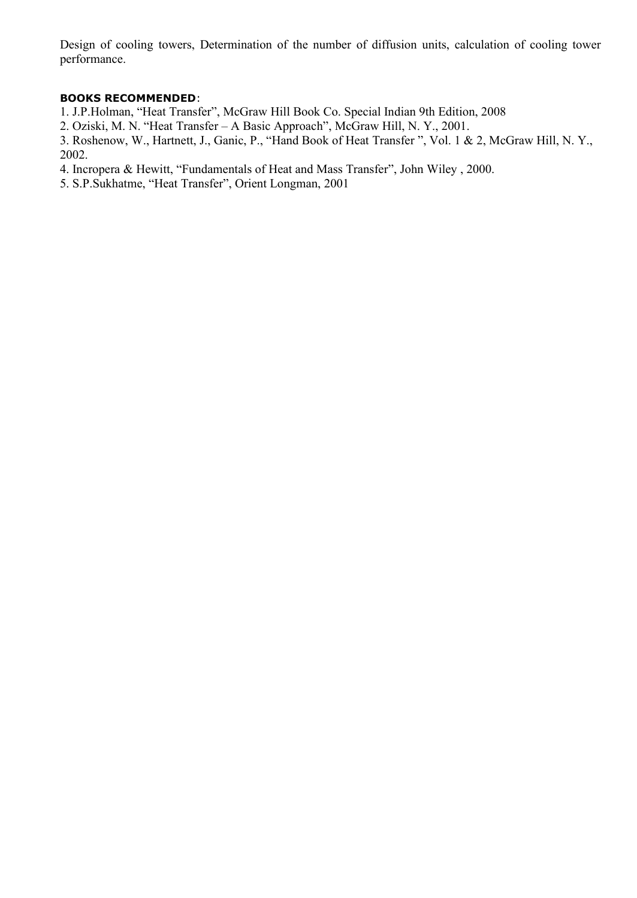Design of cooling towers, Determination of the number of diffusion units, calculation of cooling tower performance.

### **BOOKS RECOMMENDED**:

1. J.P.Holman, "Heat Transfer", McGraw Hill BookCo. Special Indian 9th Edition, 2008

2. Oziski, M. N. "Heat Transfer – A Basic Approach", McGraw Hill, N. Y., 2001.

3. Roshenow, W., Hartnett, J., Ganic, P., "Hand Book of Heat Transfer ", Vol. 1 & 2, McGraw Hill, N. Y., 2002.

4. Incropera & Hewitt, "Fundamentals of Heat and Mass Transfer", John Wiley, 2000.

5. S.P.Sukhatme, "Heat Transfer", Orient Longman, 2001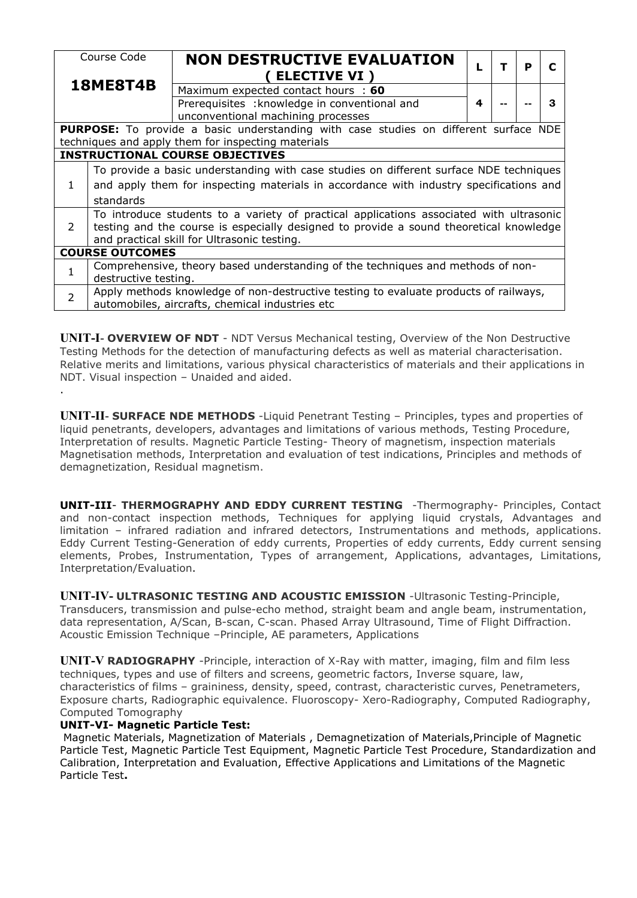| Course Code<br><b>18ME8T4B</b> |                                                                                         | <b>NON DESTRUCTIVE EVALUATION</b>                                                           |   |  | P | C |  |  |  |
|--------------------------------|-----------------------------------------------------------------------------------------|---------------------------------------------------------------------------------------------|---|--|---|---|--|--|--|
|                                |                                                                                         | <b>ELECTIVE VI )</b>                                                                        |   |  |   |   |  |  |  |
|                                |                                                                                         | Maximum expected contact hours : 60                                                         |   |  |   |   |  |  |  |
|                                |                                                                                         | Prerequisites : knowledge in conventional and                                               | 4 |  |   | 3 |  |  |  |
|                                |                                                                                         | unconventional machining processes                                                          |   |  |   |   |  |  |  |
|                                |                                                                                         | <b>PURPOSE:</b> To provide a basic understanding with case studies on different surface NDE |   |  |   |   |  |  |  |
|                                |                                                                                         | techniques and apply them for inspecting materials                                          |   |  |   |   |  |  |  |
|                                |                                                                                         | <b>INSTRUCTIONAL COURSE OBJECTIVES</b>                                                      |   |  |   |   |  |  |  |
|                                | To provide a basic understanding with case studies on different surface NDE techniques  |                                                                                             |   |  |   |   |  |  |  |
| $\mathbf{1}$                   | and apply them for inspecting materials in accordance with industry specifications and  |                                                                                             |   |  |   |   |  |  |  |
|                                | standards                                                                               |                                                                                             |   |  |   |   |  |  |  |
| 2                              | To introduce students to a variety of practical applications associated with ultrasonic |                                                                                             |   |  |   |   |  |  |  |
|                                | testing and the course is especially designed to provide a sound theoretical knowledge  |                                                                                             |   |  |   |   |  |  |  |
|                                | and practical skill for Ultrasonic testing.                                             |                                                                                             |   |  |   |   |  |  |  |
|                                | <b>COURSE OUTCOMES</b>                                                                  |                                                                                             |   |  |   |   |  |  |  |
|                                | Comprehensive, theory based understanding of the techniques and methods of non-         |                                                                                             |   |  |   |   |  |  |  |
|                                | destructive testing.                                                                    |                                                                                             |   |  |   |   |  |  |  |
| $\overline{2}$                 | Apply methods knowledge of non-destructive testing to evaluate products of railways,    |                                                                                             |   |  |   |   |  |  |  |
|                                |                                                                                         | automobiles, aircrafts, chemical industries etc                                             |   |  |   |   |  |  |  |

**UNIT-I**- **OVERVIEW OF NDT** - NDT Versus Mechanical testing, Overview of the Non Destructive Testing Methods for the detection of manufacturing defects as well as material characterisation. Relative merits and limitations, various physical characteristics of materials and their applications in NDT. Visual inspection – Unaided and aided. .

**UNIT-II**- **SURFACE NDE METHODS** -Liquid Penetrant Testing – Principles, types and properties of liquid penetrants, developers, advantages and limitations of various methods, Testing Procedure, Interpretation of results. Magnetic Particle Testing- Theory of magnetism, inspection materials Magnetisation methods, Interpretation and evaluation of test indications, Principles and methods of demagnetization, Residual magnetism.

**UNIT-III**- **THERMOGRAPHY AND EDDY CURRENT TESTING** -Thermography- Principles, Contact and non-contact inspection methods, Techniques for applying liquid crystals, Advantages and limitation – infrared radiation and infrared detectors, Instrumentations and methods, applications. Eddy Current Testing-Generation of eddy currents, Properties of eddy currents, Eddy current sensing elements, Probes, Instrumentation, Types of arrangement, Applications, advantages, Limitations, Interpretation/Evaluation.

**UNIT-IV- ULTRASONIC TESTING AND ACOUSTIC EMISSION** -Ultrasonic Testing-Principle, Transducers, transmission and pulse-echo method, straight beam and angle beam, instrumentation, data representation, A/Scan, B-scan, C-scan. Phased Array Ultrasound, Time of Flight Diffraction. Acoustic Emission Technique –Principle, AE parameters, Applications

**UNIT-V RADIOGRAPHY** -Principle, interaction of X-Ray with matter, imaging, film and film less techniques, types and use of filters and screens, geometric factors, Inverse square, law, characteristics of films – graininess, density, speed, contrast, characteristic curves, Penetrameters, Exposure charts, Radiographic equivalence. Fluoroscopy- Xero-Radiography, Computed Radiography, Computed Tomography

### **UNIT-VI- Magnetic Particle Test:**

Magnetic Materials, Magnetization of Materials , Demagnetization of Materials,Principle of Magnetic Particle Test, Magnetic Particle Test Equipment, Magnetic Particle Test Procedure, Standardization and Calibration, Interpretation and Evaluation, Effective Applications and Limitations of the Magnetic Particle Test**.**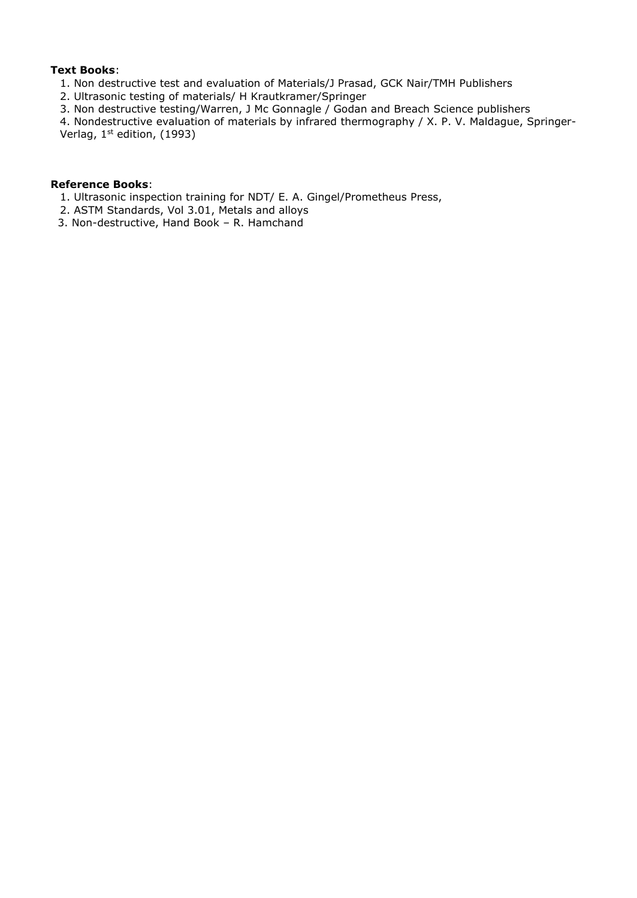### **Text Books**:

- 1. Non destructive test and evaluation of Materials/J Prasad, GCK Nair/TMH Publishers
- 2. Ultrasonic testing of materials/ H Krautkramer/Springer
- 3. Non destructive testing/Warren, J Mc Gonnagle / Godan and Breach Science publishers

4. Nondestructive evaluation of materials by infrared thermography / X. P. V. Maldague, Springer- Verlag, 1 st edition, (1993)

#### **Reference Books**:

- 1. Ultrasonic inspection training for NDT/ E. A. Gingel/Prometheus Press,
- 2. ASTM Standards, Vol 3.01, Metals and alloys
- 3. Non-destructive, Hand Book R. Hamchand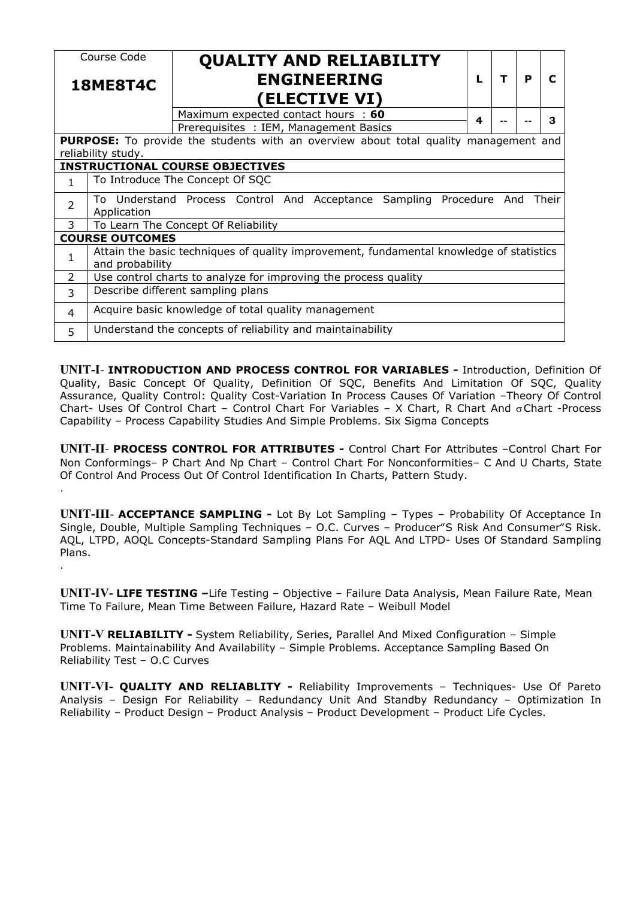|                 | Course Code                                                                                                |                                          | <b>QUALITY AND RELIABILITY</b> |  |                      |  |  |  |   |   |   |
|-----------------|------------------------------------------------------------------------------------------------------------|------------------------------------------|--------------------------------|--|----------------------|--|--|--|---|---|---|
| <b>18ME8T4C</b> |                                                                                                            | <b>ENGINEERING</b>                       |                                |  |                      |  |  |  | T | P | C |
|                 |                                                                                                            |                                          |                                |  | <b>(ELECTIVE VI)</b> |  |  |  |   |   |   |
|                 |                                                                                                            | Maximum expected contact hours : 60<br>4 |                                |  |                      |  |  |  |   |   | 3 |
|                 |                                                                                                            | Prerequisites : IEM, Management Basics   |                                |  |                      |  |  |  |   |   |   |
|                 | <b>PURPOSE:</b> To provide the students with an overview about total quality management and                |                                          |                                |  |                      |  |  |  |   |   |   |
|                 | reliability study.                                                                                         |                                          |                                |  |                      |  |  |  |   |   |   |
|                 | <b>INSTRUCTIONAL COURSE OBJECTIVES</b>                                                                     |                                          |                                |  |                      |  |  |  |   |   |   |
| $\mathbf{1}$    | To Introduce The Concept Of SQC                                                                            |                                          |                                |  |                      |  |  |  |   |   |   |
| $\overline{2}$  | To Understand Process Control And Acceptance Sampling Procedure And<br>Their<br>Application                |                                          |                                |  |                      |  |  |  |   |   |   |
| 3               | To Learn The Concept Of Reliability                                                                        |                                          |                                |  |                      |  |  |  |   |   |   |
|                 | <b>COURSE OUTCOMES</b>                                                                                     |                                          |                                |  |                      |  |  |  |   |   |   |
|                 | Attain the basic techniques of quality improvement, fundamental knowledge of statistics<br>and probability |                                          |                                |  |                      |  |  |  |   |   |   |
| $\overline{2}$  | Use control charts to analyze for improving the process quality                                            |                                          |                                |  |                      |  |  |  |   |   |   |
| 3               | Describe different sampling plans                                                                          |                                          |                                |  |                      |  |  |  |   |   |   |
| 4               | Acquire basic knowledge of total quality management                                                        |                                          |                                |  |                      |  |  |  |   |   |   |
| 5               | Understand the concepts of reliability and maintainability                                                 |                                          |                                |  |                      |  |  |  |   |   |   |
|                 |                                                                                                            |                                          |                                |  |                      |  |  |  |   |   |   |

**UNIT-I**- **INTRODUCTION AND PROCESS CONTROL FOR VARIABLES -** Introduction, Definition Of Quality, Basic Concept Of Quality, Definition Of SQC, Benefits And Limitation Of SQC, Quality Assurance, Quality Control: Quality Cost-Variation In Process Causes Of Variation –Theory Of Control Chart- Uses Of Control Chart – Control Chart For Variables – X Chart, R Chart And  $\sigma$ Chart -Process Capability – Process Capability Studies And Simple Problems. Six Sigma Concepts

**UNIT-II**- **PROCESS CONTROL FOR ATTRIBUTES -** Control Chart For Attributes –Control Chart For Non Conformings– P Chart And Np Chart – Control Chart For Nonconformities– C And U Charts, State Of Control And Process Out Of Control Identification In Charts, Pattern Study. .

**UNIT-III**- **ACCEPTANCE SAMPLING -** Lot By Lot Sampling – Types – Probability Of Acceptance In Single, Double, Multiple Sampling Techniques – O.C. Curves – Producer"S Risk And Consumer"S Risk. AQL, LTPD, AOQL Concepts-Standard Sampling Plans For AQL And LTPD- Uses Of Standard Sampling Plans. .

**UNIT-IV- LIFE TESTING –**Life Testing – Objective – Failure Data Analysis, Mean Failure Rate, Mean Time To Failure, Mean Time Between Failure, Hazard Rate – Weibull Model

**UNIT-V RELIABILITY -** System Reliability, Series, Parallel And Mixed Configuration – Simple Problems. Maintainability And Availability – Simple Problems. Acceptance Sampling Based On Reliability Test – O.C Curves

**UNIT-VI- QUALITY AND RELIABLITY -** Reliability Improvements – Techniques- Use Of Pareto Analysis – Design For Reliability – Redundancy Unit And Standby Redundancy – Optimization In Reliability – Product Design – Product Analysis – Product Development – Product Life Cycles.